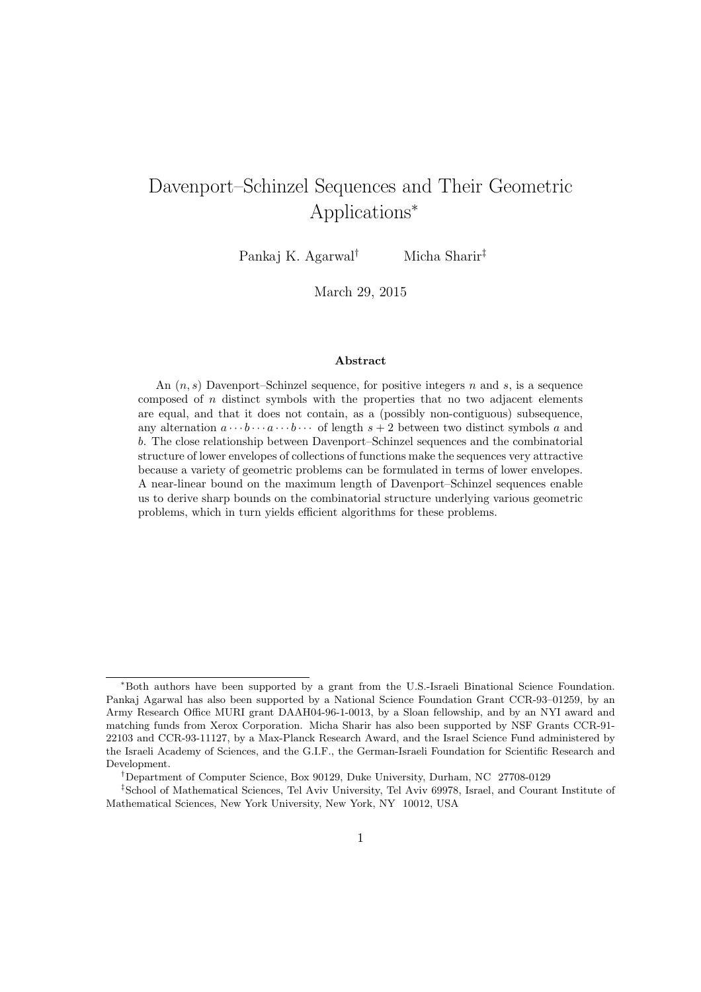# Davenport–Schinzel Sequences and Their Geometric Applications<sup>∗</sup>

Pankaj K. Agarwal† Micha Sharir‡

March 29, 2015

#### Abstract

An  $(n, s)$  Davenport–Schinzel sequence, for positive integers n and s, is a sequence composed of  $n$  distinct symbols with the properties that no two adjacent elements are equal, and that it does not contain, as a (possibly non-contiguous) subsequence, any alternation  $a \cdots b \cdots a \cdots b \cdots$  of length  $s + 2$  between two distinct symbols a and b. The close relationship between Davenport–Schinzel sequences and the combinatorial structure of lower envelopes of collections of functions make the sequences very attractive because a variety of geometric problems can be formulated in terms of lower envelopes. A near-linear bound on the maximum length of Davenport–Schinzel sequences enable us to derive sharp bounds on the combinatorial structure underlying various geometric problems, which in turn yields efficient algorithms for these problems.

<sup>∗</sup>Both authors have been supported by a grant from the U.S.-Israeli Binational Science Foundation. Pankaj Agarwal has also been supported by a National Science Foundation Grant CCR-93–01259, by an Army Research Office MURI grant DAAH04-96-1-0013, by a Sloan fellowship, and by an NYI award and matching funds from Xerox Corporation. Micha Sharir has also been supported by NSF Grants CCR-91- 22103 and CCR-93-11127, by a Max-Planck Research Award, and the Israel Science Fund administered by the Israeli Academy of Sciences, and the G.I.F., the German-Israeli Foundation for Scientific Research and Development.

<sup>†</sup>Department of Computer Science, Box 90129, Duke University, Durham, NC 27708-0129

<sup>‡</sup>School of Mathematical Sciences, Tel Aviv University, Tel Aviv 69978, Israel, and Courant Institute of Mathematical Sciences, New York University, New York, NY 10012, USA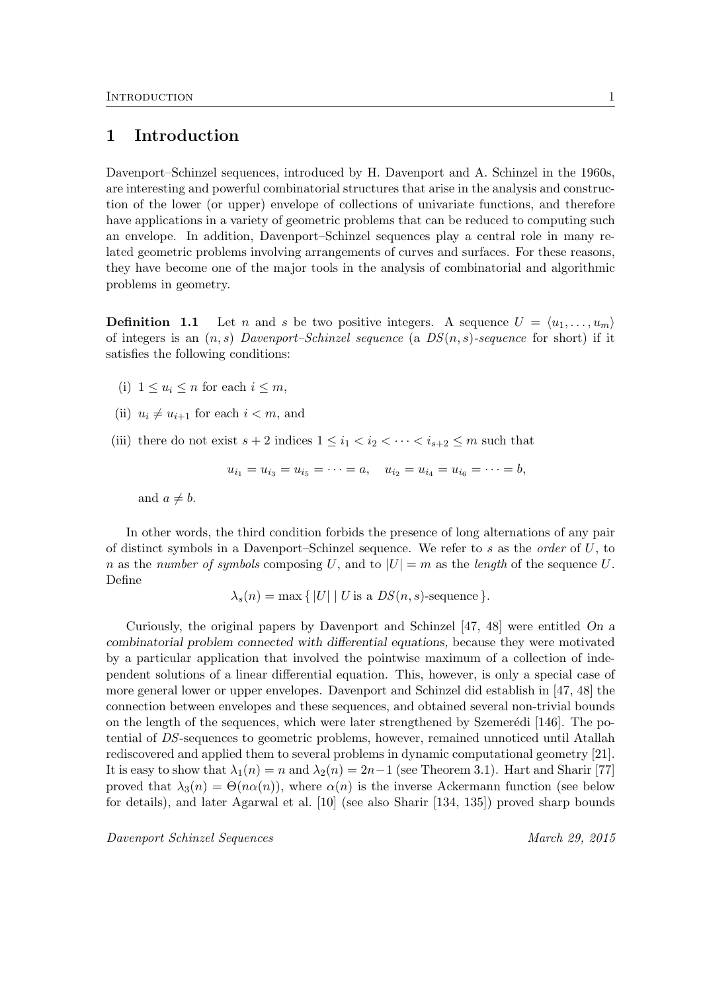# 1 Introduction

Davenport–Schinzel sequences, introduced by H. Davenport and A. Schinzel in the 1960s, are interesting and powerful combinatorial structures that arise in the analysis and construction of the lower (or upper) envelope of collections of univariate functions, and therefore have applications in a variety of geometric problems that can be reduced to computing such an envelope. In addition, Davenport–Schinzel sequences play a central role in many related geometric problems involving arrangements of curves and surfaces. For these reasons, they have become one of the major tools in the analysis of combinatorial and algorithmic problems in geometry.

**Definition 1.1** Let n and s be two positive integers. A sequence  $U = \langle u_1, \ldots, u_m \rangle$ of integers is an  $(n, s)$  Davenport–Schinzel sequence (a  $DS(n, s)$ -sequence for short) if it satisfies the following conditions:

- (i)  $1 \leq u_i \leq n$  for each  $i \leq m$ ,
- (ii)  $u_i \neq u_{i+1}$  for each  $i < m$ , and
- (iii) there do not exist  $s + 2$  indices  $1 \leq i_1 < i_2 < \cdots < i_{s+2} \leq m$  such that

 $u_{i_1} = u_{i_3} = u_{i_5} = \cdots = a, \quad u_{i_2} = u_{i_4} = u_{i_6} = \cdots = b,$ 

and  $a \neq b$ .

In other words, the third condition forbids the presence of long alternations of any pair of distinct symbols in a Davenport–Schinzel sequence. We refer to s as the *order* of  $U$ , to n as the number of symbols composing U, and to  $|U| = m$  as the length of the sequence U. Define

 $\lambda_s(n) = \max \{ |U| | U \text{ is a } DS(n, s) \text{-sequence } \}.$ 

Curiously, the original papers by Davenport and Schinzel [47, 48] were entitled On a combinatorial problem connected with differential equations, because they were motivated by a particular application that involved the pointwise maximum of a collection of independent solutions of a linear differential equation. This, however, is only a special case of more general lower or upper envelopes. Davenport and Schinzel did establish in [47, 48] the connection between envelopes and these sequences, and obtained several non-trivial bounds on the length of the sequences, which were later strengthened by Szemerédi  $[146]$ . The potential of DS-sequences to geometric problems, however, remained unnoticed until Atallah rediscovered and applied them to several problems in dynamic computational geometry [21]. It is easy to show that  $\lambda_1(n) = n$  and  $\lambda_2(n) = 2n-1$  (see Theorem 3.1). Hart and Sharir [77] proved that  $\lambda_3(n) = \Theta(n\alpha(n))$ , where  $\alpha(n)$  is the inverse Ackermann function (see below for details), and later Agarwal et al. [10] (see also Sharir [134, 135]) proved sharp bounds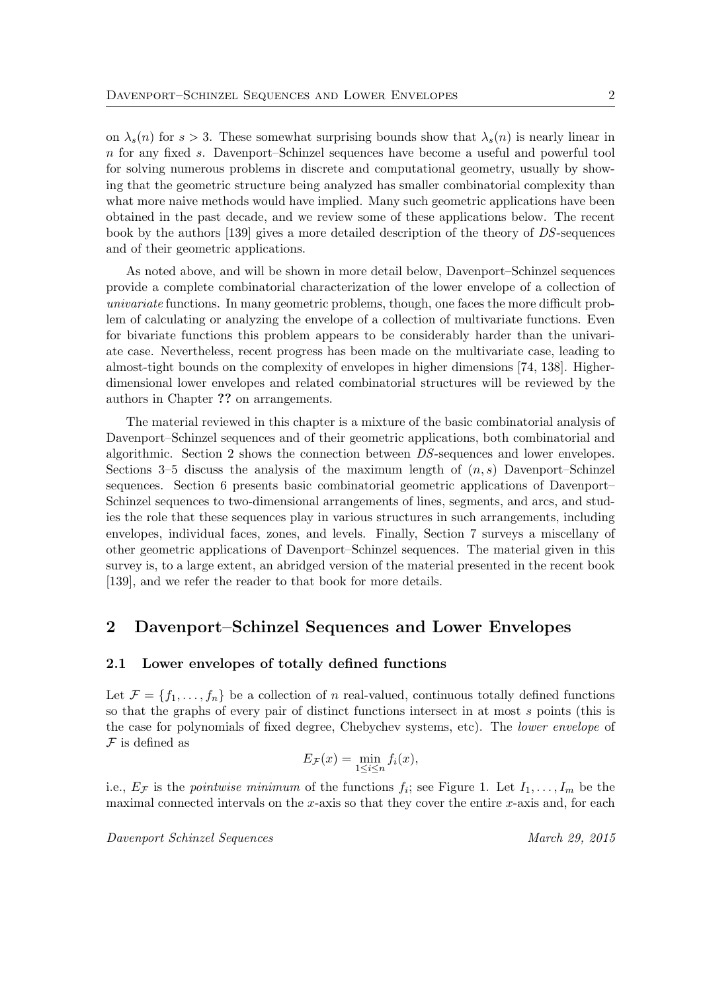on  $\lambda_s(n)$  for  $s > 3$ . These somewhat surprising bounds show that  $\lambda_s(n)$  is nearly linear in n for any fixed s. Davenport–Schinzel sequences have become a useful and powerful tool for solving numerous problems in discrete and computational geometry, usually by showing that the geometric structure being analyzed has smaller combinatorial complexity than what more naive methods would have implied. Many such geometric applications have been obtained in the past decade, and we review some of these applications below. The recent book by the authors [139] gives a more detailed description of the theory of DS-sequences and of their geometric applications.

As noted above, and will be shown in more detail below, Davenport–Schinzel sequences provide a complete combinatorial characterization of the lower envelope of a collection of univariate functions. In many geometric problems, though, one faces the more difficult problem of calculating or analyzing the envelope of a collection of multivariate functions. Even for bivariate functions this problem appears to be considerably harder than the univariate case. Nevertheless, recent progress has been made on the multivariate case, leading to almost-tight bounds on the complexity of envelopes in higher dimensions [74, 138]. Higherdimensional lower envelopes and related combinatorial structures will be reviewed by the authors in Chapter ?? on arrangements.

The material reviewed in this chapter is a mixture of the basic combinatorial analysis of Davenport–Schinzel sequences and of their geometric applications, both combinatorial and algorithmic. Section 2 shows the connection between DS-sequences and lower envelopes. Sections 3–5 discuss the analysis of the maximum length of  $(n, s)$  Davenport–Schinzel sequences. Section 6 presents basic combinatorial geometric applications of Davenport– Schinzel sequences to two-dimensional arrangements of lines, segments, and arcs, and studies the role that these sequences play in various structures in such arrangements, including envelopes, individual faces, zones, and levels. Finally, Section 7 surveys a miscellany of other geometric applications of Davenport–Schinzel sequences. The material given in this survey is, to a large extent, an abridged version of the material presented in the recent book [139], and we refer the reader to that book for more details.

# 2 Davenport–Schinzel Sequences and Lower Envelopes

#### 2.1 Lower envelopes of totally defined functions

Let  $\mathcal{F} = \{f_1, \ldots, f_n\}$  be a collection of n real-valued, continuous totally defined functions so that the graphs of every pair of distinct functions intersect in at most s points (this is the case for polynomials of fixed degree, Chebychev systems, etc). The lower envelope of  $F$  is defined as

$$
E_{\mathcal{F}}(x) = \min_{1 \le i \le n} f_i(x),
$$

i.e.,  $E_{\mathcal{F}}$  is the *pointwise minimum* of the functions  $f_i$ ; see Figure 1. Let  $I_1, \ldots, I_m$  be the maximal connected intervals on the x-axis so that they cover the entire  $x$ -axis and, for each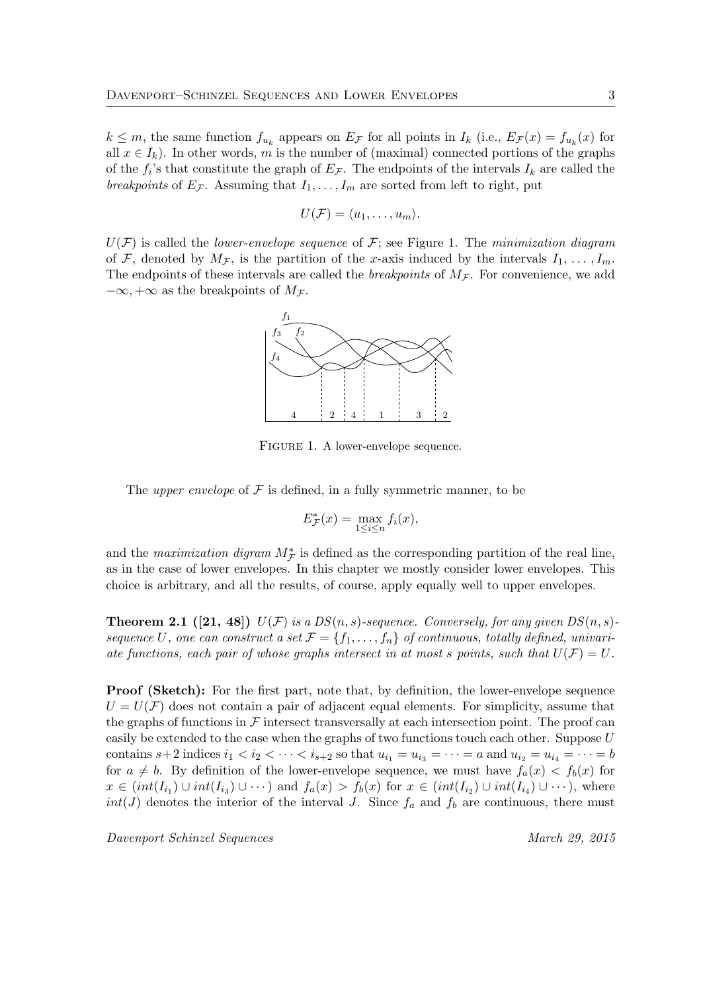$k \leq m$ , the same function  $f_{u_k}$  appears on  $E_{\mathcal{F}}$  for all points in  $I_k$  (i.e.,  $E_{\mathcal{F}}(x) = f_{u_k}(x)$  for all  $x \in I_k$ ). In other words, m is the number of (maximal) connected portions of the graphs of the  $f_i$ 's that constitute the graph of  $E_{\mathcal{F}}$ . The endpoints of the intervals  $I_k$  are called the breakpoints of  $E_{\mathcal{F}}$ . Assuming that  $I_1, \ldots, I_m$  are sorted from left to right, put

$$
U(\mathcal{F})=\langle u_1,\ldots,u_m\rangle.
$$

 $U(F)$  is called the *lower-envelope sequence* of F; see Figure 1. The minimization diagram of F, denoted by  $M_{\mathcal{F}}$ , is the partition of the x-axis induced by the intervals  $I_1, \ldots, I_m$ . The endpoints of these intervals are called the *breakpoints* of  $M<sub>F</sub>$ . For convenience, we add  $-\infty, +\infty$  as the breakpoints of  $M_{\mathcal{F}}$ .



FIGURE 1. A lower-envelope sequence.

The *upper envelope* of  $\mathcal F$  is defined, in a fully symmetric manner, to be

$$
E_{\mathcal{F}}^*(x) = \max_{1 \le i \le n} f_i(x),
$$

and the maximization digram  $M^*$  is defined as the corresponding partition of the real line, as in the case of lower envelopes. In this chapter we mostly consider lower envelopes. This choice is arbitrary, and all the results, of course, apply equally well to upper envelopes.

**Theorem 2.1** ([21, 48])  $U(F)$  is a  $DS(n, s)$ -sequence. Conversely, for any given  $DS(n, s)$ sequence U, one can construct a set  $\mathcal{F} = \{f_1, \ldots, f_n\}$  of continuous, totally defined, univariate functions, each pair of whose graphs intersect in at most s points, such that  $U(\mathcal{F}) = U$ .

**Proof (Sketch):** For the first part, note that, by definition, the lower-envelope sequence  $U = U(\mathcal{F})$  does not contain a pair of adjacent equal elements. For simplicity, assume that the graphs of functions in  $\mathcal F$  intersect transversally at each intersection point. The proof can easily be extended to the case when the graphs of two functions touch each other. Suppose  $U$ contains  $s+2$  indices  $i_1 < i_2 < \cdots < i_{s+2}$  so that  $u_{i_1} = u_{i_3} = \cdots = a$  and  $u_{i_2} = u_{i_4} = \cdots = b$ for  $a \neq b$ . By definition of the lower-envelope sequence, we must have  $f_a(x) < f_b(x)$  for  $x \in (int(I_{i_1}) \cup int(I_{i_3}) \cup \cdots)$  and  $f_a(x) > f_b(x)$  for  $x \in (int(I_{i_2}) \cup int(I_{i_4}) \cup \cdots)$ , where  $int(J)$  denotes the interior of the interval J. Since  $f_a$  and  $f_b$  are continuous, there must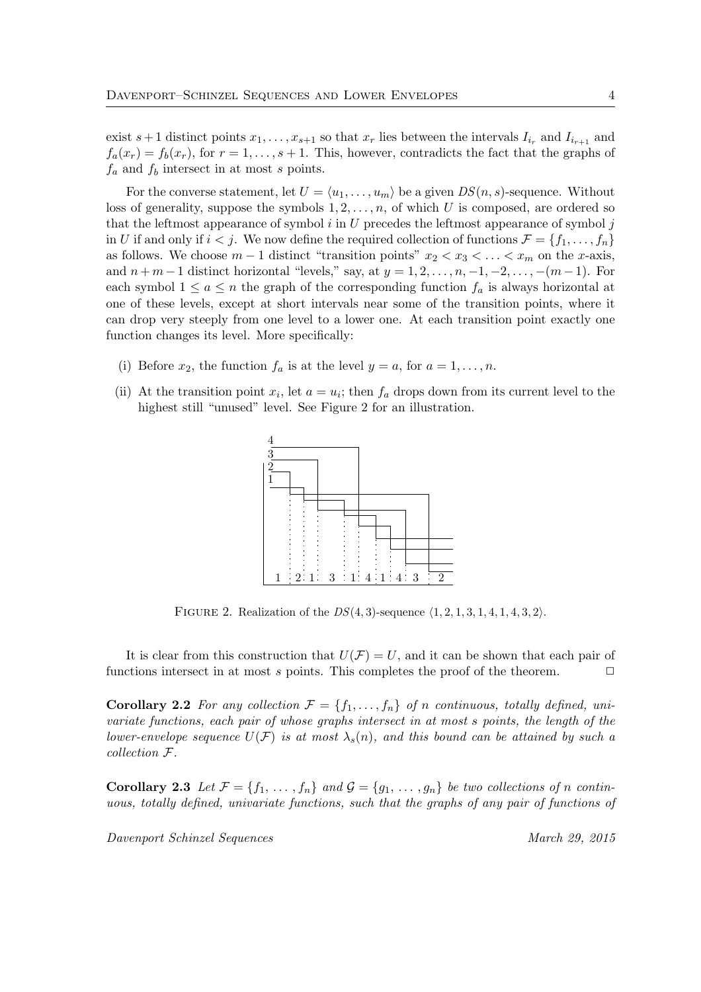exist  $s+1$  distinct points  $x_1, \ldots, x_{s+1}$  so that  $x_r$  lies between the intervals  $I_{i_r}$  and  $I_{i_{r+1}}$  and  $f_a(x_r) = f_b(x_r)$ , for  $r = 1, \ldots, s+1$ . This, however, contradicts the fact that the graphs of  $f_a$  and  $f_b$  intersect in at most s points.

For the converse statement, let  $U = \langle u_1, \ldots, u_m \rangle$  be a given  $DS(n, s)$ -sequence. Without loss of generality, suppose the symbols  $1, 2, \ldots, n$ , of which U is composed, are ordered so that the leftmost appearance of symbol  $i$  in  $U$  precedes the leftmost appearance of symbol  $j$ in U if and only if  $i < j$ . We now define the required collection of functions  $\mathcal{F} = \{f_1, \ldots, f_n\}$ as follows. We choose  $m-1$  distinct "transition points"  $x_2 < x_3 < \ldots < x_m$  on the x-axis, and  $n + m - 1$  distinct horizontal "levels," say, at  $y = 1, 2, \ldots, n, -1, -2, \ldots, -(m-1)$ . For each symbol  $1 \le a \le n$  the graph of the corresponding function  $f_a$  is always horizontal at one of these levels, except at short intervals near some of the transition points, where it can drop very steeply from one level to a lower one. At each transition point exactly one function changes its level. More specifically:

- (i) Before  $x_2$ , the function  $f_a$  is at the level  $y = a$ , for  $a = 1, \ldots, n$ .
- (ii) At the transition point  $x_i$ , let  $a = u_i$ ; then  $f_a$  drops down from its current level to the highest still "unused" level. See Figure 2 for an illustration.



FIGURE 2. Realization of the  $DS(4, 3)$ -sequence  $\langle 1, 2, 1, 3, 1, 4, 1, 4, 3, 2 \rangle$ .

It is clear from this construction that  $U(\mathcal{F}) = U$ , and it can be shown that each pair of functions intersect in at most s points. This completes the proof of the theorem.  $\Box$ 

**Corollary 2.2** For any collection  $\mathcal{F} = \{f_1, \ldots, f_n\}$  of n continuous, totally defined, univariate functions, each pair of whose graphs intersect in at most s points, the length of the lower-envelope sequence  $U(\mathcal{F})$  is at most  $\lambda_s(n)$ , and this bound can be attained by such a collection F.

**Corollary 2.3** Let  $\mathcal{F} = \{f_1, \ldots, f_n\}$  and  $\mathcal{G} = \{g_1, \ldots, g_n\}$  be two collections of n continuous, totally defined, univariate functions, such that the graphs of any pair of functions of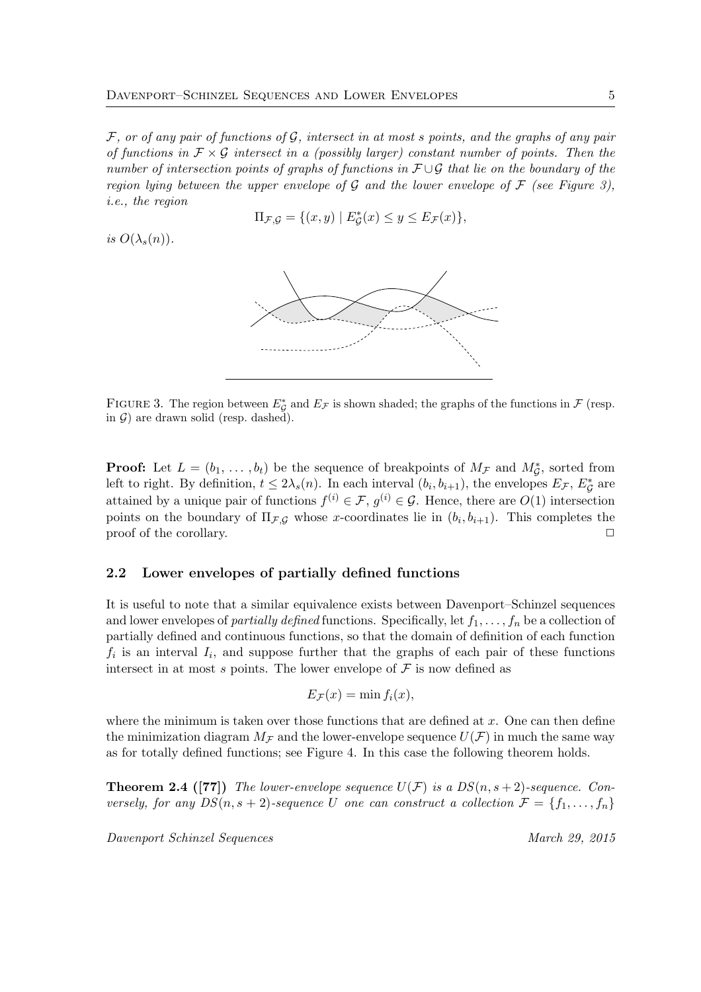$\mathcal F$ , or of any pair of functions of  $\mathcal G$ , intersect in at most s points, and the graphs of any pair of functions in  $\mathcal{F} \times \mathcal{G}$  intersect in a (possibly larger) constant number of points. Then the number of intersection points of graphs of functions in  $\mathcal{F}\cup\mathcal{G}$  that lie on the boundary of the region lying between the upper envelope of G and the lower envelope of  $\mathcal F$  (see Figure 3), i.e., the region

$$
\Pi_{\mathcal{F},\mathcal{G}} = \{(x,y) \mid E^*_{\mathcal{G}}(x) \le y \le E_{\mathcal{F}}(x)\},\
$$

is  $O(\lambda_s(n))$ .



FIGURE 3. The region between  $E^*_{\mathcal{G}}$  and  $E_{\mathcal{F}}$  is shown shaded; the graphs of the functions in  $\mathcal{F}$  (resp. in  $G$ ) are drawn solid (resp. dashed).

**Proof:** Let  $L = (b_1, \ldots, b_t)$  be the sequence of breakpoints of  $M_{\mathcal{F}}$  and  $M_{\mathcal{G}}^*$ , sorted from Left to right. By definition,  $t \leq 2\lambda_s(n)$ . In each interval  $(b_i, b_{i+1})$ , the envelopes  $E_{\mathcal{F}}, E_{\mathcal{G}}^*$  are attained by a unique pair of functions  $f^{(i)} \in \mathcal{F}$ ,  $g^{(i)} \in \mathcal{G}$ . Hence, there are  $O(1)$  intersection points on the boundary of  $\Pi_{\mathcal{F},\mathcal{G}}$  whose x-coordinates lie in  $(b_i, b_{i+1})$ . This completes the  $\Box$  proof of the corollary.  $\Box$ 

#### 2.2 Lower envelopes of partially defined functions

It is useful to note that a similar equivalence exists between Davenport–Schinzel sequences and lower envelopes of *partially defined* functions. Specifically, let  $f_1, \ldots, f_n$  be a collection of partially defined and continuous functions, so that the domain of definition of each function  $f_i$  is an interval  $I_i$ , and suppose further that the graphs of each pair of these functions intersect in at most s points. The lower envelope of  $\mathcal F$  is now defined as

$$
E_{\mathcal{F}}(x) = \min f_i(x),
$$

where the minimum is taken over those functions that are defined at  $x$ . One can then define the minimization diagram  $M_F$  and the lower-envelope sequence  $U(F)$  in much the same way as for totally defined functions; see Figure 4. In this case the following theorem holds.

**Theorem 2.4 ([77])** The lower-envelope sequence  $U(F)$  is a  $DS(n, s + 2)$ -sequence. Conversely, for any  $DS(n, s + 2)$ -sequence U one can construct a collection  $\mathcal{F} = \{f_1, \ldots, f_n\}$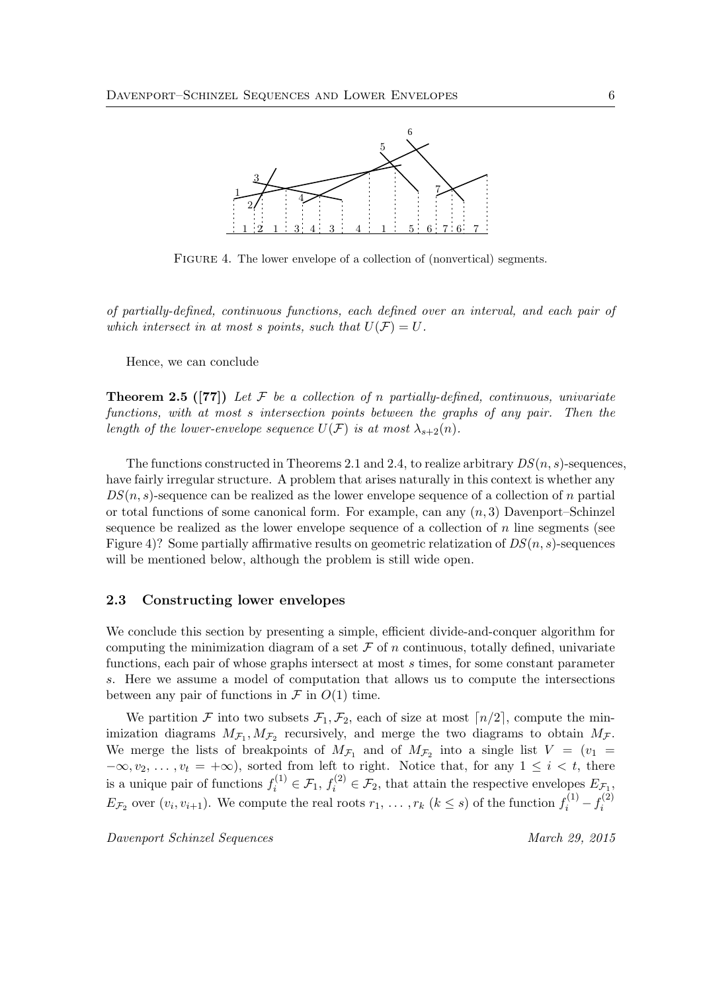

FIGURE 4. The lower envelope of a collection of (nonvertical) segments.

of partially-defined, continuous functions, each defined over an interval, and each pair of which intersect in at most s points, such that  $U(\mathcal{F}) = U$ .

Hence, we can conclude

**Theorem 2.5** ([77]) Let F be a collection of n partially-defined, continuous, univariate functions, with at most s intersection points between the graphs of any pair. Then the length of the lower-envelope sequence  $U(\mathcal{F})$  is at most  $\lambda_{s+2}(n)$ .

The functions constructed in Theorems 2.1 and 2.4, to realize arbitrary  $DS(n, s)$ -sequences, have fairly irregular structure. A problem that arises naturally in this context is whether any  $DS(n, s)$ -sequence can be realized as the lower envelope sequence of a collection of n partial or total functions of some canonical form. For example, can any  $(n, 3)$  Davenport–Schinzel sequence be realized as the lower envelope sequence of a collection of n line segments (see Figure 4)? Some partially affirmative results on geometric relatization of  $DS(n, s)$ -sequences will be mentioned below, although the problem is still wide open.

#### 2.3 Constructing lower envelopes

We conclude this section by presenting a simple, efficient divide-and-conquer algorithm for computing the minimization diagram of a set  $\mathcal F$  of n continuous, totally defined, univariate functions, each pair of whose graphs intersect at most s times, for some constant parameter s. Here we assume a model of computation that allows us to compute the intersections between any pair of functions in  $\mathcal F$  in  $O(1)$  time.

We partition F into two subsets  $\mathcal{F}_1, \mathcal{F}_2$ , each of size at most  $\lceil n/2 \rceil$ , compute the minimization diagrams  $M_{\mathcal{F}_1}, M_{\mathcal{F}_2}$  recursively, and merge the two diagrams to obtain  $M_{\mathcal{F}}$ . We merge the lists of breakpoints of  $M_{\mathcal{F}_1}$  and of  $M_{\mathcal{F}_2}$  into a single list  $V = (v_1 =$  $-\infty, v_2, \ldots, v_t = +\infty$ , sorted from left to right. Notice that, for any  $1 \leq i \leq t$ , there is a unique pair of functions  $f_i^{(1)} \in \mathcal{F}_1$ ,  $f_i^{(2)} \in \mathcal{F}_2$ , that attain the respective envelopes  $E_{\mathcal{F}_1}$ ,  $E_{\mathcal{F}_2}$  over  $(v_i, v_{i+1})$ . We compute the real roots  $r_1, \ldots, r_k$   $(k \leq s)$  of the function  $f_i^{(1)} - f_i^{(2)}$ i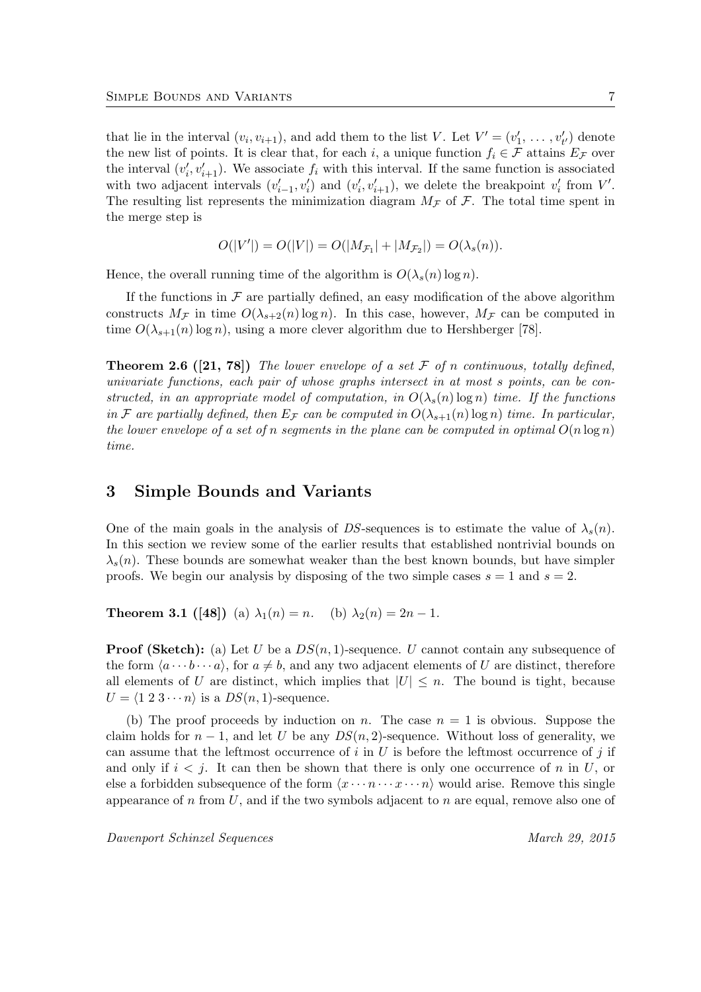that lie in the interval  $(v_i, v_{i+1})$ , and add them to the list V. Let  $V' = (v'_1, \ldots, v'_{t'})$  denote the new list of points. It is clear that, for each i, a unique function  $f_i \in \mathcal{F}$  attains  $E_{\mathcal{F}}$  over the interval  $(v'_i, v'_{i+1})$ . We associate  $f_i$  with this interval. If the same function is associated with two adjacent intervals  $(v'_{i-1}, v'_i)$  and  $(v'_i, v'_{i+1})$ , we delete the breakpoint  $v'_i$  from  $V'$ . The resulting list represents the minimization diagram  $M_{\mathcal{F}}$  of  $\mathcal{F}$ . The total time spent in the merge step is

$$
O(|V'|) = O(|V|) = O(|M_{\mathcal{F}_1}| + |M_{\mathcal{F}_2}|) = O(\lambda_s(n)).
$$

Hence, the overall running time of the algorithm is  $O(\lambda_s(n) \log n)$ .

If the functions in  $\mathcal F$  are partially defined, an easy modification of the above algorithm constructs  $M_{\mathcal{F}}$  in time  $O(\lambda_{s+2}(n) \log n)$ . In this case, however,  $M_{\mathcal{F}}$  can be computed in time  $O(\lambda_{s+1}(n) \log n)$ , using a more clever algorithm due to Hershberger [78].

**Theorem 2.6** ([21, 78]) The lower envelope of a set  $\mathcal F$  of n continuous, totally defined, univariate functions, each pair of whose graphs intersect in at most s points, can be constructed, in an appropriate model of computation, in  $O(\lambda_s(n) \log n)$  time. If the functions in F are partially defined, then  $E_{\mathcal{F}}$  can be computed in  $O(\lambda_{s+1}(n) \log n)$  time. In particular, the lower envelope of a set of n segments in the plane can be computed in optimal  $O(n \log n)$ time.

## 3 Simple Bounds and Variants

One of the main goals in the analysis of DS-sequences is to estimate the value of  $\lambda_s(n)$ . In this section we review some of the earlier results that established nontrivial bounds on  $\lambda_s(n)$ . These bounds are somewhat weaker than the best known bounds, but have simpler proofs. We begin our analysis by disposing of the two simple cases  $s = 1$  and  $s = 2$ .

**Theorem 3.1** ([48]) (a)  $\lambda_1(n) = n$ . (b)  $\lambda_2(n) = 2n - 1$ .

**Proof (Sketch):** (a) Let U be a  $DS(n, 1)$ -sequence. U cannot contain any subsequence of the form  $\langle a \cdots b \cdots a \rangle$ , for  $a \neq b$ , and any two adjacent elements of U are distinct, therefore all elements of U are distinct, which implies that  $|U| \leq n$ . The bound is tight, because  $U = \langle 1 2 3 \cdots n \rangle$  is a  $DS(n, 1)$ -sequence.

(b) The proof proceeds by induction on n. The case  $n = 1$  is obvious. Suppose the claim holds for  $n-1$ , and let U be any  $DS(n, 2)$ -sequence. Without loss of generality, we can assume that the leftmost occurrence of  $i$  in  $U$  is before the leftmost occurrence of  $j$  if and only if  $i < j$ . It can then be shown that there is only one occurrence of n in U, or else a forbidden subsequence of the form  $\langle x \cdots n \cdots x \cdots n \rangle$  would arise. Remove this single appearance of n from U, and if the two symbols adjacent to n are equal, remove also one of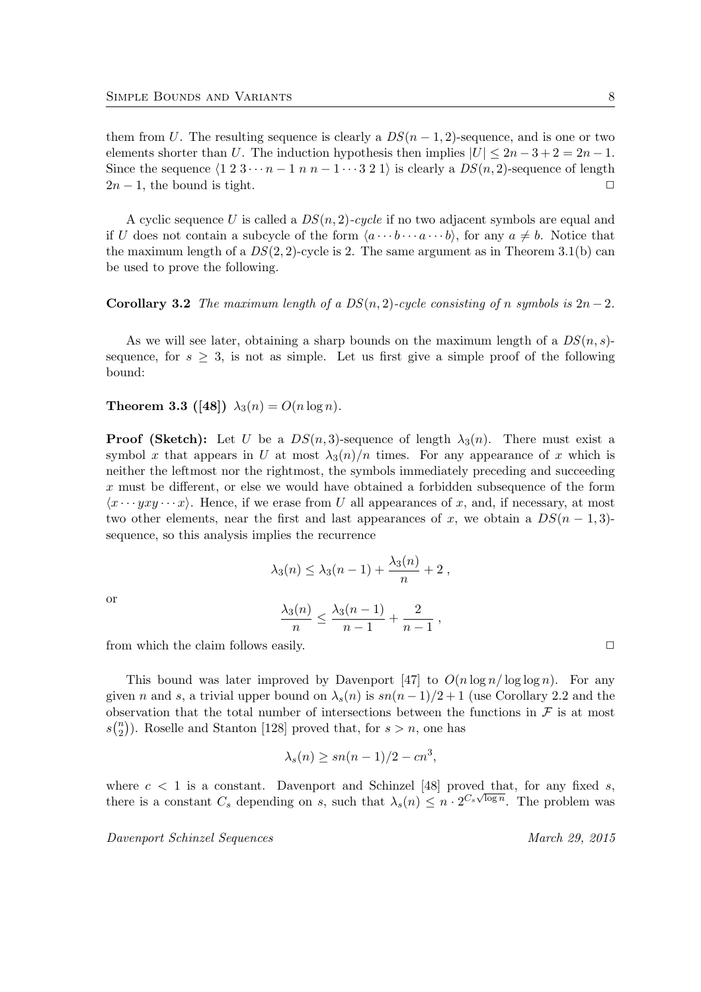them from U. The resulting sequence is clearly a  $DS(n-1, 2)$ -sequence, and is one or two elements shorter than U. The induction hypothesis then implies  $|U| \leq 2n - 3 + 2 = 2n - 1$ . Since the sequence  $\langle 1 \ 2 \ 3 \cdots n - 1 \ n \ n - 1 \cdots 3 \ 2 \ 1 \rangle$  is clearly a  $DS(n, 2)$ -sequence of length  $2n-1$ , the bound is tight.  $\Box$ 

A cyclic sequence U is called a  $DS(n, 2)$ -cycle if no two adjacent symbols are equal and if U does not contain a subcycle of the form  $\langle a \cdots b \cdots a \cdots b \rangle$ , for any  $a \neq b$ . Notice that the maximum length of a  $DS(2, 2)$ -cycle is 2. The same argument as in Theorem 3.1(b) can be used to prove the following.

Corollary 3.2 The maximum length of a  $DS(n, 2)$ -cycle consisting of n symbols is  $2n-2$ .

As we will see later, obtaining a sharp bounds on the maximum length of a  $DS(n, s)$ sequence, for  $s \geq 3$ , is not as simple. Let us first give a simple proof of the following bound:

**Theorem 3.3** ([48])  $\lambda_3(n) = O(n \log n)$ .

**Proof (Sketch):** Let U be a  $DS(n, 3)$ -sequence of length  $\lambda_3(n)$ . There must exist a symbol x that appears in U at most  $\lambda_3(n)/n$  times. For any appearance of x which is neither the leftmost nor the rightmost, the symbols immediately preceding and succeeding x must be different, or else we would have obtained a forbidden subsequence of the form  $\langle x \cdots yxy \cdots x \rangle$ . Hence, if we erase from U all appearances of x, and, if necessary, at most two other elements, near the first and last appearances of x, we obtain a  $DS(n-1,3)$ sequence, so this analysis implies the recurrence

$$
\lambda_3(n) \leq \lambda_3(n-1) + \frac{\lambda_3(n)}{n} + 2 ,
$$

or

$$
\frac{\lambda_3(n)}{n} \le \frac{\lambda_3(n-1)}{n-1} + \frac{2}{n-1} ,
$$

from which the claim follows easily.  $\Box$ 

This bound was later improved by Davenport [47] to  $O(n \log n / \log \log n)$ . For any given n and s, a trivial upper bound on  $\lambda_s(n)$  is  $sn(n-1)/2+1$  (use Corollary 2.2 and the observation that the total number of intersections between the functions in  $\mathcal F$  is at most  $s\binom{n}{2}$  $\binom{n}{2}$ ). Roselle and Stanton [128] proved that, for  $s > n$ , one has

$$
\lambda_s(n) \ge sn(n-1)/2 - cn^3,
$$

where  $c < 1$  is a constant. Davenport and Schinzel [48] proved that, for any fixed s, there is a constant  $C_s$  depending on s, such that  $\lambda_s(n) \leq n \cdot 2^{C_s \sqrt{\log n}}$ . The problem was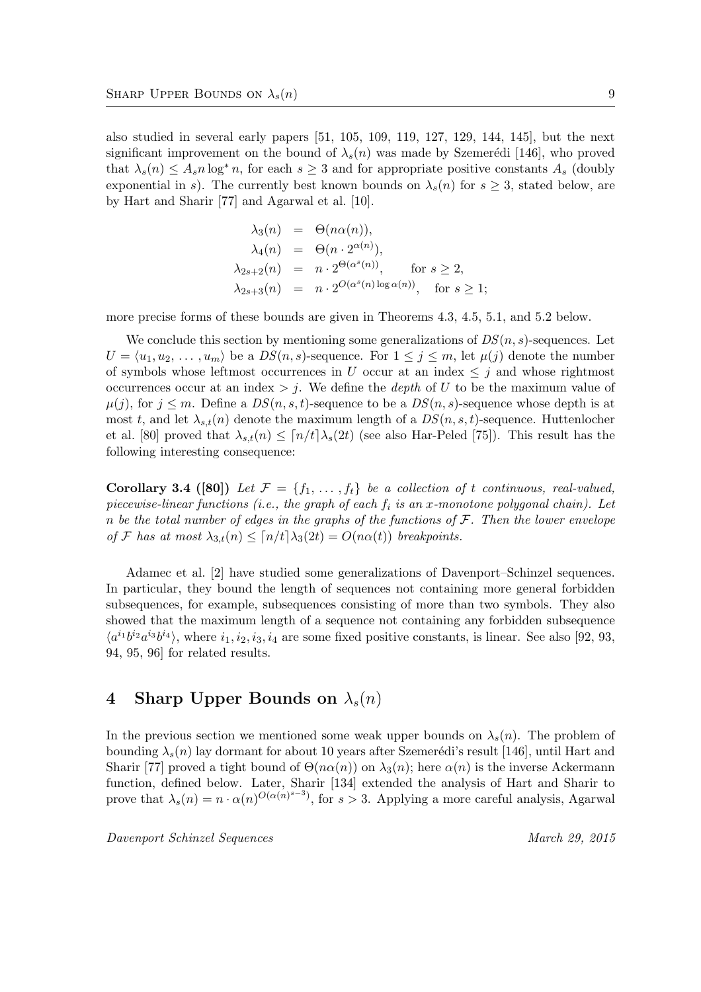also studied in several early papers [51, 105, 109, 119, 127, 129, 144, 145], but the next significant improvement on the bound of  $\lambda_s(n)$  was made by Szemerédi [146], who proved that  $\lambda_s(n) \leq A_s n \log^* n$ , for each  $s \geq 3$  and for appropriate positive constants  $A_s$  (doubly exponential in s). The currently best known bounds on  $\lambda_s(n)$  for  $s \geq 3$ , stated below, are by Hart and Sharir [77] and Agarwal et al. [10].

$$
\lambda_3(n) = \Theta(n\alpha(n)),
$$
  
\n
$$
\lambda_4(n) = \Theta(n \cdot 2^{\alpha(n)}),
$$
  
\n
$$
\lambda_{2s+2}(n) = n \cdot 2^{\Theta(\alpha^s(n))}, \text{ for } s \ge 2,
$$
  
\n
$$
\lambda_{2s+3}(n) = n \cdot 2^{O(\alpha^s(n) \log \alpha(n))}, \text{ for } s \ge 1;
$$

more precise forms of these bounds are given in Theorems 4.3, 4.5, 5.1, and 5.2 below.

We conclude this section by mentioning some generalizations of  $DS(n, s)$ -sequences. Let  $U = \langle u_1, u_2, \ldots, u_m \rangle$  be a  $DS(n, s)$ -sequence. For  $1 \leq j \leq m$ , let  $\mu(j)$  denote the number of symbols whose leftmost occurrences in U occur at an index  $\leq j$  and whose rightmost occurrences occur at an index  $> j$ . We define the *depth* of U to be the maximum value of  $\mu(j)$ , for  $j \leq m$ . Define a  $DS(n, s, t)$ -sequence to be a  $DS(n, s)$ -sequence whose depth is at most t, and let  $\lambda_{s,t}(n)$  denote the maximum length of a  $DS(n, s, t)$ -sequence. Huttenlocher et al. [80] proved that  $\lambda_{s,t}(n) \leq [n/t] \lambda_s(2t)$  (see also Har-Peled [75]). This result has the following interesting consequence:

Corollary 3.4 ([80]) Let  $\mathcal{F} = \{f_1, \ldots, f_t\}$  be a collection of t continuous, real-valued, piecewise-linear functions (i.e., the graph of each  $f_i$  is an x-monotone polygonal chain). Let n be the total number of edges in the graphs of the functions of  $F$ . Then the lower envelope of F has at most  $\lambda_{3,t}(n) \leq [n/t] \lambda_3(2t) = O(n\alpha(t))$  breakpoints.

Adamec et al. [2] have studied some generalizations of Davenport–Schinzel sequences. In particular, they bound the length of sequences not containing more general forbidden subsequences, for example, subsequences consisting of more than two symbols. They also showed that the maximum length of a sequence not containing any forbidden subsequence  $\langle a^{i_1}b^{i_2}a^{i_3}b^{i_4}\rangle$ , where  $i_1, i_2, i_3, i_4$  are some fixed positive constants, is linear. See also [92, 93, 94, 95, 96] for related results.

# 4 Sharp Upper Bounds on  $\lambda_s(n)$

In the previous section we mentioned some weak upper bounds on  $\lambda_s(n)$ . The problem of bounding  $\lambda_s(n)$  lay dormant for about 10 years after Szemerédi's result [146], until Hart and Sharir [77] proved a tight bound of  $\Theta(n\alpha(n))$  on  $\lambda_3(n)$ ; here  $\alpha(n)$  is the inverse Ackermann function, defined below. Later, Sharir [134] extended the analysis of Hart and Sharir to prove that  $\lambda_s(n) = n \cdot \alpha(n)^{O(\alpha(n)^{s-3})}$ , for  $s > 3$ . Applying a more careful analysis, Agarwal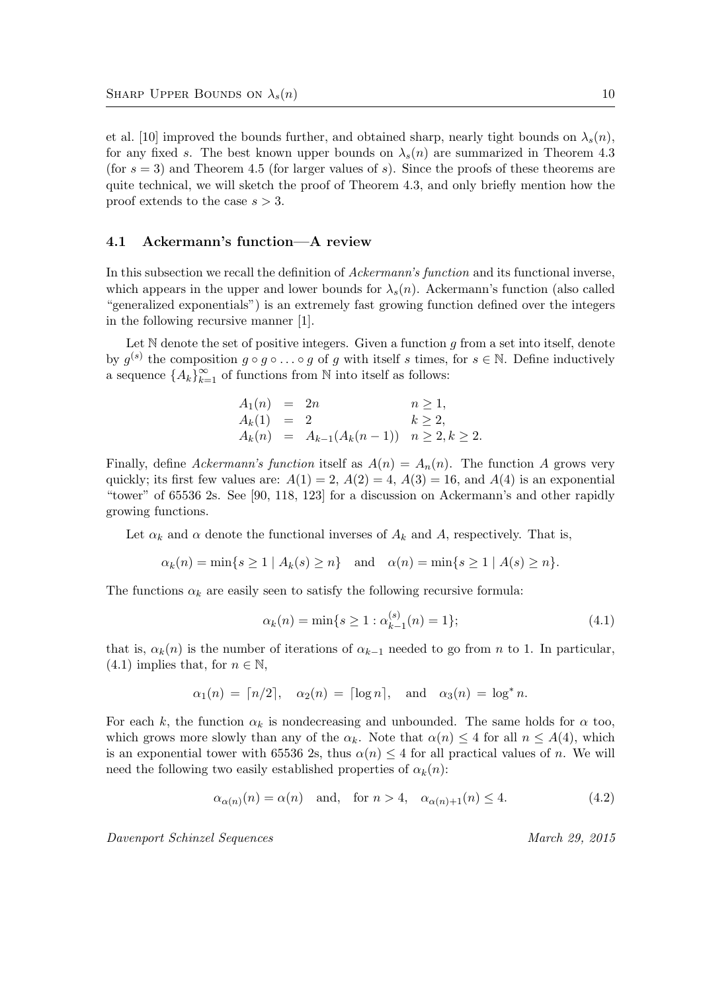et al. [10] improved the bounds further, and obtained sharp, nearly tight bounds on  $\lambda_s(n)$ , for any fixed s. The best known upper bounds on  $\lambda_s(n)$  are summarized in Theorem 4.3 (for  $s = 3$ ) and Theorem 4.5 (for larger values of s). Since the proofs of these theorems are quite technical, we will sketch the proof of Theorem 4.3, and only briefly mention how the proof extends to the case  $s > 3$ .

### 4.1 Ackermann's function—A review

In this subsection we recall the definition of Ackermann's function and its functional inverse, which appears in the upper and lower bounds for  $\lambda_s(n)$ . Ackermann's function (also called "generalized exponentials") is an extremely fast growing function defined over the integers in the following recursive manner [1].

Let  $\mathbb N$  denote the set of positive integers. Given a function g from a set into itself, denote by  $g^{(s)}$  the composition  $g \circ g \circ \ldots \circ g$  of g with itself s times, for  $s \in \mathbb{N}$ . Define inductively a sequence  $\{A_k\}_{k=1}^{\infty}$  of functions from N into itself as follows:

$$
A_1(n) = 2n \t n \ge 1,A_k(1) = 2 \t k \ge 2,A_k(n) = A_{k-1}(A_k(n-1)) \t n \ge 2, k \ge 2.
$$

Finally, define Ackermann's function itself as  $A(n) = A_n(n)$ . The function A grows very quickly; its first few values are:  $A(1) = 2$ ,  $A(2) = 4$ ,  $A(3) = 16$ , and  $A(4)$  is an exponential "tower" of 65536 2s. See [90, 118, 123] for a discussion on Ackermann's and other rapidly growing functions.

Let  $\alpha_k$  and  $\alpha$  denote the functional inverses of  $A_k$  and A, respectively. That is,

$$
\alpha_k(n) = \min\{s \ge 1 \mid A_k(s) \ge n\} \quad \text{and} \quad \alpha(n) = \min\{s \ge 1 \mid A(s) \ge n\}.
$$

The functions  $\alpha_k$  are easily seen to satisfy the following recursive formula:

$$
\alpha_k(n) = \min\{s \ge 1 : \alpha_{k-1}^{(s)}(n) = 1\};\tag{4.1}
$$

that is,  $\alpha_k(n)$  is the number of iterations of  $\alpha_{k-1}$  needed to go from n to 1. In particular,  $(4.1)$  implies that, for  $n \in \mathbb{N}$ ,

$$
\alpha_1(n) = \lceil n/2 \rceil, \quad \alpha_2(n) = \lceil \log n \rceil, \quad \text{and} \quad \alpha_3(n) = \log^* n.
$$

For each k, the function  $\alpha_k$  is nondecreasing and unbounded. The same holds for  $\alpha$  too, which grows more slowly than any of the  $\alpha_k$ . Note that  $\alpha(n) \leq 4$  for all  $n \leq A(4)$ , which is an exponential tower with 65536 2s, thus  $\alpha(n) \leq 4$  for all practical values of n. We will need the following two easily established properties of  $\alpha_k(n)$ :

$$
\alpha_{\alpha(n)}(n) = \alpha(n) \quad \text{and,} \quad \text{for } n > 4, \quad \alpha_{\alpha(n)+1}(n) \le 4. \tag{4.2}
$$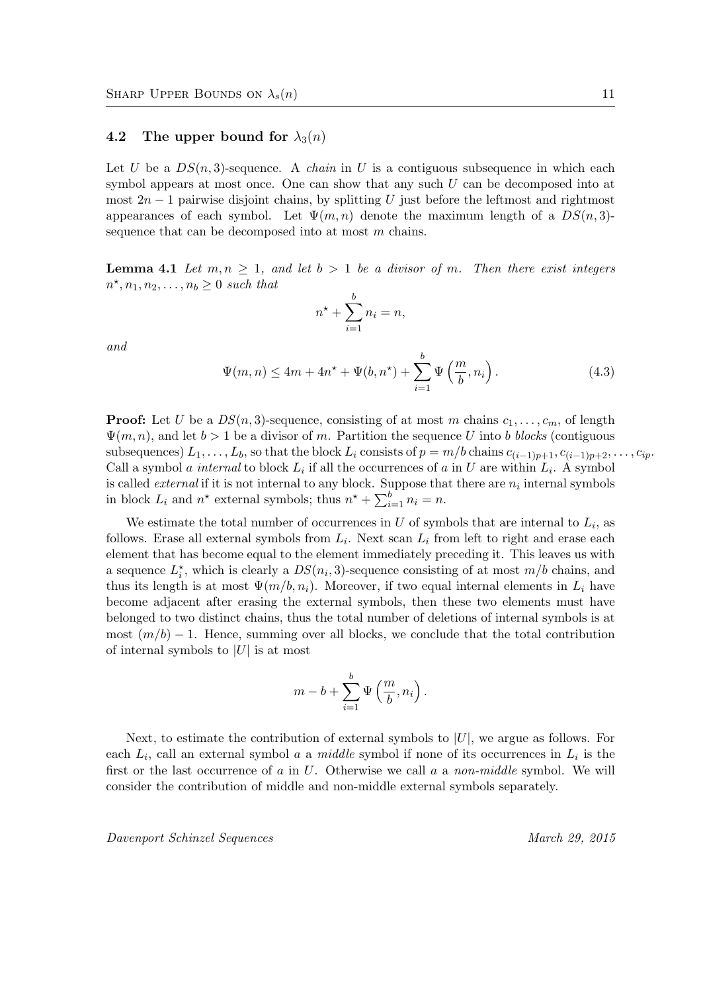#### 4.2 The upper bound for  $\lambda_3(n)$

Let U be a  $DS(n, 3)$ -sequence. A *chain* in U is a contiguous subsequence in which each symbol appears at most once. One can show that any such  $U$  can be decomposed into at most  $2n-1$  pairwise disjoint chains, by splitting U just before the leftmost and rightmost appearances of each symbol. Let  $\Psi(m, n)$  denote the maximum length of a  $DS(n, 3)$ sequence that can be decomposed into at most m chains.

**Lemma 4.1** Let  $m, n \geq 1$ , and let  $b > 1$  be a divisor of m. Then there exist integers  $n^*$ ,  $n_1$ ,  $n_2$ , ...,  $n_b \geq 0$  such that

$$
n^{\star} + \sum_{i=1}^{b} n_i = n,
$$

and

$$
\Psi(m,n) \le 4m + 4n^* + \Psi(b,n^*) + \sum_{i=1}^b \Psi\left(\frac{m}{b}, n_i\right). \tag{4.3}
$$

**Proof:** Let U be a  $DS(n, 3)$ -sequence, consisting of at most m chains  $c_1, \ldots, c_m$ , of length  $\Psi(m, n)$ , and let  $b > 1$  be a divisor of m. Partition the sequence U into b blocks (contiguous subsequences)  $L_1, \ldots, L_b$ , so that the block  $L_i$  consists of  $p = m/b$  chains  $c_{(i-1)p+1}, c_{(i-1)p+2}, \ldots, c_{ip}$ . Call a symbol *a internal* to block  $L_i$  if all the occurrences of *a* in U are within  $L_i$ . A symbol is called *external* if it is not internal to any block. Suppose that there are  $n_i$  internal symbols in block  $L_i$  and  $n^*$  external symbols; thus  $n^* + \sum_{i=1}^{b} n_i = n$ .

We estimate the total number of occurrences in U of symbols that are internal to  $L_i$ , as follows. Erase all external symbols from  $L_i$ . Next scan  $L_i$  from left to right and erase each element that has become equal to the element immediately preceding it. This leaves us with a sequence  $L_i^*$ , which is clearly a  $DS(n_i, 3)$ -sequence consisting of at most  $m/b$  chains, and thus its length is at most  $\Psi(m/b, n_i)$ . Moreover, if two equal internal elements in  $L_i$  have become adjacent after erasing the external symbols, then these two elements must have belonged to two distinct chains, thus the total number of deletions of internal symbols is at most  $(m/b) - 1$ . Hence, summing over all blocks, we conclude that the total contribution of internal symbols to  $|U|$  is at most

$$
m-b+\sum_{i=1}^b\Psi\left(\frac{m}{b},n_i\right).
$$

Next, to estimate the contribution of external symbols to  $|U|$ , we argue as follows. For each  $L_i$ , call an external symbol a a middle symbol if none of its occurrences in  $L_i$  is the first or the last occurrence of  $a$  in  $U$ . Otherwise we call  $a$  a non-middle symbol. We will consider the contribution of middle and non-middle external symbols separately.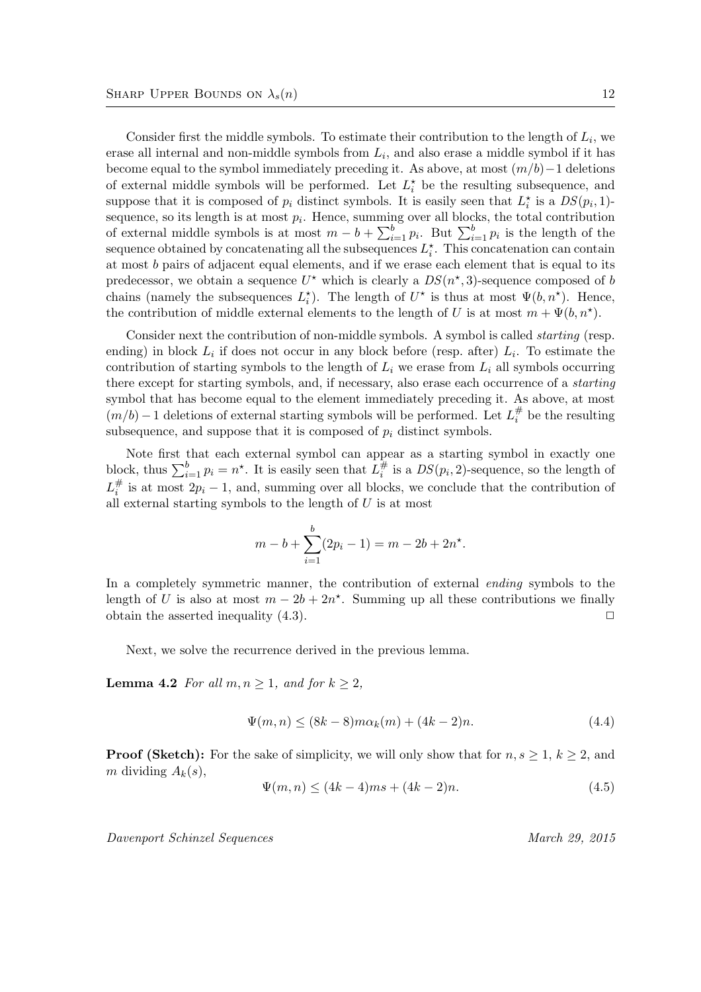Consider first the middle symbols. To estimate their contribution to the length of  $L_i$ , we erase all internal and non-middle symbols from  $L_i$ , and also erase a middle symbol if it has become equal to the symbol immediately preceding it. As above, at most  $(m/b)-1$  deletions of external middle symbols will be performed. Let  $L_i^*$  be the resulting subsequence, and suppose that it is composed of  $p_i$  distinct symbols. It is easily seen that  $L_i^*$  is a  $DS(p_i, 1)$ sequence, so its length is at most  $p_i$ . Hence, summing over all blocks, the total contribution of external middle symbols is at most  $m - b + \sum_{i=1}^{b} p_i$ . But  $\sum_{i=1}^{b} p_i$  is the length of the sequence obtained by concatenating all the subsequences  $L_i^*$ . This concatenation can contain at most b pairs of adjacent equal elements, and if we erase each element that is equal to its predecessor, we obtain a sequence  $U^*$  which is clearly a  $DS(n^*, 3)$ -sequence composed of b chains (namely the subsequences  $L_i^*$ ). The length of  $U^*$  is thus at most  $\Psi(b, n^*)$ . Hence, the contribution of middle external elements to the length of U is at most  $m + \Psi(b, n^*)$ .

Consider next the contribution of non-middle symbols. A symbol is called *starting* (resp. ending) in block  $L_i$  if does not occur in any block before (resp. after)  $L_i$ . To estimate the contribution of starting symbols to the length of  $L_i$  we erase from  $L_i$  all symbols occurring there except for starting symbols, and, if necessary, also erase each occurrence of a starting symbol that has become equal to the element immediately preceding it. As above, at most  $(m/b) - 1$  deletions of external starting symbols will be performed. Let  $L_i^{\#}$  $\frac{\pi}{i}$  be the resulting subsequence, and suppose that it is composed of  $p_i$  distinct symbols.

Note first that each external symbol can appear as a starting symbol in exactly one block, thus  $\sum_{i=1}^{b} p_i = n^*$ . It is easily seen that  $L_i^{\#}$  $i \nightharpoonup i$  is a  $DS(p_i, 2)$ -sequence, so the length of  $L^\#_i$  $i$ <sup> $\pi$ </sup> is at most  $2p_i - 1$ , and, summing over all blocks, we conclude that the contribution of all external starting symbols to the length of  $U$  is at most

$$
m - b + \sum_{i=1}^{b} (2p_i - 1) = m - 2b + 2n^*.
$$

In a completely symmetric manner, the contribution of external ending symbols to the length of U is also at most  $m - 2b + 2n^*$ . Summing up all these contributions we finally obtain the asserted inequality  $(4.3)$ .

Next, we solve the recurrence derived in the previous lemma.

**Lemma 4.2** For all  $m, n \geq 1$ , and for  $k \geq 2$ ,

$$
\Psi(m, n) \le (8k - 8)m\alpha_k(m) + (4k - 2)n.
$$
\n(4.4)

**Proof (Sketch):** For the sake of simplicity, we will only show that for  $n, s \geq 1, k \geq 2$ , and m dividing  $A_k(s)$ ,

$$
\Psi(m, n) \le (4k - 4)ms + (4k - 2)n. \tag{4.5}
$$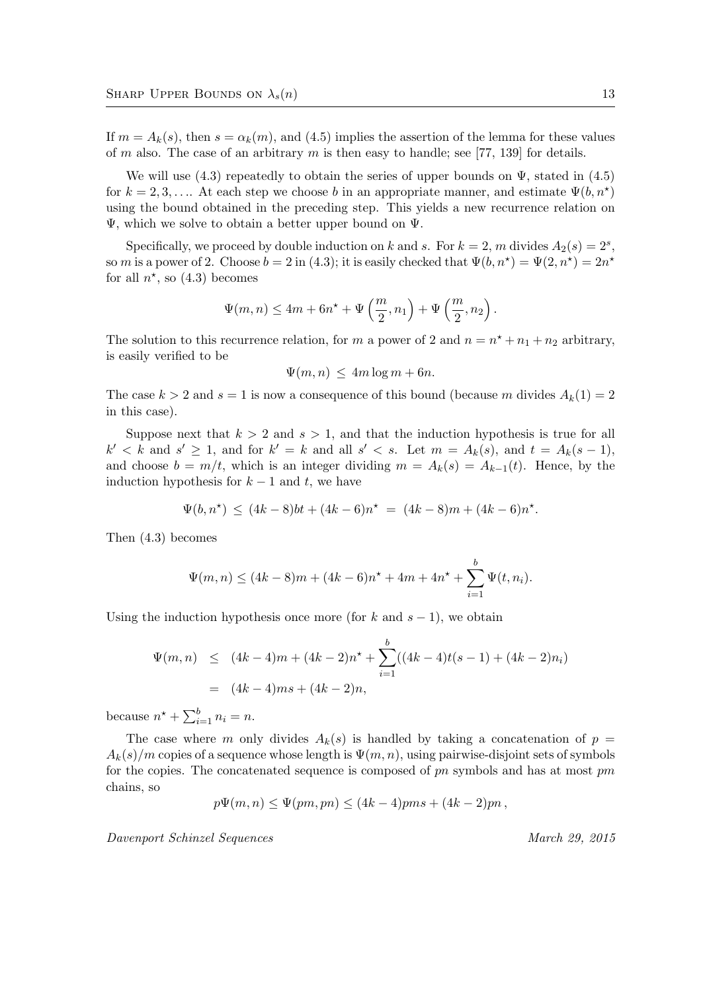If  $m = A_k(s)$ , then  $s = \alpha_k(m)$ , and (4.5) implies the assertion of the lemma for these values of m also. The case of an arbitrary m is then easy to handle; see [77, 139] for details.

We will use  $(4.3)$  repeatedly to obtain the series of upper bounds on  $\Psi$ , stated in  $(4.5)$ for  $k = 2, 3, \ldots$  At each step we choose b in an appropriate manner, and estimate  $\Psi(b, n^*)$ using the bound obtained in the preceding step. This yields a new recurrence relation on Ψ, which we solve to obtain a better upper bound on Ψ.

Specifically, we proceed by double induction on k and s. For  $k = 2$ , m divides  $A_2(s) = 2^s$ , so m is a power of 2. Choose  $b = 2$  in (4.3); it is easily checked that  $\Psi(b, n^*) = \Psi(2, n^*) = 2n^*$ for all  $n^*$ , so  $(4.3)$  becomes

$$
\Psi(m,n) \le 4m + 6n^* + \Psi\left(\frac{m}{2}, n_1\right) + \Psi\left(\frac{m}{2}, n_2\right).
$$

The solution to this recurrence relation, for m a power of 2 and  $n = n^* + n_1 + n_2$  arbitrary, is easily verified to be

$$
\Psi(m, n) \le 4m \log m + 6n.
$$

The case  $k > 2$  and  $s = 1$  is now a consequence of this bound (because m divides  $A_k(1) = 2$ in this case).

Suppose next that  $k > 2$  and  $s > 1$ , and that the induction hypothesis is true for all  $k' < k$  and  $s' \geq 1$ , and for  $k' = k$  and all  $s' < s$ . Let  $m = A_k(s)$ , and  $t = A_k(s - 1)$ , and choose  $b = m/t$ , which is an integer dividing  $m = A_k(s) = A_{k-1}(t)$ . Hence, by the induction hypothesis for  $k - 1$  and t, we have

$$
\Psi(b, n^*) \le (4k - 8)bt + (4k - 6)n^* = (4k - 8)m + (4k - 6)n^*.
$$

Then (4.3) becomes

$$
\Psi(m,n) \le (4k-8)m + (4k-6)n^* + 4m + 4n^* + \sum_{i=1}^b \Psi(t,n_i).
$$

Using the induction hypothesis once more (for k and  $s - 1$ ), we obtain

$$
\Psi(m, n) \le (4k - 4)m + (4k - 2)n^* + \sum_{i=1}^{b} ((4k - 4)t(s - 1) + (4k - 2)n_i)
$$
  
=  $(4k - 4)ms + (4k - 2)n$ ,

because  $n^* + \sum_{i=1}^{b} n_i = n$ .

The case where m only divides  $A_k(s)$  is handled by taking a concatenation of  $p =$  $A_k(s)/m$  copies of a sequence whose length is  $\Psi(m, n)$ , using pairwise-disjoint sets of symbols for the copies. The concatenated sequence is composed of  $pn$  symbols and has at most  $pm$ chains, so

$$
p\Psi(m, n) \leq \Psi(pm, pn) \leq (4k - 4)pms + (4k - 2)pn,
$$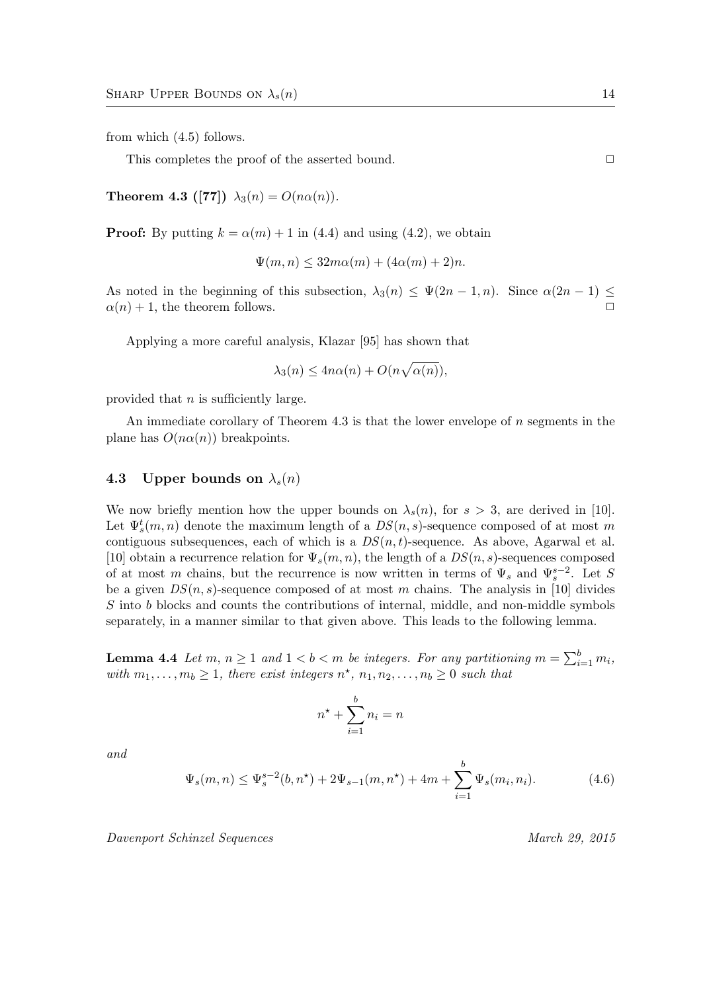from which (4.5) follows.

This completes the proof of the asserted bound.  $\Box$ 

Theorem 4.3 ([77])  $\lambda_3(n) = O(n\alpha(n)).$ 

**Proof:** By putting  $k = \alpha(m) + 1$  in (4.4) and using (4.2), we obtain

$$
\Psi(m,n) \le 32m\alpha(m) + (4\alpha(m) + 2)n.
$$

As noted in the beginning of this subsection,  $\lambda_3(n) \leq \Psi(2n-1, n)$ . Since  $\alpha(2n-1) \leq$  $\alpha(n) + 1$ , the theorem follows.

Applying a more careful analysis, Klazar [95] has shown that

$$
\lambda_3(n) \le 4n\alpha(n) + O(n\sqrt{\alpha(n)}),
$$

provided that  $n$  is sufficiently large.

An immediate corollary of Theorem 4.3 is that the lower envelope of  $n$  segments in the plane has  $O(n\alpha(n))$  breakpoints.

#### 4.3 Upper bounds on  $\lambda_s(n)$

We now briefly mention how the upper bounds on  $\lambda_s(n)$ , for  $s > 3$ , are derived in [10]. Let  $\Psi_s^t(m,n)$  denote the maximum length of a  $DS(n,s)$ -sequence composed of at most m contiguous subsequences, each of which is a  $DS(n, t)$ -sequence. As above, Agarwal et al. [10] obtain a recurrence relation for  $\Psi_s(m,n)$ , the length of a  $DS(n,s)$ -sequences composed of at most m chains, but the recurrence is now written in terms of  $\Psi_s$  and  $\Psi_s^{s-2}$ . Let S be a given  $DS(n, s)$ -sequence composed of at most m chains. The analysis in [10] divides S into b blocks and counts the contributions of internal, middle, and non-middle symbols separately, in a manner similar to that given above. This leads to the following lemma.

**Lemma 4.4** Let  $m, n \ge 1$  and  $1 < b < m$  be integers. For any partitioning  $m = \sum_{i=1}^{b} m_i$ , with  $m_1, \ldots, m_b \geq 1$ , there exist integers  $n^*$ ,  $n_1, n_2, \ldots, n_b \geq 0$  such that

$$
n^{\star} + \sum_{i=1}^{b} n_i = n
$$

and

$$
\Psi_s(m,n) \le \Psi_s^{s-2}(b,n^*) + 2\Psi_{s-1}(m,n^*) + 4m + \sum_{i=1}^b \Psi_s(m_i,n_i). \tag{4.6}
$$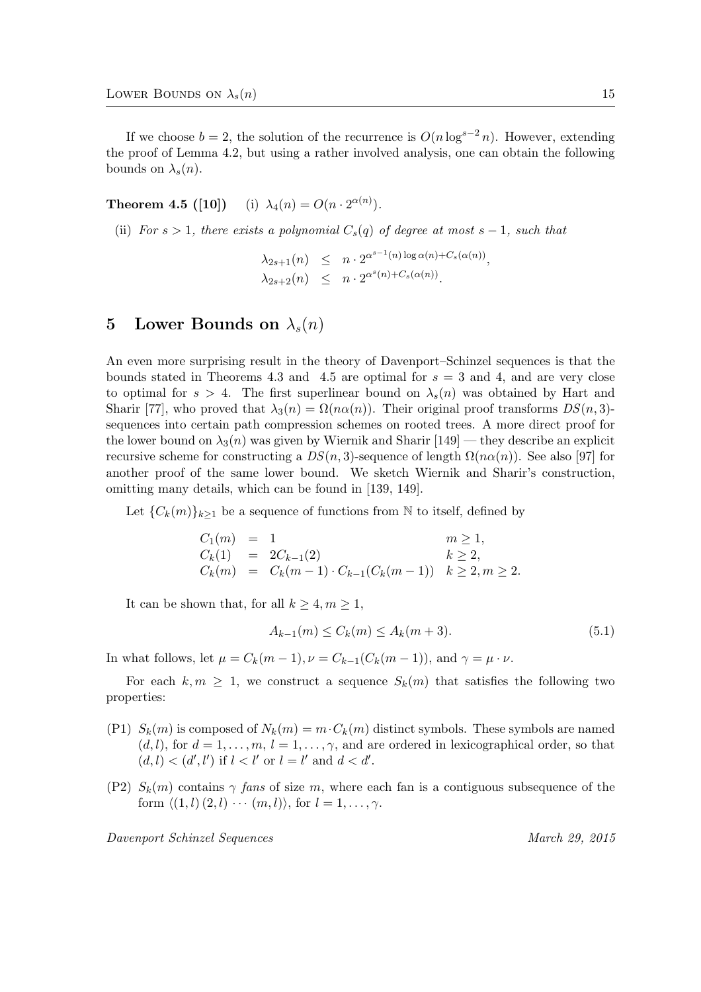If we choose  $b = 2$ , the solution of the recurrence is  $O(n \log^{s-2} n)$ . However, extending the proof of Lemma 4.2, but using a rather involved analysis, one can obtain the following bounds on  $\lambda_s(n)$ .

# **Theorem 4.5** ([10]) (i)  $\lambda_4(n) = O(n \cdot 2^{\alpha(n)})$ .

(ii) For  $s > 1$ , there exists a polynomial  $C_s(q)$  of degree at most  $s - 1$ , such that

 $\lambda_{2s+1}(n) \leq n \cdot 2^{\alpha^{s-1}(n) \log \alpha(n) + C_s(\alpha(n))},$  $\lambda_{2s+2}(n) \leq n \cdot 2^{\alpha^s(n)+C_s(\alpha(n))}.$ 

# 5 Lower Bounds on  $\lambda_s(n)$

An even more surprising result in the theory of Davenport–Schinzel sequences is that the bounds stated in Theorems 4.3 and 4.5 are optimal for  $s = 3$  and 4, and are very close to optimal for  $s > 4$ . The first superlinear bound on  $\lambda_s(n)$  was obtained by Hart and Sharir [77], who proved that  $\lambda_3(n) = \Omega(n\alpha(n))$ . Their original proof transforms  $DS(n, 3)$ sequences into certain path compression schemes on rooted trees. A more direct proof for the lower bound on  $\lambda_3(n)$  was given by Wiernik and Sharir [149] — they describe an explicit recursive scheme for constructing a  $DS(n, 3)$ -sequence of length  $\Omega(n\alpha(n))$ . See also [97] for another proof of the same lower bound. We sketch Wiernik and Sharir's construction, omitting many details, which can be found in [139, 149].

Let  ${C_k(m)}_{k\geq1}$  be a sequence of functions from N to itself, defined by

$$
C_1(m) = 1 \t m \ge 1,C_k(1) = 2C_{k-1}(2) \t k \ge 2,C_k(m) = C_k(m-1) \cdot C_{k-1}(C_k(m-1)) \t k \ge 2, m \ge 2.
$$

It can be shown that, for all  $k \geq 4, m \geq 1$ ,

$$
A_{k-1}(m) \le C_k(m) \le A_k(m+3). \tag{5.1}
$$

In what follows, let  $\mu = C_k(m-1), \nu = C_{k-1}(C_k(m-1)),$  and  $\gamma = \mu \cdot \nu$ .

For each  $k, m \geq 1$ , we construct a sequence  $S_k(m)$  that satisfies the following two properties:

- (P1)  $S_k(m)$  is composed of  $N_k(m) = m \cdot C_k(m)$  distinct symbols. These symbols are named  $(d, l)$ , for  $d = 1, \ldots, m, l = 1, \ldots, \gamma$ , and are ordered in lexicographical order, so that  $(d, l) < (d', l')$  if  $l < l'$  or  $l = l'$  and  $d < d'$ .
- (P2)  $S_k(m)$  contains  $\gamma$  fans of size m, where each fan is a contiguous subsequence of the form  $\langle (1, l) (2, l) \cdots (m, l) \rangle$ , for  $l = 1, \ldots, \gamma$ .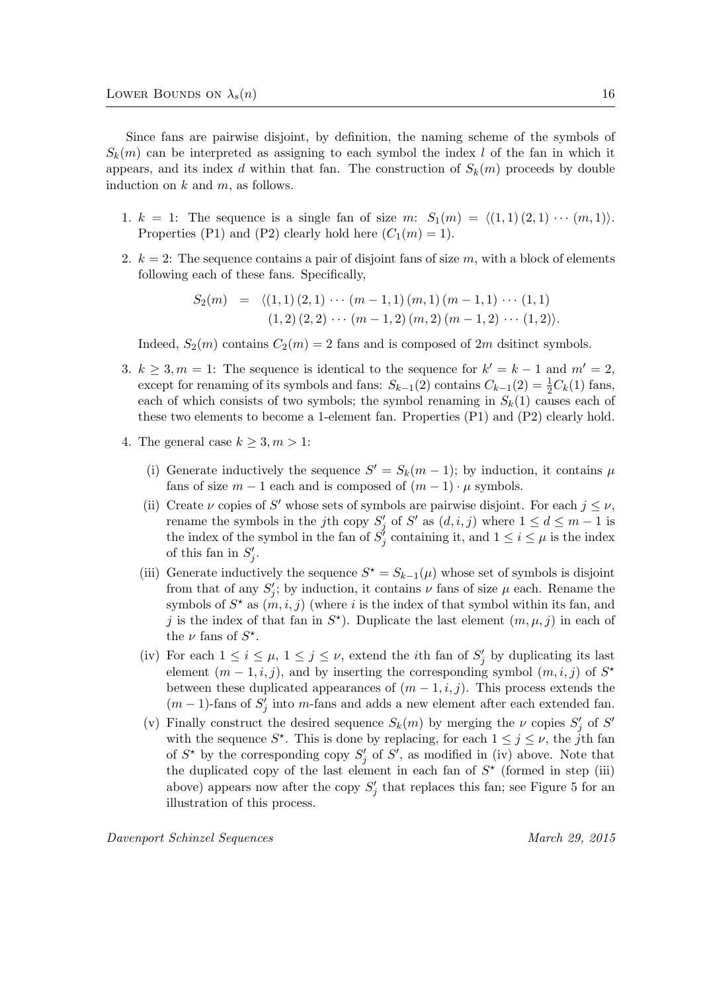Since fans are pairwise disjoint, by definition, the naming scheme of the symbols of  $S_k(m)$  can be interpreted as assigning to each symbol the index l of the fan in which it appears, and its index d within that fan. The construction of  $S_k(m)$  proceeds by double induction on  $k$  and  $m$ , as follows.

- 1.  $k = 1$ : The sequence is a single fan of size m:  $S_1(m) = \langle (1, 1), (2, 1), \dots, (m, 1) \rangle$ . Properties (P1) and (P2) clearly hold here  $(C_1(m) = 1)$ .
- 2.  $k = 2$ : The sequence contains a pair of disjoint fans of size m, with a block of elements following each of these fans. Specifically,

$$
S_2(m) = \langle (1,1) (2,1) \cdots (m-1,1) (m,1) (m-1,1) \cdots (1,1) (1,2) (2,2) \cdots (m-1,2) (m,2) (m-1,2) \cdots (1,2) \rangle.
$$

Indeed,  $S_2(m)$  contains  $C_2(m) = 2$  fans and is composed of 2m dsitinct symbols.

- 3.  $k \geq 3, m = 1$ : The sequence is identical to the sequence for  $k' = k 1$  and  $m' = 2$ , except for renaming of its symbols and fans:  $S_{k-1}(2)$  contains  $C_{k-1}(2) = \frac{1}{2}C_k(1)$  fans, each of which consists of two symbols; the symbol renaming in  $S_k(1)$  causes each of these two elements to become a 1-element fan. Properties (P1) and (P2) clearly hold.
- 4. The general case  $k \geq 3, m > 1$ :
	- (i) Generate inductively the sequence  $S' = S_k(m-1)$ ; by induction, it contains  $\mu$ fans of size  $m-1$  each and is composed of  $(m-1) \cdot \mu$  symbols.
	- (ii) Create  $\nu$  copies of S' whose sets of symbols are pairwise disjoint. For each  $j \leq \nu$ , rename the symbols in the jth copy  $S'_{j}$  of  $S'$  as  $(d, i, j)$  where  $1 \leq d \leq m - 1$  is the index of the symbol in the fan of  $S'_{j}$  containing it, and  $1 \leq i \leq \mu$  is the index of this fan in  $S'_j$ .
	- (iii) Generate inductively the sequence  $S^* = S_{k-1}(\mu)$  whose set of symbols is disjoint from that of any  $S'_{j}$ ; by induction, it contains  $\nu$  fans of size  $\mu$  each. Rename the symbols of  $S^*$  as  $(m, i, j)$  (where i is the index of that symbol within its fan, and j is the index of that fan in  $S^*$ ). Duplicate the last element  $(m, \mu, j)$  in each of the  $\nu$  fans of  $S^*$ .
	- (iv) For each  $1 \leq i \leq \mu$ ,  $1 \leq j \leq \nu$ , extend the *i*th fan of  $S'_{j}$  by duplicating its last element  $(m-1,i,j)$ , and by inserting the corresponding symbol  $(m,i,j)$  of  $S^*$ between these duplicated appearances of  $(m-1, i, j)$ . This process extends the  $(m-1)$ -fans of  $S'_{j}$  into m-fans and adds a new element after each extended fan.
	- (v) Finally construct the desired sequence  $S_k(m)$  by merging the  $\nu$  copies  $S'_j$  of  $S'$ with the sequence  $S^*$ . This is done by replacing, for each  $1 \leq j \leq \nu$ , the j<sup>th</sup> fan of  $S^*$  by the corresponding copy  $S'_j$  of  $S'$ , as modified in (iv) above. Note that the duplicated copy of the last element in each fan of  $S^*$  (formed in step (iii) above) appears now after the copy  $S'_{j}$  that replaces this fan; see Figure 5 for an illustration of this process.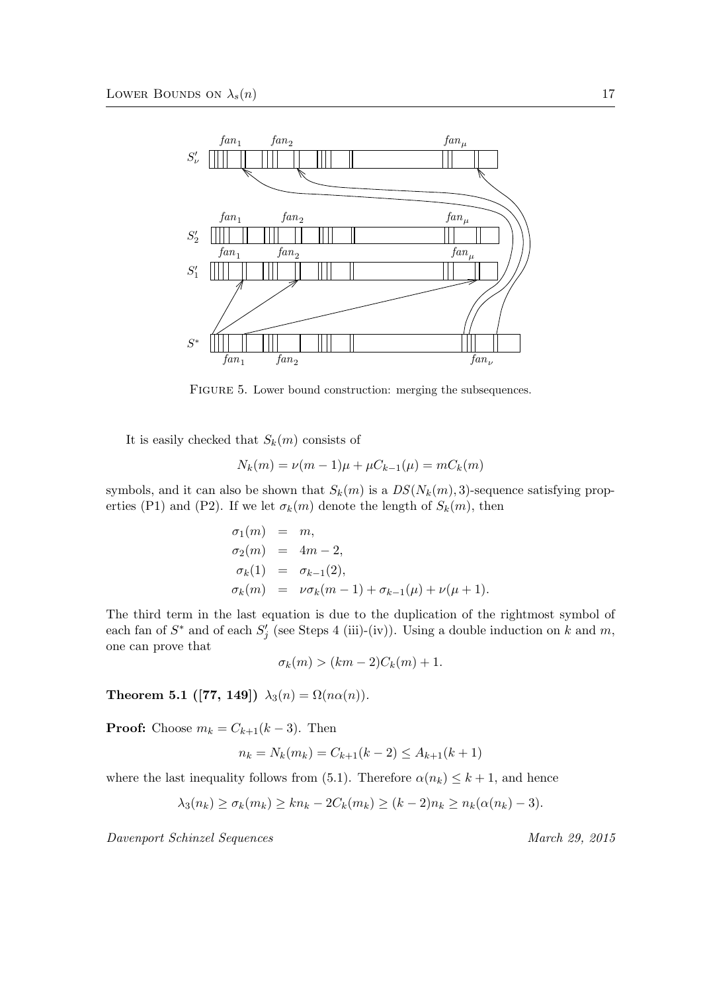

FIGURE 5. Lower bound construction: merging the subsequences.

It is easily checked that  $S_k(m)$  consists of

$$
N_k(m) = \nu(m-1)\mu + \mu C_{k-1}(\mu) = mC_k(m)
$$

symbols, and it can also be shown that  $S_k(m)$  is a  $DS(N_k(m), 3)$ -sequence satisfying properties (P1) and (P2). If we let  $\sigma_k(m)$  denote the length of  $S_k(m)$ , then

$$
\sigma_1(m) = m,
$$
  
\n
$$
\sigma_2(m) = 4m - 2,
$$
  
\n
$$
\sigma_k(1) = \sigma_{k-1}(2),
$$
  
\n
$$
\sigma_k(m) = \nu \sigma_k(m-1) + \sigma_{k-1}(\mu) + \nu(\mu+1).
$$

The third term in the last equation is due to the duplication of the rightmost symbol of each fan of  $S^*$  and of each  $S'_j$  (see Steps 4 (iii)-(iv)). Using a double induction on k and m, one can prove that

$$
\sigma_k(m) > (km - 2)C_k(m) + 1.
$$

Theorem 5.1 ([77, 149])  $\lambda_3(n) = \Omega(n\alpha(n)).$ 

**Proof:** Choose  $m_k = C_{k+1}(k-3)$ . Then

$$
n_k = N_k(m_k) = C_{k+1}(k-2) \le A_{k+1}(k+1)
$$

where the last inequality follows from (5.1). Therefore  $\alpha(n_k) \leq k+1$ , and hence

$$
\lambda_3(n_k) \ge \sigma_k(m_k) \ge kn_k - 2C_k(m_k) \ge (k-2)n_k \ge n_k(\alpha(n_k) - 3).
$$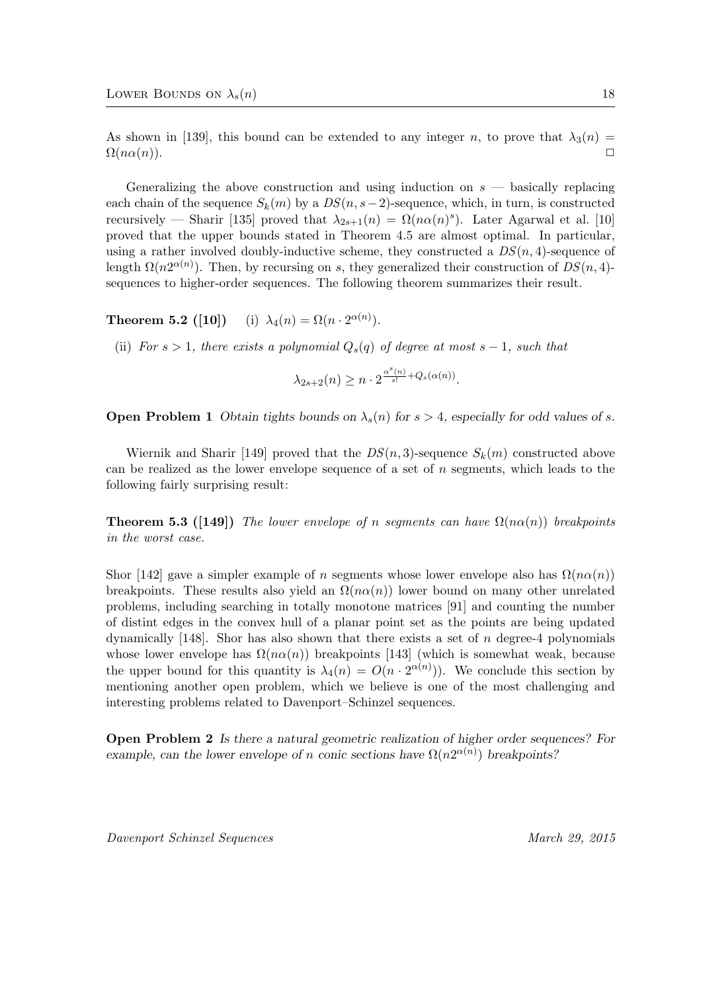As shown in [139], this bound can be extended to any integer n, to prove that  $\lambda_3(n)$  =  $\Omega(n\alpha(n)).$ 

Generalizing the above construction and using induction on  $s$  — basically replacing each chain of the sequence  $S_k(m)$  by a  $DS(n, s-2)$ -sequence, which, in turn, is constructed recursively — Sharir [135] proved that  $\lambda_{2s+1}(n) = \Omega(n\alpha(n)^s)$ . Later Agarwal et al. [10] proved that the upper bounds stated in Theorem 4.5 are almost optimal. In particular, using a rather involved doubly-inductive scheme, they constructed a  $DS(n, 4)$ -sequence of length  $\Omega(n2^{\alpha(n)})$ . Then, by recursing on s, they generalized their construction of  $DS(n, 4)$ sequences to higher-order sequences. The following theorem summarizes their result.

**Theorem 5.2** ([10]) (i)  $\lambda_4(n) = \Omega(n \cdot 2^{\alpha(n)})$ .

(ii) For  $s > 1$ , there exists a polynomial  $Q_s(q)$  of degree at most  $s - 1$ , such that

$$
\lambda_{2s+2}(n) \ge n \cdot 2^{\frac{\alpha^s(n)}{s!} + Q_s(\alpha(n))}.
$$

**Open Problem 1** Obtain tights bounds on  $\lambda_s(n)$  for  $s > 4$ , especially for odd values of s.

Wiernik and Sharir [149] proved that the  $DS(n, 3)$ -sequence  $S_k(m)$  constructed above can be realized as the lower envelope sequence of a set of n segments, which leads to the following fairly surprising result:

**Theorem 5.3 ([149])** The lower envelope of n segments can have  $\Omega(n\alpha(n))$  breakpoints in the worst case.

Shor [142] gave a simpler example of n segments whose lower envelope also has  $\Omega(n\alpha(n))$ breakpoints. These results also yield an  $\Omega(n\alpha(n))$  lower bound on many other unrelated problems, including searching in totally monotone matrices [91] and counting the number of distint edges in the convex hull of a planar point set as the points are being updated dynamically  $[148]$ . Shor has also shown that there exists a set of n degree-4 polynomials whose lower envelope has  $\Omega(n\alpha(n))$  breakpoints [143] (which is somewhat weak, because the upper bound for this quantity is  $\lambda_4(n) = O(n \cdot 2^{\alpha(n)})$ . We conclude this section by mentioning another open problem, which we believe is one of the most challenging and interesting problems related to Davenport–Schinzel sequences.

Open Problem 2 Is there a natural geometric realization of higher order sequences? For example, can the lower envelope of n conic sections have  $\Omega(n2^{\alpha(n)})$  breakpoints?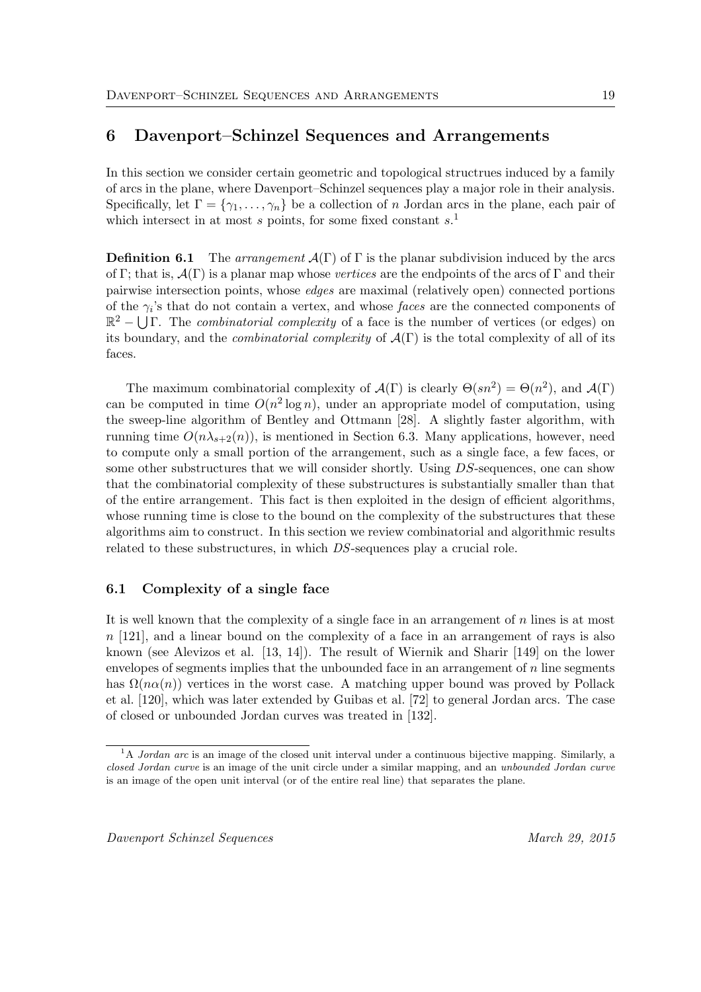# 6 Davenport–Schinzel Sequences and Arrangements

In this section we consider certain geometric and topological structrues induced by a family of arcs in the plane, where Davenport–Schinzel sequences play a major role in their analysis. Specifically, let  $\Gamma = \{\gamma_1, \ldots, \gamma_n\}$  be a collection of n Jordan arcs in the plane, each pair of which intersect in at most  $s$  points, for some fixed constant  $s$ <sup>1</sup>.

**Definition 6.1** The arrangement  $\mathcal{A}(\Gamma)$  of  $\Gamma$  is the planar subdivision induced by the arcs of Γ; that is,  $\mathcal{A}(\Gamma)$  is a planar map whose vertices are the endpoints of the arcs of Γ and their pairwise intersection points, whose edges are maximal (relatively open) connected portions of the  $\gamma_i$ 's that do not contain a vertex, and whose *faces* are the connected components of  $\mathbb{R}^2$  –  $\bigcup \Gamma$ . The *combinatorial complexity* of a face is the number of vertices (or edges) on its boundary, and the *combinatorial complexity* of  $\mathcal{A}(\Gamma)$  is the total complexity of all of its faces.

The maximum combinatorial complexity of  $\mathcal{A}(\Gamma)$  is clearly  $\Theta(sn^2) = \Theta(n^2)$ , and  $\mathcal{A}(\Gamma)$ can be computed in time  $O(n^2 \log n)$ , under an appropriate model of computation, using the sweep-line algorithm of Bentley and Ottmann [28]. A slightly faster algorithm, with running time  $O(n\lambda_{s+2}(n))$ , is mentioned in Section 6.3. Many applications, however, need to compute only a small portion of the arrangement, such as a single face, a few faces, or some other substructures that we will consider shortly. Using DS-sequences, one can show that the combinatorial complexity of these substructures is substantially smaller than that of the entire arrangement. This fact is then exploited in the design of efficient algorithms, whose running time is close to the bound on the complexity of the substructures that these algorithms aim to construct. In this section we review combinatorial and algorithmic results related to these substructures, in which DS-sequences play a crucial role.

### 6.1 Complexity of a single face

It is well known that the complexity of a single face in an arrangement of  $n$  lines is at most  $n$  [121], and a linear bound on the complexity of a face in an arrangement of rays is also known (see Alevizos et al. [13, 14]). The result of Wiernik and Sharir [149] on the lower envelopes of segments implies that the unbounded face in an arrangement of  $n$  line segments has  $\Omega(n\alpha(n))$  vertices in the worst case. A matching upper bound was proved by Pollack et al. [120], which was later extended by Guibas et al. [72] to general Jordan arcs. The case of closed or unbounded Jordan curves was treated in [132].

 $1A$  Jordan arc is an image of the closed unit interval under a continuous bijective mapping. Similarly, a closed Jordan curve is an image of the unit circle under a similar mapping, and an unbounded Jordan curve is an image of the open unit interval (or of the entire real line) that separates the plane.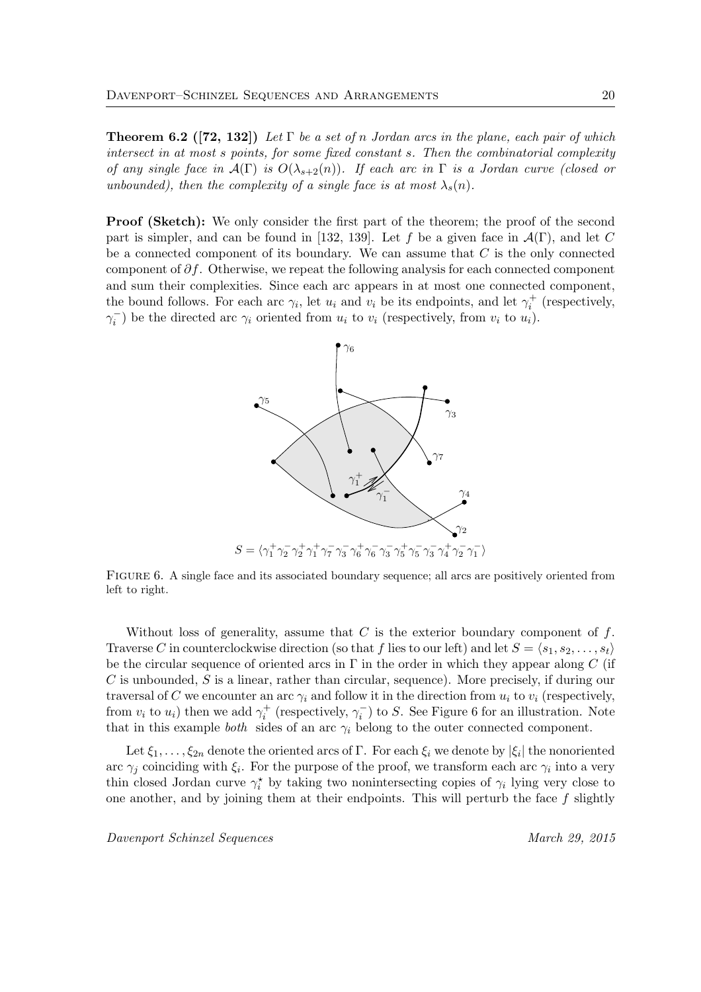**Theorem 6.2** ([72, 132]) Let  $\Gamma$  be a set of n Jordan arcs in the plane, each pair of which intersect in at most s points, for some fixed constant s. Then the combinatorial complexity of any single face in  $\mathcal{A}(\Gamma)$  is  $O(\lambda_{s+2}(n))$ . If each arc in  $\Gamma$  is a Jordan curve (closed or unbounded), then the complexity of a single face is at most  $\lambda_s(n)$ .

**Proof (Sketch):** We only consider the first part of the theorem; the proof of the second part is simpler, and can be found in [132, 139]. Let f be a given face in  $\mathcal{A}(\Gamma)$ , and let C be a connected component of its boundary. We can assume that  $C$  is the only connected component of  $\partial f$ . Otherwise, we repeat the following analysis for each connected component and sum their complexities. Since each arc appears in at most one connected component, the bound follows. For each arc  $\gamma_i$ , let  $u_i$  and  $v_i$  be its endpoints, and let  $\gamma_i^+$  (respectively,  $\gamma_i^-$ ) be the directed arc  $\gamma_i$  oriented from  $u_i$  to  $v_i$  (respectively, from  $v_i$  to  $u_i$ ).



Figure 6. A single face and its associated boundary sequence; all arcs are positively oriented from left to right.

Without loss of generality, assume that  $C$  is the exterior boundary component of  $f$ . Traverse C in counterclockwise direction (so that f lies to our left) and let  $S = \langle s_1, s_2, \ldots, s_t \rangle$ be the circular sequence of oriented arcs in  $\Gamma$  in the order in which they appear along C (if  $C$  is unbounded,  $S$  is a linear, rather than circular, sequence). More precisely, if during our traversal of C we encounter an arc  $\gamma_i$  and follow it in the direction from  $u_i$  to  $v_i$  (respectively, from  $v_i$  to  $u_i$ ) then we add  $\gamma_i^+$  (respectively,  $\gamma_i^-$ ) to S. See Figure 6 for an illustration. Note that in this example *both* sides of an arc  $\gamma_i$  belong to the outer connected component.

Let  $\xi_1,\ldots,\xi_{2n}$  denote the oriented arcs of  $\Gamma$ . For each  $\xi_i$  we denote by  $|\xi_i|$  the nonoriented arc  $\gamma_j$  coinciding with  $\xi_i$ . For the purpose of the proof, we transform each arc  $\gamma_i$  into a very thin closed Jordan curve  $\gamma_i^*$  by taking two nonintersecting copies of  $\gamma_i$  lying very close to one another, and by joining them at their endpoints. This will perturb the face  $f$  slightly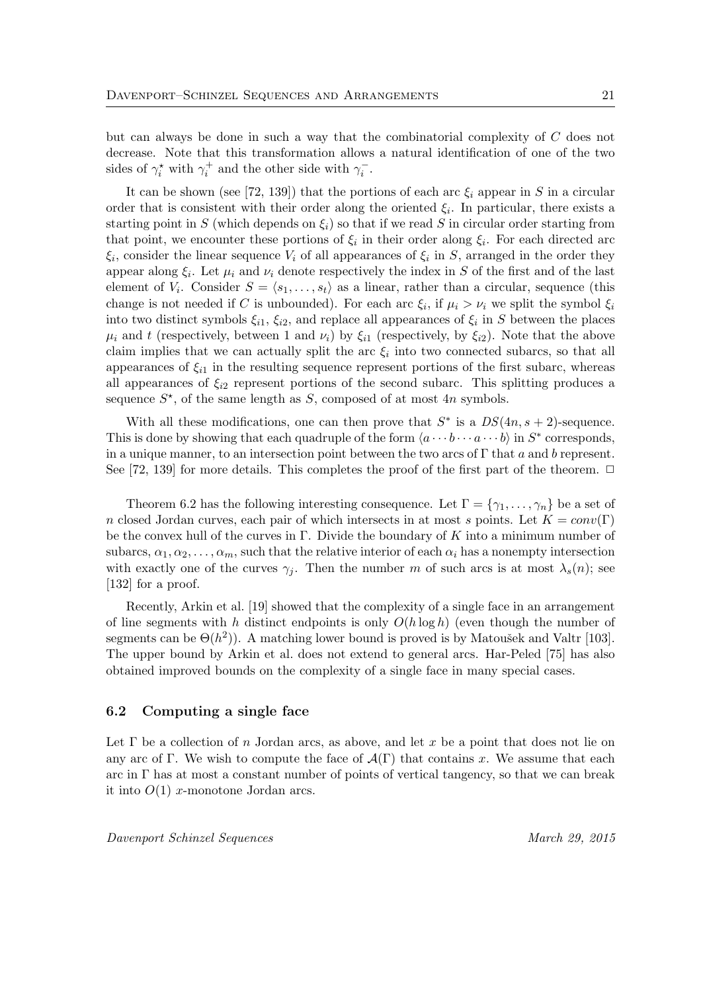but can always be done in such a way that the combinatorial complexity of C does not decrease. Note that this transformation allows a natural identification of one of the two sides of  $\gamma_i^*$  with  $\gamma_i^+$  and the other side with  $\gamma_i^-$ .

It can be shown (see [72, 139]) that the portions of each arc  $\xi_i$  appear in S in a circular order that is consistent with their order along the oriented  $\xi_i$ . In particular, there exists a starting point in S (which depends on  $\xi_i$ ) so that if we read S in circular order starting from that point, we encounter these portions of  $\xi_i$  in their order along  $\xi_i$ . For each directed arc  $\xi_i$ , consider the linear sequence  $V_i$  of all appearances of  $\xi_i$  in S, arranged in the order they appear along  $\xi_i$ . Let  $\mu_i$  and  $\nu_i$  denote respectively the index in S of the first and of the last element of  $V_i$ . Consider  $S = \langle s_1, \ldots, s_t \rangle$  as a linear, rather than a circular, sequence (this change is not needed if C is unbounded). For each arc  $\xi_i$ , if  $\mu_i > \nu_i$  we split the symbol  $\xi_i$ into two distinct symbols  $\xi_{i1}$ ,  $\xi_{i2}$ , and replace all appearances of  $\xi_i$  in S between the places  $\mu_i$  and t (respectively, between 1 and  $\nu_i$ ) by  $\xi_{i1}$  (respectively, by  $\xi_{i2}$ ). Note that the above claim implies that we can actually split the arc  $\xi_i$  into two connected subarcs, so that all appearances of  $\xi_{i1}$  in the resulting sequence represent portions of the first subarc, whereas all appearances of  $\xi_{i2}$  represent portions of the second subarc. This splitting produces a sequence  $S^*$ , of the same length as  $S$ , composed of at most 4n symbols.

With all these modifications, one can then prove that  $S^*$  is a  $DS(4n, s + 2)$ -sequence. This is done by showing that each quadruple of the form  $\langle a \cdots b \cdots a \cdots b \rangle$  in  $S^*$  corresponds, in a unique manner, to an intersection point between the two arcs of  $\Gamma$  that a and b represent. See [72, 139] for more details. This completes the proof of the first part of the theorem.  $\Box$ 

Theorem 6.2 has the following interesting consequence. Let  $\Gamma = \{\gamma_1, \ldots, \gamma_n\}$  be a set of n closed Jordan curves, each pair of which intersects in at most s points. Let  $K = conv(\Gamma)$ be the convex hull of the curves in Γ. Divide the boundary of K into a minimum number of subarcs,  $\alpha_1, \alpha_2, \ldots, \alpha_m$ , such that the relative interior of each  $\alpha_i$  has a nonempty intersection with exactly one of the curves  $\gamma_j$ . Then the number m of such arcs is at most  $\lambda_s(n)$ ; see [132] for a proof.

Recently, Arkin et al. [19] showed that the complexity of a single face in an arrangement of line segments with h distinct endpoints is only  $O(h \log h)$  (even though the number of segments can be  $\Theta(h^2)$ ). A matching lower bound is proved is by Matoušek and Valtr [103]. The upper bound by Arkin et al. does not extend to general arcs. Har-Peled [75] has also obtained improved bounds on the complexity of a single face in many special cases.

#### 6.2 Computing a single face

Let  $\Gamma$  be a collection of n Jordan arcs, as above, and let x be a point that does not lie on any arc of Γ. We wish to compute the face of  $\mathcal{A}(\Gamma)$  that contains x. We assume that each arc in  $\Gamma$  has at most a constant number of points of vertical tangency, so that we can break it into  $O(1)$  x-monotone Jordan arcs.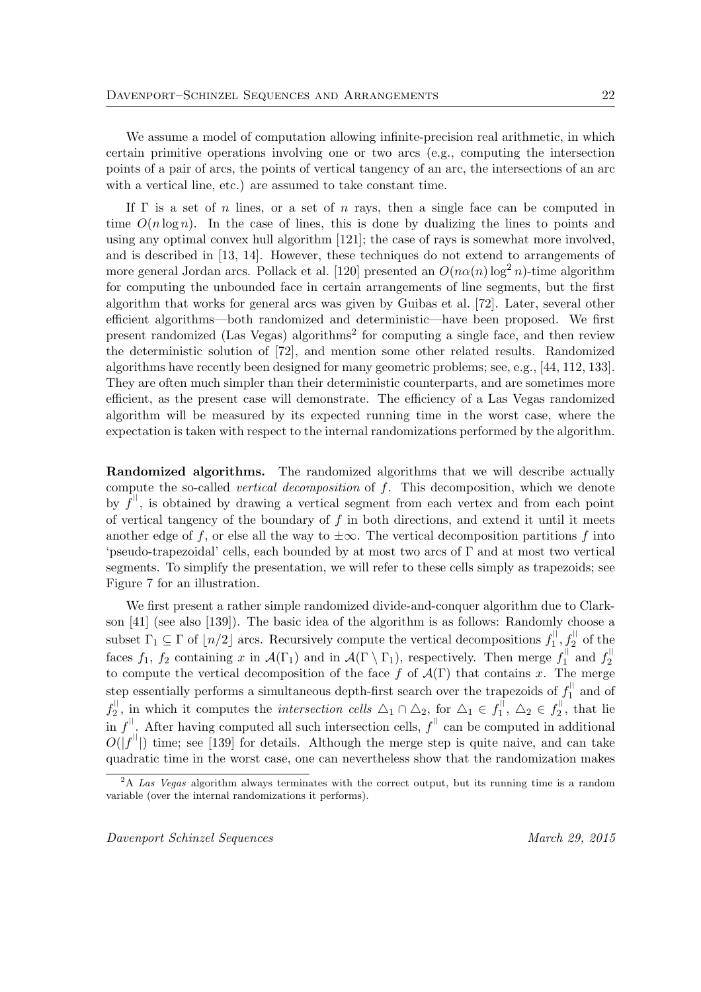We assume a model of computation allowing infinite-precision real arithmetic, in which certain primitive operations involving one or two arcs (e.g., computing the intersection points of a pair of arcs, the points of vertical tangency of an arc, the intersections of an arc with a vertical line, etc.) are assumed to take constant time.

If  $\Gamma$  is a set of n lines, or a set of n rays, then a single face can be computed in time  $O(n \log n)$ . In the case of lines, this is done by dualizing the lines to points and using any optimal convex hull algorithm [121]; the case of rays is somewhat more involved, and is described in [13, 14]. However, these techniques do not extend to arrangements of more general Jordan arcs. Pollack et al. [120] presented an  $O(n\alpha(n) \log^2 n)$ -time algorithm for computing the unbounded face in certain arrangements of line segments, but the first algorithm that works for general arcs was given by Guibas et al. [72]. Later, several other efficient algorithms—both randomized and deterministic—have been proposed. We first present randomized (Las Vegas) algorithms<sup>2</sup> for computing a single face, and then review the deterministic solution of [72], and mention some other related results. Randomized algorithms have recently been designed for many geometric problems; see, e.g., [44, 112, 133]. They are often much simpler than their deterministic counterparts, and are sometimes more efficient, as the present case will demonstrate. The efficiency of a Las Vegas randomized algorithm will be measured by its expected running time in the worst case, where the expectation is taken with respect to the internal randomizations performed by the algorithm.

Randomized algorithms. The randomized algorithms that we will describe actually compute the so-called vertical decomposition of f. This decomposition, which we denote by  $\tilde{f}^{\parallel}$ , is obtained by drawing a vertical segment from each vertex and from each point of vertical tangency of the boundary of  $f$  in both directions, and extend it until it meets another edge of f, or else all the way to  $\pm\infty$ . The vertical decomposition partitions f into 'pseudo-trapezoidal' cells, each bounded by at most two arcs of Γ and at most two vertical segments. To simplify the presentation, we will refer to these cells simply as trapezoids; see Figure 7 for an illustration.

We first present a rather simple randomized divide-and-conquer algorithm due to Clarkson [41] (see also [139]). The basic idea of the algorithm is as follows: Randomly choose a subset  $\Gamma_1 \subseteq \Gamma$  of  $\lfloor n/2 \rfloor$  arcs. Recursively compute the vertical decompositions  $f_1^{\parallel}$  $\frac{1}{1}, \frac{1}{2}$  of the faces  $f_1$ ,  $f_2$  containing x in  $\mathcal{A}(\Gamma_1)$  and in  $\mathcal{A}(\Gamma \setminus \Gamma_1)$ , respectively. Then merge  $f_1^{\parallel}$  $f_1^{\parallel}$  and  $f_2^{\parallel}$ 2 to compute the vertical decomposition of the face f of  $\mathcal{A}(\Gamma)$  that contains x. The merge step essentially performs a simultaneous depth-first search over the trapezoids of  $f_1^{\parallel}$  $i_1$  and of  $f_2^{||}$  $\mathbb{Z}_2^{\parallel}$ , in which it computes the *intersection cells*  $\Delta_1 \cap \Delta_2$ , for  $\Delta_1 \in f_1^{\parallel}$  $f_1^{\text{||}}, \Delta_2 \in f_2^{\text{||}}$  $x_2^{\prime\prime}$ , that lie in  $f^{\parallel}$ . After having computed all such intersection cells,  $f^{\parallel}$  can be computed in additional  $O(|f<sup>||</sup>|)$  time; see [139] for details. Although the merge step is quite naive, and can take quadratic time in the worst case, one can nevertheless show that the randomization makes

<sup>&</sup>lt;sup>2</sup>A Las Vegas algorithm always terminates with the correct output, but its running time is a random variable (over the internal randomizations it performs).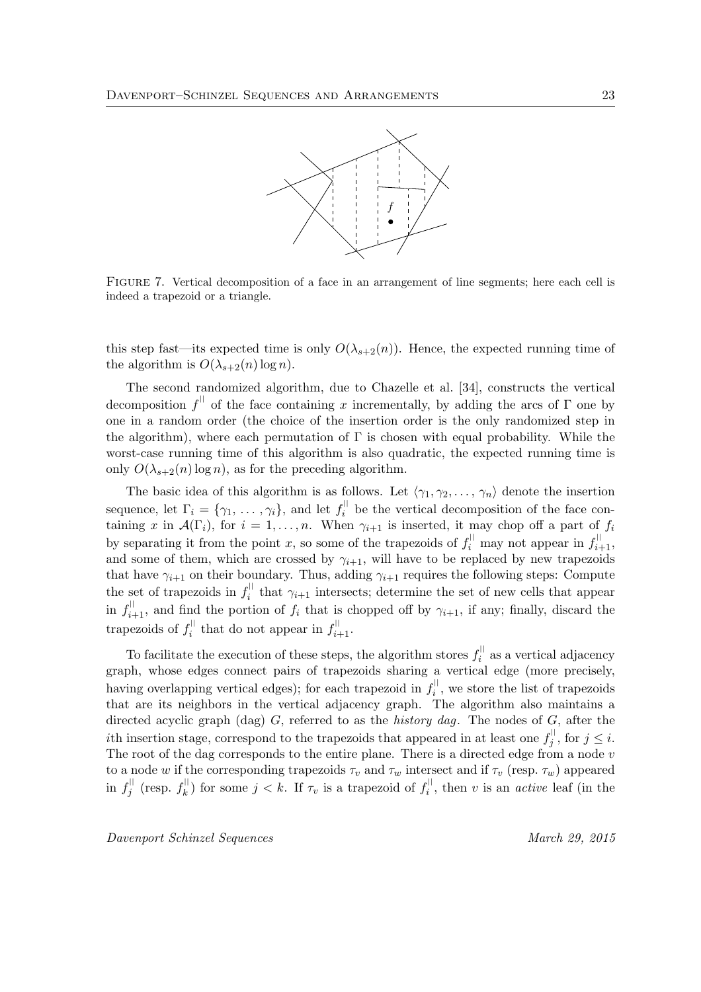

Figure 7. Vertical decomposition of a face in an arrangement of line segments; here each cell is indeed a trapezoid or a triangle.

this step fast—its expected time is only  $O(\lambda_{s+2}(n))$ . Hence, the expected running time of the algorithm is  $O(\lambda_{s+2}(n) \log n)$ .

The second randomized algorithm, due to Chazelle et al. [34], constructs the vertical decomposition  $f^{\parallel}$  of the face containing x incrementally, by adding the arcs of  $\Gamma$  one by one in a random order (the choice of the insertion order is the only randomized step in the algorithm), where each permutation of  $\Gamma$  is chosen with equal probability. While the worst-case running time of this algorithm is also quadratic, the expected running time is only  $O(\lambda_{s+2}(n) \log n)$ , as for the preceding algorithm.

The basic idea of this algorithm is as follows. Let  $\langle \gamma_1, \gamma_2, \ldots, \gamma_n \rangle$  denote the insertion sequence, let  $\Gamma_i = \{ \gamma_1, \ldots, \gamma_i \}$ , and let  $f_i^{\parallel}$  $i$ <sup> $\parallel$ </sup> be the vertical decomposition of the face containing x in  $\mathcal{A}(\Gamma_i)$ , for  $i = 1, \ldots, n$ . When  $\gamma_{i+1}$  is inserted, it may chop off a part of  $f_i$ by separating it from the point x, so some of the trapezoids of  $f_i^{\parallel}$  may not appear in  $f_{i+1}^{\parallel}$ , and some of them, which are crossed by  $\gamma_{i+1}$ , will have to be replaced by new trapezoids that have  $\gamma_{i+1}$  on their boundary. Thus, adding  $\gamma_{i+1}$  requires the following steps: Compute the set of trapezoids in  $f_i^{\parallel}$  $\hat{i}$  that  $\gamma_{i+1}$  intersects; determine the set of new cells that appear in  $f_{i+1}^{\parallel}$ , and find the portion of  $f_i$  that is chopped off by  $\gamma_{i+1}$ , if any; finally, discard the trapezoids of  $f_i^{\parallel}$  $\sum_{i=1}^{\lvert \cdot \rvert}$  that do not appear in  $f_{i+1}^{\lvert \cdot \rvert}$ .

To facilitate the execution of these steps, the algorithm stores  $f_i^{\parallel}$  $i$ <sup> $i$ </sup> as a vertical adjacency graph, whose edges connect pairs of trapezoids sharing a vertical edge (more precisely, having overlapping vertical edges); for each trapezoid in  $f_i^{\parallel}$  $i_i^{\text{th}}$ , we store the list of trapezoids that are its neighbors in the vertical adjacency graph. The algorithm also maintains a directed acyclic graph (dag)  $G$ , referred to as the *history dag*. The nodes of  $G$ , after the *i*th insertion stage, correspond to the trapezoids that appeared in at least one  $f_i^{\parallel}$  $j^{\text{th}}$ , for  $j \leq i$ . The root of the dag corresponds to the entire plane. There is a directed edge from a node  $v$ to a node w if the corresponding trapezoids  $\tau_v$  and  $\tau_w$  intersect and if  $\tau_v$  (resp.  $\tau_w$ ) appeared in  $f_i^{\parallel}$  $j^{\parallel}$  (resp.  $f_k^{\parallel}$  $\binom{||}{k}$  for some  $j < k$ . If  $\tau_v$  is a trapezoid of  $f_i^{||}$  $i^{\text{th}}$ , then v is an *active* leaf (in the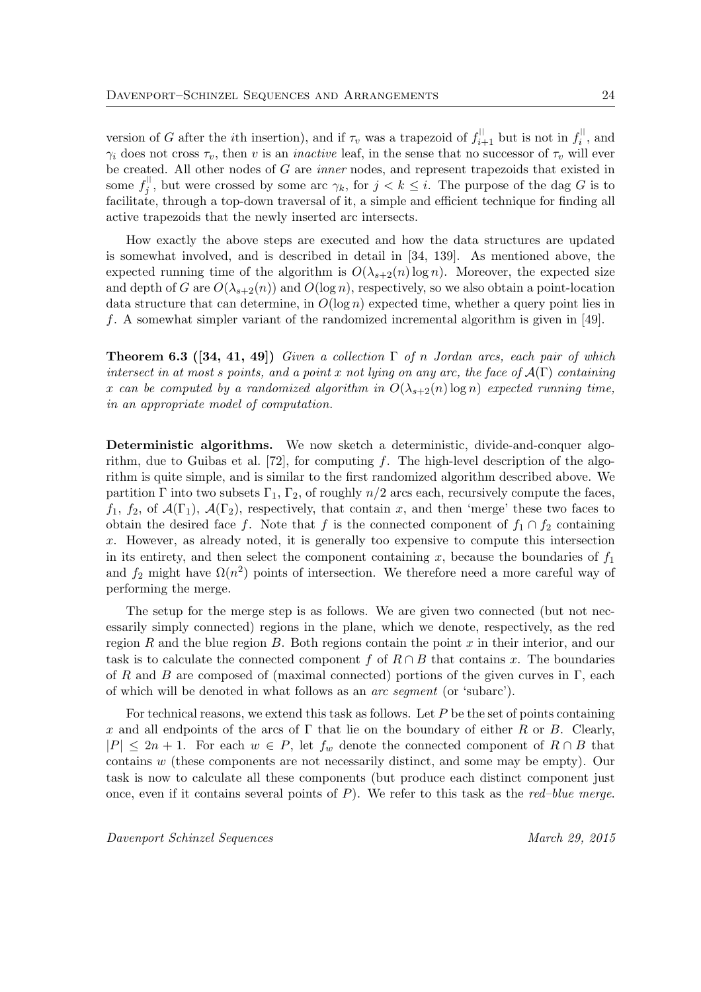version of G after the *i*th insertion), and if  $\tau_v$  was a trapezoid of  $f_{i+1}^{\parallel}$  but is not in  $f_i^{\parallel}$  $i^{\text{th}}$ , and  $\gamma_i$  does not cross  $\tau_v$ , then v is an *inactive* leaf, in the sense that no successor of  $\tau_v$  will ever be created. All other nodes of G are inner nodes, and represent trapezoids that existed in some  $f_i^{\parallel}$  $j^{\text{th}}$ , but were crossed by some arc  $\gamma_k$ , for  $j < k \leq i$ . The purpose of the dag G is to facilitate, through a top-down traversal of it, a simple and efficient technique for finding all active trapezoids that the newly inserted arc intersects.

How exactly the above steps are executed and how the data structures are updated is somewhat involved, and is described in detail in [34, 139]. As mentioned above, the expected running time of the algorithm is  $O(\lambda_{s+2}(n) \log n)$ . Moreover, the expected size and depth of G are  $O(\lambda_{s+2}(n))$  and  $O(\log n)$ , respectively, so we also obtain a point-location data structure that can determine, in  $O(\log n)$  expected time, whether a query point lies in f. A somewhat simpler variant of the randomized incremental algorithm is given in [49].

**Theorem 6.3** ([34, 41, 49]) Given a collection  $\Gamma$  of n Jordan arcs, each pair of which intersect in at most s points, and a point x not lying on any arc, the face of  $\mathcal{A}(\Gamma)$  containing x can be computed by a randomized algorithm in  $O(\lambda_{s+2}(n) \log n)$  expected running time, in an appropriate model of computation.

Deterministic algorithms. We now sketch a deterministic, divide-and-conquer algorithm, due to Guibas et al. [72], for computing f. The high-level description of the algorithm is quite simple, and is similar to the first randomized algorithm described above. We partition Γ into two subsets  $\Gamma_1$ ,  $\Gamma_2$ , of roughly  $n/2$  arcs each, recursively compute the faces,  $f_1, f_2$ , of  $\mathcal{A}(\Gamma_1)$ ,  $\mathcal{A}(\Gamma_2)$ , respectively, that contain x, and then 'merge' these two faces to obtain the desired face f. Note that f is the connected component of  $f_1 \cap f_2$  containing x. However, as already noted, it is generally too expensive to compute this intersection in its entirety, and then select the component containing  $x$ , because the boundaries of  $f_1$ and  $f_2$  might have  $\Omega(n^2)$  points of intersection. We therefore need a more careful way of performing the merge.

The setup for the merge step is as follows. We are given two connected (but not necessarily simply connected) regions in the plane, which we denote, respectively, as the red region R and the blue region B. Both regions contain the point x in their interior, and our task is to calculate the connected component f of  $R \cap B$  that contains x. The boundaries of R and B are composed of (maximal connected) portions of the given curves in  $\Gamma$ , each of which will be denoted in what follows as an arc segment (or 'subarc').

For technical reasons, we extend this task as follows. Let  $P$  be the set of points containing x and all endpoints of the arcs of  $\Gamma$  that lie on the boundary of either R or B. Clearly,  $|P| \leq 2n + 1$ . For each  $w \in P$ , let  $f_w$  denote the connected component of  $R \cap B$  that contains w (these components are not necessarily distinct, and some may be empty). Our task is now to calculate all these components (but produce each distinct component just once, even if it contains several points of  $P$ ). We refer to this task as the *red–blue merge*.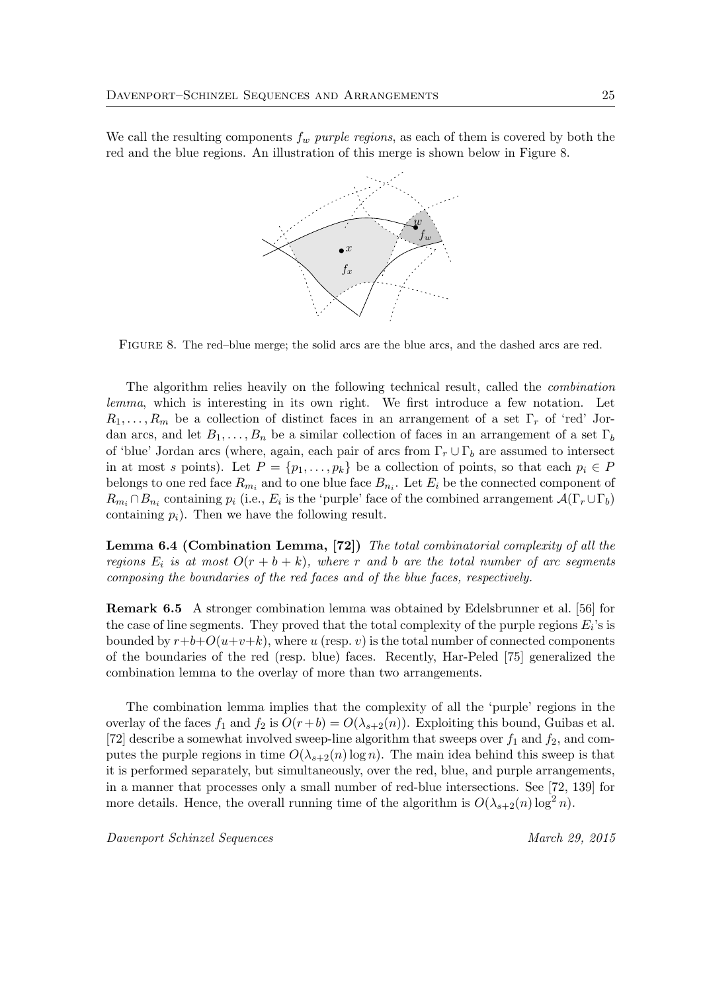We call the resulting components  $f_w$  purple regions, as each of them is covered by both the red and the blue regions. An illustration of this merge is shown below in Figure 8.



Figure 8. The red–blue merge; the solid arcs are the blue arcs, and the dashed arcs are red.

The algorithm relies heavily on the following technical result, called the combination lemma, which is interesting in its own right. We first introduce a few notation. Let  $R_1, \ldots, R_m$  be a collection of distinct faces in an arrangement of a set  $\Gamma_r$  of 'red' Jordan arcs, and let  $B_1, \ldots, B_n$  be a similar collection of faces in an arrangement of a set  $\Gamma_b$ of 'blue' Jordan arcs (where, again, each pair of arcs from  $\Gamma_r \cup \Gamma_b$  are assumed to intersect in at most s points). Let  $P = \{p_1, \ldots, p_k\}$  be a collection of points, so that each  $p_i \in P$ belongs to one red face  $R_{m_i}$  and to one blue face  $B_{n_i}$ . Let  $E_i$  be the connected component of  $R_{m_i} \cap B_{n_i}$  containing  $p_i$  (i.e.,  $E_i$  is the 'purple' face of the combined arrangement  $\mathcal{A}(\Gamma_r \cup \Gamma_b)$ containing  $p_i$ ). Then we have the following result.

Lemma 6.4 (Combination Lemma, [72]) The total combinatorial complexity of all the regions  $E_i$  is at most  $O(r + b + k)$ , where r and b are the total number of arc segments composing the boundaries of the red faces and of the blue faces, respectively.

Remark 6.5 A stronger combination lemma was obtained by Edelsbrunner et al. [56] for the case of line segments. They proved that the total complexity of the purple regions  $E_i$ 's is bounded by  $r+b+O(u+v+k)$ , where u (resp. v) is the total number of connected components of the boundaries of the red (resp. blue) faces. Recently, Har-Peled [75] generalized the combination lemma to the overlay of more than two arrangements.

The combination lemma implies that the complexity of all the 'purple' regions in the overlay of the faces  $f_1$  and  $f_2$  is  $O(r+b) = O(\lambda_{s+2}(n))$ . Exploiting this bound, Guibas et al. [72] describe a somewhat involved sweep-line algorithm that sweeps over  $f_1$  and  $f_2$ , and computes the purple regions in time  $O(\lambda_{s+2}(n) \log n)$ . The main idea behind this sweep is that it is performed separately, but simultaneously, over the red, blue, and purple arrangements, in a manner that processes only a small number of red-blue intersections. See [72, 139] for more details. Hence, the overall running time of the algorithm is  $O(\lambda_{s+2}(n) \log^2 n)$ .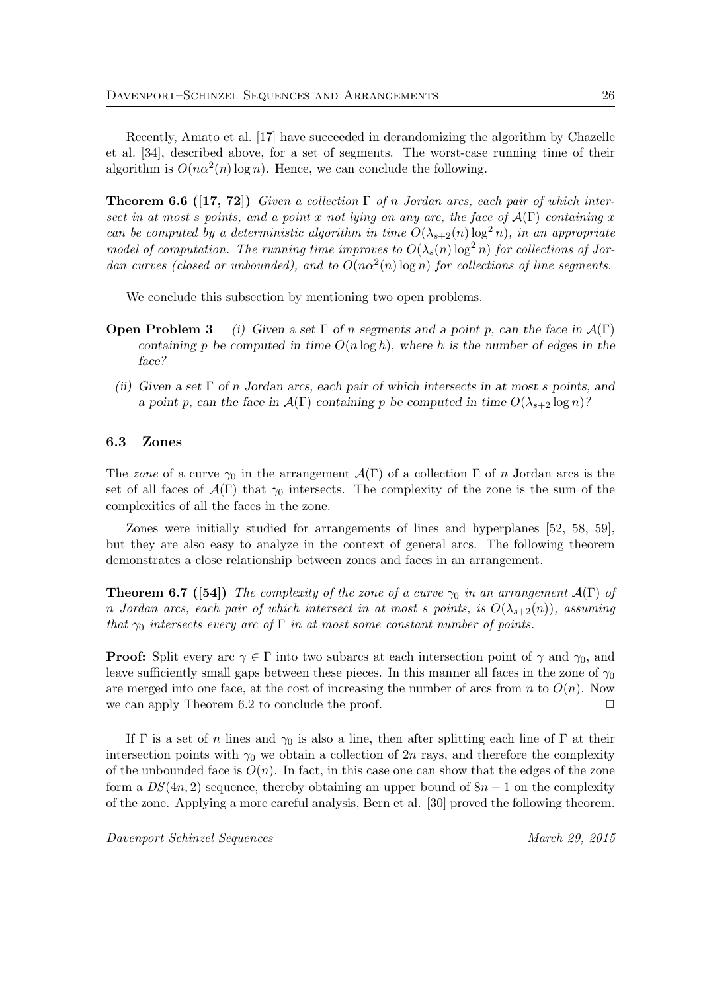Recently, Amato et al. [17] have succeeded in derandomizing the algorithm by Chazelle et al. [34], described above, for a set of segments. The worst-case running time of their algorithm is  $O(n\alpha^2(n)\log n)$ . Hence, we can conclude the following.

**Theorem 6.6** ([17, 72]) Given a collection  $\Gamma$  of n Jordan arcs, each pair of which intersect in at most s points, and a point x not lying on any arc, the face of  $\mathcal{A}(\Gamma)$  containing x can be computed by a deterministic algorithm in time  $O(\lambda_{s+2}(n) \log^2 n)$ , in an appropriate model of computation. The running time improves to  $O(\lambda_s(n) \log^2 n)$  for collections of Jordan curves (closed or unbounded), and to  $O(n\alpha^2(n) \log n)$  for collections of line segments.

We conclude this subsection by mentioning two open problems.

- **Open Problem 3** (i) Given a set  $\Gamma$  of n segments and a point p, can the face in  $\mathcal{A}(\Gamma)$ containing p be computed in time  $O(n \log h)$ , where h is the number of edges in the face?
	- (ii) Given a set  $\Gamma$  of n Jordan arcs, each pair of which intersects in at most s points, and a point p, can the face in  $\mathcal{A}(\Gamma)$  containing p be computed in time  $O(\lambda_{s+2} \log n)$ ?

#### 6.3 Zones

The zone of a curve  $\gamma_0$  in the arrangement  $\mathcal{A}(\Gamma)$  of a collection  $\Gamma$  of n Jordan arcs is the set of all faces of  $\mathcal{A}(\Gamma)$  that  $\gamma_0$  intersects. The complexity of the zone is the sum of the complexities of all the faces in the zone.

Zones were initially studied for arrangements of lines and hyperplanes [52, 58, 59], but they are also easy to analyze in the context of general arcs. The following theorem demonstrates a close relationship between zones and faces in an arrangement.

**Theorem 6.7** ([54]) The complexity of the zone of a curve  $\gamma_0$  in an arrangement  $\mathcal{A}(\Gamma)$  of n Jordan arcs, each pair of which intersect in at most s points, is  $O(\lambda_{s+2}(n))$ , assuming that  $\gamma_0$  intersects every arc of  $\Gamma$  in at most some constant number of points.

**Proof:** Split every arc  $\gamma \in \Gamma$  into two subarcs at each intersection point of  $\gamma$  and  $\gamma_0$ , and leave sufficiently small gaps between these pieces. In this manner all faces in the zone of  $\gamma_0$ are merged into one face, at the cost of increasing the number of arcs from n to  $O(n)$ . Now we can apply Theorem 6.2 to conclude the proof.  $\Box$ 

If  $\Gamma$  is a set of n lines and  $\gamma_0$  is also a line, then after splitting each line of  $\Gamma$  at their intersection points with  $\gamma_0$  we obtain a collection of 2n rays, and therefore the complexity of the unbounded face is  $O(n)$ . In fact, in this case one can show that the edges of the zone form a  $DS(4n, 2)$  sequence, thereby obtaining an upper bound of  $8n - 1$  on the complexity of the zone. Applying a more careful analysis, Bern et al. [30] proved the following theorem.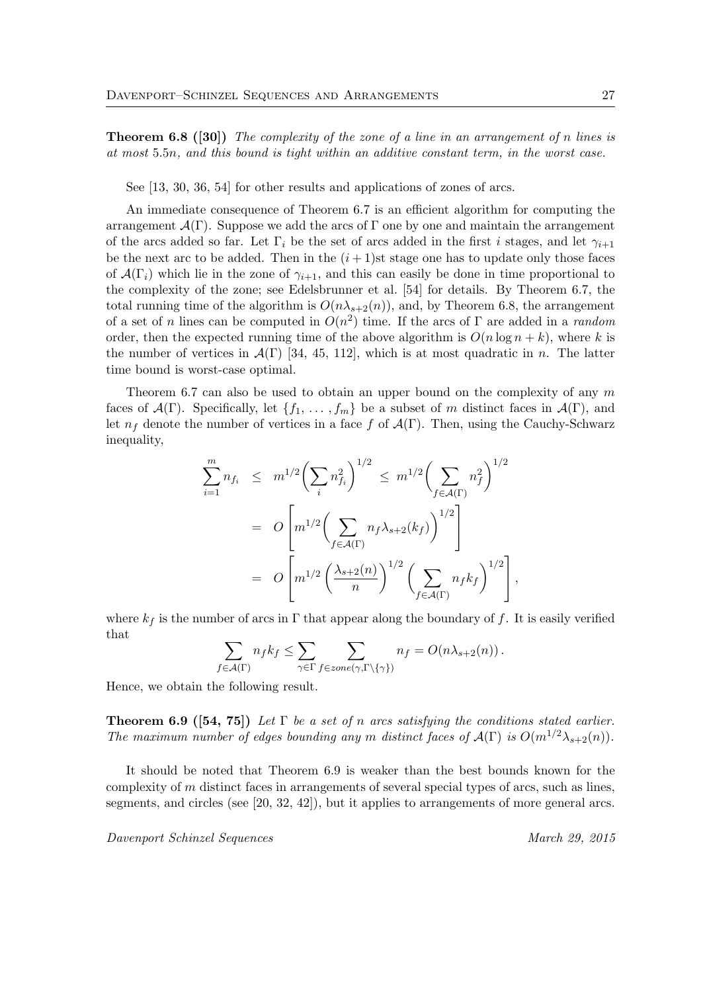**Theorem 6.8** ([30]) The complexity of the zone of a line in an arrangement of n lines is at most 5.5n, and this bound is tight within an additive constant term, in the worst case.

See [13, 30, 36, 54] for other results and applications of zones of arcs.

An immediate consequence of Theorem 6.7 is an efficient algorithm for computing the arrangement  $\mathcal{A}(\Gamma)$ . Suppose we add the arcs of  $\Gamma$  one by one and maintain the arrangement of the arcs added so far. Let  $\Gamma_i$  be the set of arcs added in the first i stages, and let  $\gamma_{i+1}$ be the next arc to be added. Then in the  $(i + 1)$ st stage one has to update only those faces of  $\mathcal{A}(\Gamma_i)$  which lie in the zone of  $\gamma_{i+1}$ , and this can easily be done in time proportional to the complexity of the zone; see Edelsbrunner et al. [54] for details. By Theorem 6.7, the total running time of the algorithm is  $O(n\lambda_{s+2}(n))$ , and, by Theorem 6.8, the arrangement of a set of n lines can be computed in  $O(n^2)$  time. If the arcs of  $\Gamma$  are added in a random order, then the expected running time of the above algorithm is  $O(n \log n + k)$ , where k is the number of vertices in  $\mathcal{A}(\Gamma)$  [34, 45, 112], which is at most quadratic in n. The latter time bound is worst-case optimal.

Theorem 6.7 can also be used to obtain an upper bound on the complexity of any  $m$ faces of  $\mathcal{A}(\Gamma)$ . Specifically, let  $\{f_1, \ldots, f_m\}$  be a subset of m distinct faces in  $\mathcal{A}(\Gamma)$ , and let  $n_f$  denote the number of vertices in a face f of  $\mathcal{A}(\Gamma)$ . Then, using the Cauchy-Schwarz inequality,

$$
\sum_{i=1}^{m} n_{f_i} \leq m^{1/2} \left( \sum_i n_{f_i}^2 \right)^{1/2} \leq m^{1/2} \left( \sum_{f \in \mathcal{A}(\Gamma)} n_f^2 \right)^{1/2}
$$
  
= 
$$
O\left[ m^{1/2} \left( \sum_{f \in \mathcal{A}(\Gamma)} n_f \lambda_{s+2}(k_f) \right)^{1/2} \right]
$$
  
= 
$$
O\left[ m^{1/2} \left( \frac{\lambda_{s+2}(n)}{n} \right)^{1/2} \left( \sum_{f \in \mathcal{A}(\Gamma)} n_f k_f \right)^{1/2} \right],
$$

where  $k_f$  is the number of arcs in  $\Gamma$  that appear along the boundary of f. It is easily verified that

$$
\sum_{f \in \mathcal{A}(\Gamma)} n_f k_f \leq \sum_{\gamma \in \Gamma} \sum_{f \in zone(\gamma, \Gamma \setminus \{\gamma\})} n_f = O(n \lambda_{s+2}(n)).
$$

Hence, we obtain the following result.

**Theorem 6.9** ([54, 75]) Let  $\Gamma$  be a set of n arcs satisfying the conditions stated earlier. The maximum number of edges bounding any m distinct faces of  $\mathcal{A}(\Gamma)$  is  $O(m^{1/2}\lambda_{s+2}(n))$ .

It should be noted that Theorem 6.9 is weaker than the best bounds known for the complexity of m distinct faces in arrangements of several special types of arcs, such as lines, segments, and circles (see [20, 32, 42]), but it applies to arrangements of more general arcs.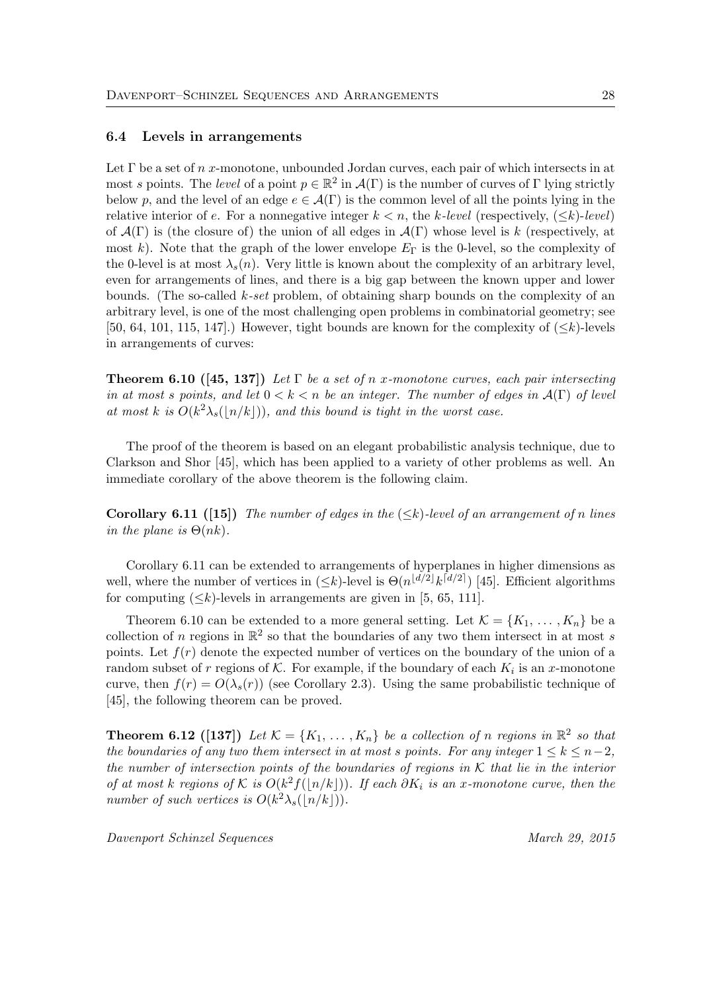#### 6.4 Levels in arrangements

Let  $\Gamma$  be a set of n x-monotone, unbounded Jordan curves, each pair of which intersects in at most s points. The level of a point  $p \in \mathbb{R}^2$  in  $\mathcal{A}(\Gamma)$  is the number of curves of  $\Gamma$  lying strictly below p, and the level of an edge  $e \in \mathcal{A}(\Gamma)$  is the common level of all the points lying in the relative interior of e. For a nonnegative integer  $k < n$ , the k-level (respectively,  $(\leq k)$ -level) of  $\mathcal{A}(\Gamma)$  is (the closure of) the union of all edges in  $\mathcal{A}(\Gamma)$  whose level is k (respectively, at most k). Note that the graph of the lower envelope  $E_{\Gamma}$  is the 0-level, so the complexity of the 0-level is at most  $\lambda_s(n)$ . Very little is known about the complexity of an arbitrary level, even for arrangements of lines, and there is a big gap between the known upper and lower bounds. (The so-called k-set problem, of obtaining sharp bounds on the complexity of an arbitrary level, is one of the most challenging open problems in combinatorial geometry; see [50, 64, 101, 115, 147].) However, tight bounds are known for the complexity of  $(\leq k)$ -levels in arrangements of curves:

**Theorem 6.10** ([45, 137]) Let  $\Gamma$  be a set of n x-monotone curves, each pair intersecting in at most s points, and let  $0 < k < n$  be an integer. The number of edges in  $\mathcal{A}(\Gamma)$  of level at most k is  $O(k^2\lambda_s(\lfloor n/k\rfloor))$ , and this bound is tight in the worst case.

The proof of the theorem is based on an elegant probabilistic analysis technique, due to Clarkson and Shor [45], which has been applied to a variety of other problems as well. An immediate corollary of the above theorem is the following claim.

**Corollary 6.11** ([15]) The number of edges in the  $(\leq k)$ -level of an arrangement of n lines in the plane is  $\Theta(nk)$ .

Corollary 6.11 can be extended to arrangements of hyperplanes in higher dimensions as well, where the number of vertices in  $(\leq k)$ -level is  $\Theta(n^{\lfloor d/2 \rfloor} k^{\lceil d/2 \rceil})$  [45]. Efficient algorithms for computing  $(\leq k)$ -levels in arrangements are given in [5, 65, 111].

Theorem 6.10 can be extended to a more general setting. Let  $\mathcal{K} = \{K_1, \ldots, K_n\}$  be a collection of n regions in  $\mathbb{R}^2$  so that the boundaries of any two them intersect in at most s points. Let  $f(r)$  denote the expected number of vertices on the boundary of the union of a random subset of r regions of K. For example, if the boundary of each  $K_i$  is an x-monotone curve, then  $f(r) = O(\lambda_s(r))$  (see Corollary 2.3). Using the same probabilistic technique of [45], the following theorem can be proved.

**Theorem 6.12** ([137]) Let  $\mathcal{K} = \{K_1, \ldots, K_n\}$  be a collection of n regions in  $\mathbb{R}^2$  so that the boundaries of any two them intersect in at most s points. For any integer  $1 \leq k \leq n-2$ , the number of intersection points of the boundaries of regions in  $K$  that lie in the interior of at most k regions of K is  $O(k^2 f(\lfloor n/k \rfloor))$ . If each  $\partial K_i$  is an x-monotone curve, then the number of such vertices is  $O(k^2 \lambda_s(\lfloor n/k \rfloor)).$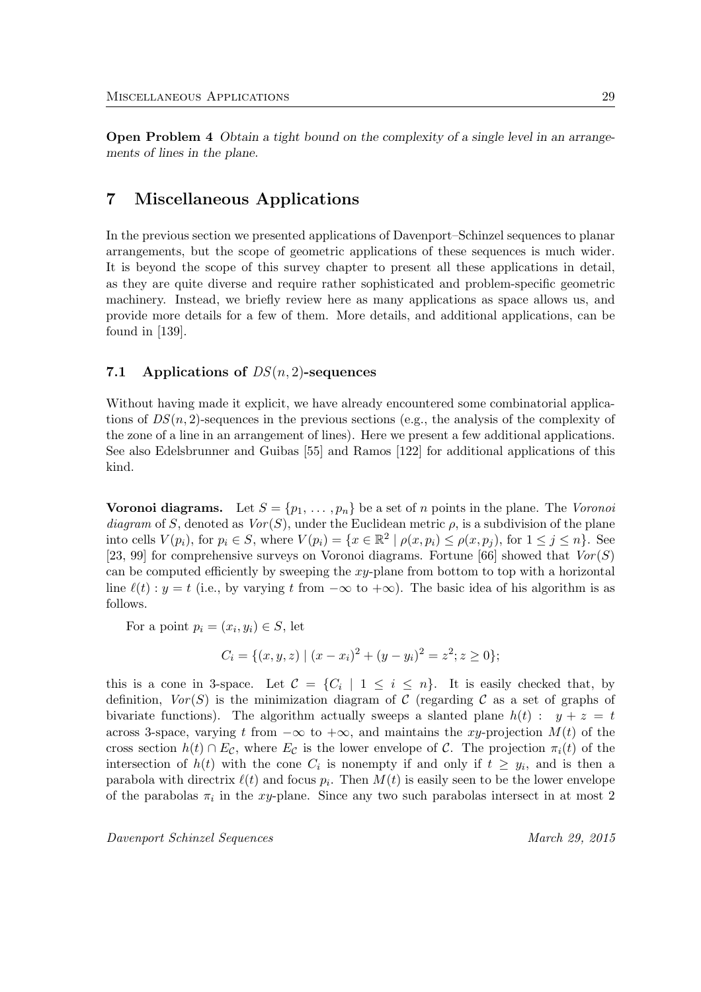Open Problem 4 Obtain a tight bound on the complexity of a single level in an arrangements of lines in the plane.

# 7 Miscellaneous Applications

In the previous section we presented applications of Davenport–Schinzel sequences to planar arrangements, but the scope of geometric applications of these sequences is much wider. It is beyond the scope of this survey chapter to present all these applications in detail, as they are quite diverse and require rather sophisticated and problem-specific geometric machinery. Instead, we briefly review here as many applications as space allows us, and provide more details for a few of them. More details, and additional applications, can be found in [139].

### 7.1 Applications of  $DS(n, 2)$ -sequences

Without having made it explicit, we have already encountered some combinatorial applications of  $DS(n, 2)$ -sequences in the previous sections (e.g., the analysis of the complexity of the zone of a line in an arrangement of lines). Here we present a few additional applications. See also Edelsbrunner and Guibas [55] and Ramos [122] for additional applications of this kind.

**Voronoi diagrams.** Let  $S = \{p_1, \ldots, p_n\}$  be a set of *n* points in the plane. The Voronoi diagram of S, denoted as  $Vor(S)$ , under the Euclidean metric  $\rho$ , is a subdivision of the plane into cells  $V(p_i)$ , for  $p_i \in S$ , where  $V(p_i) = \{x \in \mathbb{R}^2 \mid \rho(x, p_i) \leq \rho(x, p_j)$ , for  $1 \leq j \leq n\}$ . See [23, 99] for comprehensive surveys on Voronoi diagrams. Fortune [66] showed that  $Vor(S)$ can be computed efficiently by sweeping the  $xy$ -plane from bottom to top with a horizontal line  $\ell(t)$ :  $y = t$  (i.e., by varying t from  $-\infty$  to  $+\infty$ ). The basic idea of his algorithm is as follows.

For a point  $p_i = (x_i, y_i) \in S$ , let

$$
C_i = \{ (x, y, z) \mid (x - x_i)^2 + (y - y_i)^2 = z^2; z \ge 0 \};
$$

this is a cone in 3-space. Let  $C = \{C_i \mid 1 \leq i \leq n\}$ . It is easily checked that, by definition,  $Vor(S)$  is the minimization diagram of C (regarding C as a set of graphs of bivariate functions). The algorithm actually sweeps a slanted plane  $h(t)$ :  $y + z = t$ across 3-space, varying t from  $-\infty$  to  $+\infty$ , and maintains the xy-projection  $M(t)$  of the cross section  $h(t) \cap E_{\mathcal{C}}$ , where  $E_{\mathcal{C}}$  is the lower envelope of  $\mathcal{C}$ . The projection  $\pi_i(t)$  of the intersection of  $h(t)$  with the cone  $C_i$  is nonempty if and only if  $t \geq y_i$ , and is then a parabola with directrix  $\ell(t)$  and focus  $p_i$ . Then  $M(t)$  is easily seen to be the lower envelope of the parabolas  $\pi_i$  in the xy-plane. Since any two such parabolas intersect in at most 2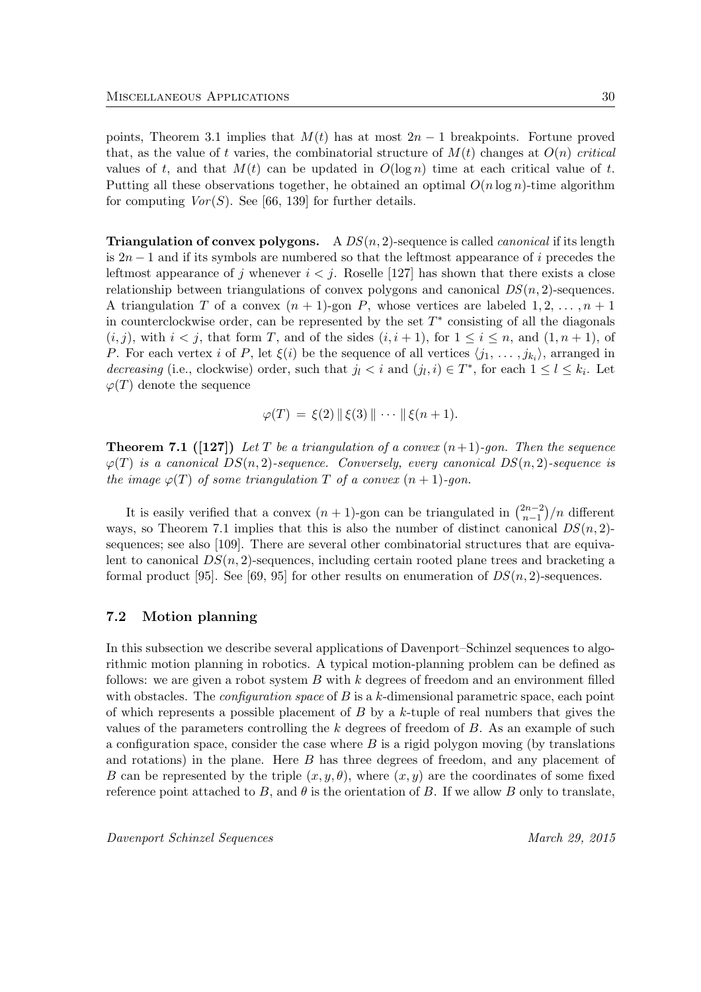points, Theorem 3.1 implies that  $M(t)$  has at most  $2n-1$  breakpoints. Fortune proved that, as the value of t varies, the combinatorial structure of  $M(t)$  changes at  $O(n)$  critical values of t, and that  $M(t)$  can be updated in  $O(\log n)$  time at each critical value of t. Putting all these observations together, he obtained an optimal  $O(n \log n)$ -time algorithm for computing  $Vor(S)$ . See [66, 139] for further details.

**Triangulation of convex polygons.** A  $DS(n, 2)$ -sequence is called *canonical* if its length is  $2n-1$  and if its symbols are numbered so that the leftmost appearance of i precedes the leftmost appearance of j whenever  $i < j$ . Roselle [127] has shown that there exists a close relationship between triangulations of convex polygons and canonical  $DS(n, 2)$ -sequences. A triangulation T of a convex  $(n + 1)$ -gon P, whose vertices are labeled  $1, 2, \ldots, n + 1$ in counterclockwise order, can be represented by the set  $T^*$  consisting of all the diagonals  $(i, j)$ , with  $i < j$ , that form T, and of the sides  $(i, i + 1)$ , for  $1 \le i \le n$ , and  $(1, n + 1)$ , of P. For each vertex i of P, let  $\xi(i)$  be the sequence of all vertices  $\langle j_1, \ldots, j_{k_i} \rangle$ , arranged in decreasing (i.e., clockwise) order, such that  $j_l < i$  and  $(j_l, i) \in T^*$ , for each  $1 \leq l \leq k_i$ . Let  $\varphi(T)$  denote the sequence

$$
\varphi(T) = \xi(2) \| \xi(3) \| \cdots \| \xi(n+1).
$$

**Theorem 7.1** ([127]) Let T be a triangulation of a convex  $(n+1)$ -gon. Then the sequence  $\varphi(T)$  is a canonical  $DS(n, 2)$ -sequence. Conversely, every canonical  $DS(n, 2)$ -sequence is the image  $\varphi(T)$  of some triangulation T of a convex  $(n + 1)$ -gon.

It is easily verified that a convex  $(n + 1)$ -gon can be triangulated in  $\binom{2n-2}{n-1}$  $\binom{2n-2}{n-1}/n$  different ways, so Theorem 7.1 implies that this is also the number of distinct canonical  $DS(n, 2)$ sequences; see also [109]. There are several other combinatorial structures that are equivalent to canonical  $DS(n, 2)$ -sequences, including certain rooted plane trees and bracketing a formal product [95]. See [69, 95] for other results on enumeration of  $DS(n, 2)$ -sequences.

#### 7.2 Motion planning

In this subsection we describe several applications of Davenport–Schinzel sequences to algorithmic motion planning in robotics. A typical motion-planning problem can be defined as follows: we are given a robot system  $B$  with  $k$  degrees of freedom and an environment filled with obstacles. The *configuration space* of  $B$  is a  $k$ -dimensional parametric space, each point of which represents a possible placement of  $B$  by a  $k$ -tuple of real numbers that gives the values of the parameters controlling the  $k$  degrees of freedom of  $B$ . As an example of such a configuration space, consider the case where  $B$  is a rigid polygon moving (by translations and rotations) in the plane. Here B has three degrees of freedom, and any placement of B can be represented by the triple  $(x, y, \theta)$ , where  $(x, y)$  are the coordinates of some fixed reference point attached to B, and  $\theta$  is the orientation of B. If we allow B only to translate,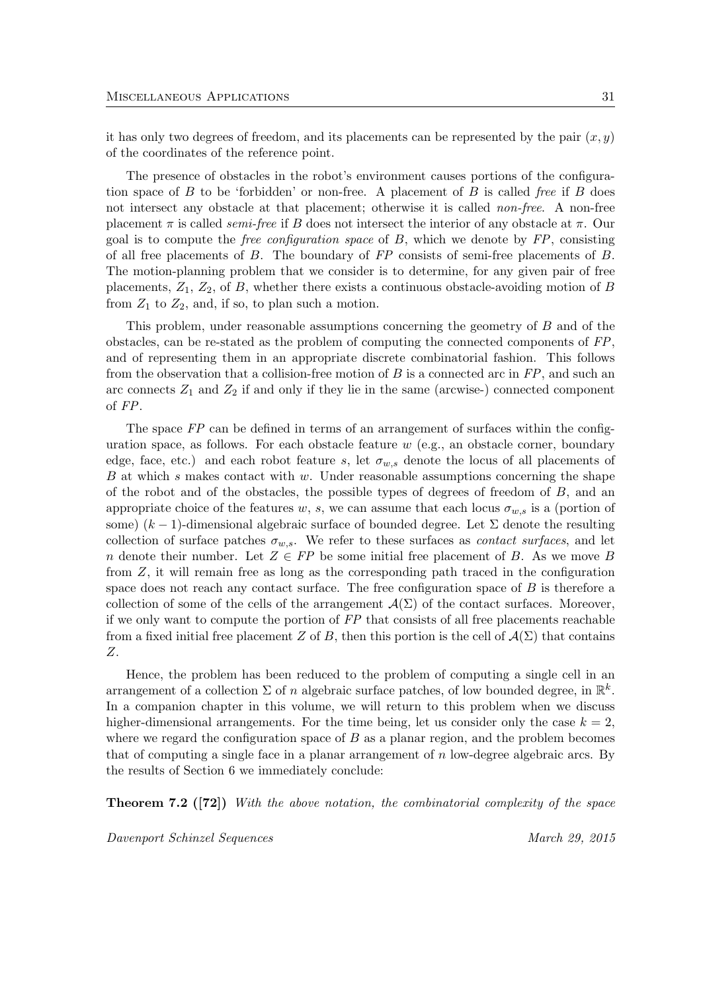it has only two degrees of freedom, and its placements can be represented by the pair  $(x, y)$ of the coordinates of the reference point.

The presence of obstacles in the robot's environment causes portions of the configuration space of  $B$  to be 'forbidden' or non-free. A placement of  $B$  is called free if  $B$  does not intersect any obstacle at that placement; otherwise it is called *non-free*. A non-free placement  $\pi$  is called *semi-free* if B does not intersect the interior of any obstacle at  $\pi$ . Our goal is to compute the *free configuration space* of  $B$ , which we denote by  $FP$ , consisting of all free placements of  $B$ . The boundary of  $FP$  consists of semi-free placements of  $B$ . The motion-planning problem that we consider is to determine, for any given pair of free placements,  $Z_1$ ,  $Z_2$ , of B, whether there exists a continuous obstacle-avoiding motion of B from  $Z_1$  to  $Z_2$ , and, if so, to plan such a motion.

This problem, under reasonable assumptions concerning the geometry of B and of the obstacles, can be re-stated as the problem of computing the connected components of FP, and of representing them in an appropriate discrete combinatorial fashion. This follows from the observation that a collision-free motion of  $B$  is a connected arc in  $FP$ , and such an arc connects  $Z_1$  and  $Z_2$  if and only if they lie in the same (arcwise-) connected component of FP.

The space FP can be defined in terms of an arrangement of surfaces within the configuration space, as follows. For each obstacle feature  $w$  (e.g., an obstacle corner, boundary edge, face, etc.) and each robot feature s, let  $\sigma_{w,s}$  denote the locus of all placements of  $B$  at which s makes contact with w. Under reasonable assumptions concerning the shape of the robot and of the obstacles, the possible types of degrees of freedom of  $B$ , and an appropriate choice of the features w, s, we can assume that each locus  $\sigma_{w,s}$  is a (portion of some)  $(k-1)$ -dimensional algebraic surface of bounded degree. Let  $\Sigma$  denote the resulting collection of surface patches  $\sigma_{w,s}$ . We refer to these surfaces as *contact surfaces*, and let n denote their number. Let  $Z \in FP$  be some initial free placement of B. As we move B from Z, it will remain free as long as the corresponding path traced in the configuration space does not reach any contact surface. The free configuration space of  $B$  is therefore a collection of some of the cells of the arrangement  $\mathcal{A}(\Sigma)$  of the contact surfaces. Moreover, if we only want to compute the portion of FP that consists of all free placements reachable from a fixed initial free placement Z of B, then this portion is the cell of  $\mathcal{A}(\Sigma)$  that contains Z.

Hence, the problem has been reduced to the problem of computing a single cell in an arrangement of a collection  $\Sigma$  of n algebraic surface patches, of low bounded degree, in  $\mathbb{R}^k$ . In a companion chapter in this volume, we will return to this problem when we discuss higher-dimensional arrangements. For the time being, let us consider only the case  $k = 2$ , where we regard the configuration space of  $B$  as a planar region, and the problem becomes that of computing a single face in a planar arrangement of n low-degree algebraic arcs. By the results of Section 6 we immediately conclude:

**Theorem 7.2** ([72]) With the above notation, the combinatorial complexity of the space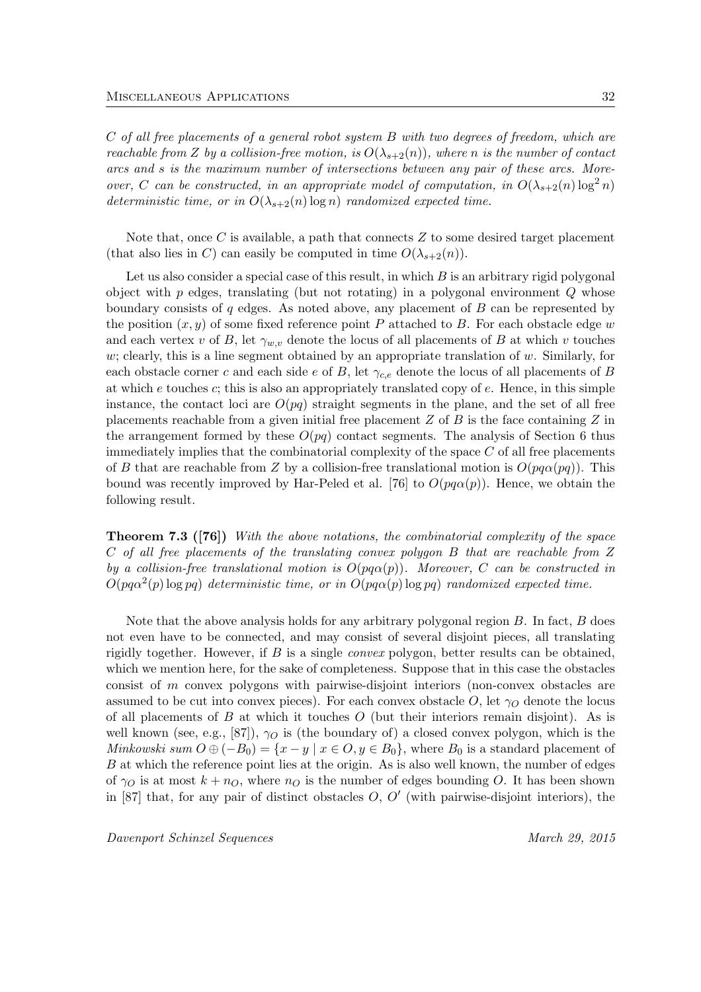C of all free placements of a general robot system B with two degrees of freedom, which are reachable from Z by a collision-free motion, is  $O(\lambda_{s+2}(n))$ , where n is the number of contact arcs and s is the maximum number of intersections between any pair of these arcs. Moreover, C can be constructed, in an appropriate model of computation, in  $O(\lambda_{s+2}(n) \log^2 n)$ deterministic time, or in  $O(\lambda_{s+2}(n) \log n)$  randomized expected time.

Note that, once C is available, a path that connects  $Z$  to some desired target placement (that also lies in C) can easily be computed in time  $O(\lambda_{s+2}(n))$ .

Let us also consider a special case of this result, in which  $B$  is an arbitrary rigid polygonal object with  $p$  edges, translating (but not rotating) in a polygonal environment  $Q$  whose boundary consists of  $q$  edges. As noted above, any placement of  $B$  can be represented by the position  $(x, y)$  of some fixed reference point P attached to B. For each obstacle edge w and each vertex v of B, let  $\gamma_{w,v}$  denote the locus of all placements of B at which v touches w; clearly, this is a line segment obtained by an appropriate translation of  $w$ . Similarly, for each obstacle corner c and each side e of B, let  $\gamma_{c,e}$  denote the locus of all placements of B at which  $e$  touches  $c$ ; this is also an appropriately translated copy of  $e$ . Hence, in this simple instance, the contact loci are  $O(pq)$  straight segments in the plane, and the set of all free placements reachable from a given initial free placement  $Z$  of  $B$  is the face containing  $Z$  in the arrangement formed by these  $O(pq)$  contact segments. The analysis of Section 6 thus immediately implies that the combinatorial complexity of the space  $C$  of all free placements of B that are reachable from Z by a collision-free translational motion is  $O(pq\alpha(pq))$ . This bound was recently improved by Har-Peled et al. [76] to  $O(pq\alpha(p))$ . Hence, we obtain the following result.

Theorem 7.3 ([76]) With the above notations, the combinatorial complexity of the space C of all free placements of the translating convex polygon B that are reachable from Z by a collision-free translational motion is  $O(pq\alpha(p))$ . Moreover, C can be constructed in  $O(pq\alpha^2(p) \log pq)$  deterministic time, or in  $O(pq\alpha(p) \log pq)$  randomized expected time.

Note that the above analysis holds for any arbitrary polygonal region  $B$ . In fact,  $B$  does not even have to be connected, and may consist of several disjoint pieces, all translating rigidly together. However, if  $B$  is a single *convex* polygon, better results can be obtained, which we mention here, for the sake of completeness. Suppose that in this case the obstacles consist of m convex polygons with pairwise-disjoint interiors (non-convex obstacles are assumed to be cut into convex pieces). For each convex obstacle O, let  $\gamma_O$  denote the locus of all placements of B at which it touches O (but their interiors remain disjoint). As is well known (see, e.g., [87]),  $\gamma_O$  is (the boundary of) a closed convex polygon, which is the Minkowski sum  $O \oplus (-B_0) = \{x - y \mid x \in O, y \in B_0\}$ , where  $B_0$  is a standard placement of B at which the reference point lies at the origin. As is also well known, the number of edges of  $\gamma_O$  is at most  $k + n_O$ , where  $n_O$  is the number of edges bounding O. It has been shown in [87] that, for any pair of distinct obstacles  $O, O'$  (with pairwise-disjoint interiors), the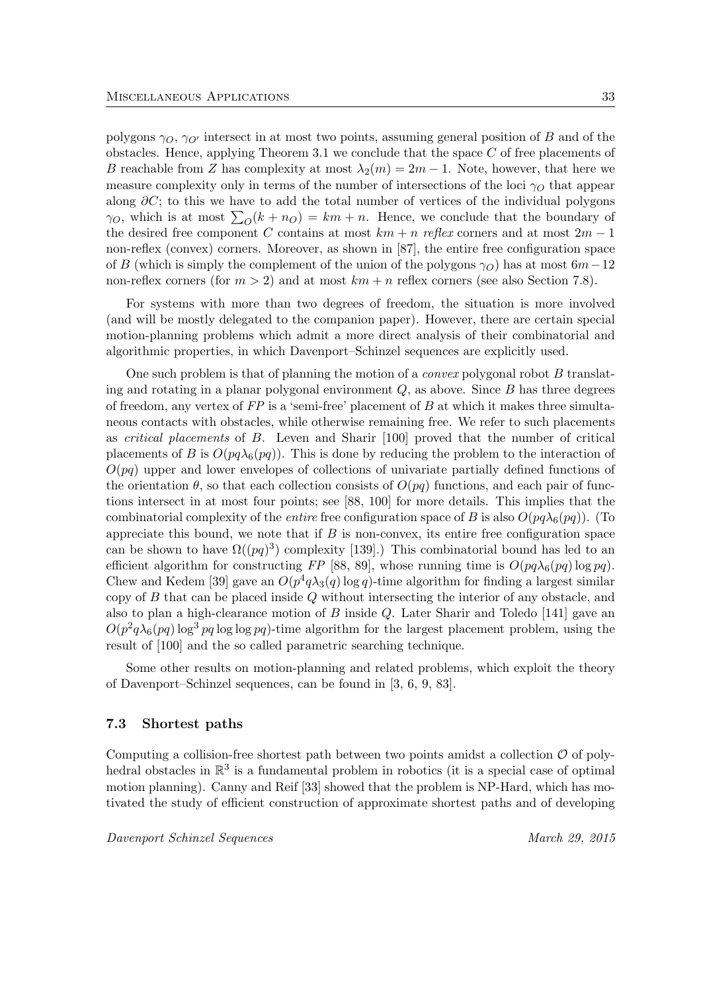polygons  $\gamma_O$ ,  $\gamma_{O'}$  intersect in at most two points, assuming general position of B and of the obstacles. Hence, applying Theorem 3.1 we conclude that the space  $C$  of free placements of B reachable from Z has complexity at most  $\lambda_2(m) = 2m - 1$ . Note, however, that here we measure complexity only in terms of the number of intersections of the loci  $\gamma_O$  that appear along  $\partial C$ ; to this we have to add the total number of vertices of the individual polygons  $\gamma_O$ , which is at most  $\sum_O(k + n_O) = km + n$ . Hence, we conclude that the boundary of the desired free component C contains at most  $km + n$  reflex corners and at most  $2m - 1$ non-reflex (convex) corners. Moreover, as shown in [87], the entire free configuration space of B (which is simply the complement of the union of the polygons  $\gamma_O$ ) has at most  $6m-12$ non-reflex corners (for  $m > 2$ ) and at most  $km + n$  reflex corners (see also Section 7.8).

For systems with more than two degrees of freedom, the situation is more involved (and will be mostly delegated to the companion paper). However, there are certain special motion-planning problems which admit a more direct analysis of their combinatorial and algorithmic properties, in which Davenport–Schinzel sequences are explicitly used.

One such problem is that of planning the motion of a *convex* polygonal robot  $B$  translating and rotating in a planar polygonal environment  $Q$ , as above. Since  $B$  has three degrees of freedom, any vertex of  $FP$  is a 'semi-free' placement of  $B$  at which it makes three simultaneous contacts with obstacles, while otherwise remaining free. We refer to such placements as critical placements of B. Leven and Sharir [100] proved that the number of critical placements of B is  $O(pq\lambda_6(pq))$ . This is done by reducing the problem to the interaction of  $O(pq)$  upper and lower envelopes of collections of univariate partially defined functions of the orientation  $\theta$ , so that each collection consists of  $O(pq)$  functions, and each pair of functions intersect in at most four points; see [88, 100] for more details. This implies that the combinatorial complexity of the *entire* free configuration space of B is also  $O(pq\lambda_6(pq))$ . (To appreciate this bound, we note that if  $B$  is non-convex, its entire free configuration space can be shown to have  $\Omega((pq)^3)$  complexity [139].) This combinatorial bound has led to an efficient algorithm for constructing FP [88, 89], whose running time is  $O(pq\lambda_6(pq)\log pq)$ . Chew and Kedem [39] gave an  $O(p^4q\lambda_3(q)\log q)$ -time algorithm for finding a largest similar copy of B that can be placed inside Q without intersecting the interior of any obstacle, and also to plan a high-clearance motion of B inside Q. Later Sharir and Toledo [141] gave an  $O(p^2q\lambda_6(pq)\log^3 pq\log\log pq)$ -time algorithm for the largest placement problem, using the result of [100] and the so called parametric searching technique.

Some other results on motion-planning and related problems, which exploit the theory of Davenport–Schinzel sequences, can be found in [3, 6, 9, 83].

#### 7.3 Shortest paths

Computing a collision-free shortest path between two points amidst a collection  $\mathcal O$  of polyhedral obstacles in  $\mathbb{R}^3$  is a fundamental problem in robotics (it is a special case of optimal motion planning). Canny and Reif [33] showed that the problem is NP-Hard, which has motivated the study of efficient construction of approximate shortest paths and of developing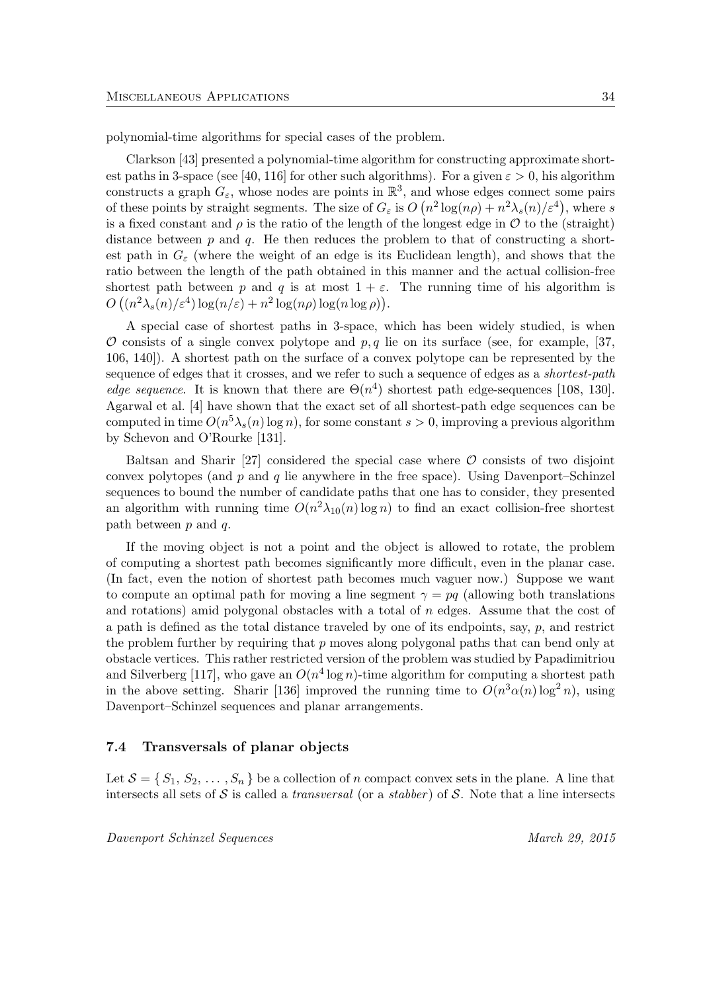polynomial-time algorithms for special cases of the problem.

Clarkson [43] presented a polynomial-time algorithm for constructing approximate shortest paths in 3-space (see [40, 116] for other such algorithms). For a given  $\varepsilon > 0$ , his algorithm constructs a graph  $G_{\varepsilon}$ , whose nodes are points in  $\mathbb{R}^3$ , and whose edges connect some pairs of these points by straight segments. The size of  $G_{\varepsilon}$  is  $O(n^2 \log(n\rho) + n^2 \lambda_s(n)/\varepsilon^4)$ , where s is a fixed constant and  $\rho$  is the ratio of the length of the longest edge in  $\mathcal O$  to the (straight) distance between  $p$  and  $q$ . He then reduces the problem to that of constructing a shortest path in  $G_{\varepsilon}$  (where the weight of an edge is its Euclidean length), and shows that the ratio between the length of the path obtained in this manner and the actual collision-free shortest path between p and q is at most  $1 + \varepsilon$ . The running time of his algorithm is  $O((n^2\lambda_s(n)/\varepsilon^4)\log(n/\varepsilon)+n^2\log(n\rho)\log(n\log\rho)).$ 

A special case of shortest paths in 3-space, which has been widely studied, is when  $\mathcal O$  consists of a single convex polytope and  $p, q$  lie on its surface (see, for example, [37, 106, 140]). A shortest path on the surface of a convex polytope can be represented by the sequence of edges that it crosses, and we refer to such a sequence of edges as a *shortest-path edge sequence*. It is known that there are  $\Theta(n^4)$  shortest path edge-sequences [108, 130]. Agarwal et al. [4] have shown that the exact set of all shortest-path edge sequences can be computed in time  $O(n^5\lambda_s(n)\log n)$ , for some constant  $s > 0$ , improving a previous algorithm by Schevon and O'Rourke [131].

Baltsan and Sharir [27] considered the special case where  $\mathcal O$  consists of two disjoint convex polytopes (and  $p$  and  $q$  lie anywhere in the free space). Using Davenport–Schinzel sequences to bound the number of candidate paths that one has to consider, they presented an algorithm with running time  $O(n^2\lambda_{10}(n)\log n)$  to find an exact collision-free shortest path between p and q.

If the moving object is not a point and the object is allowed to rotate, the problem of computing a shortest path becomes significantly more difficult, even in the planar case. (In fact, even the notion of shortest path becomes much vaguer now.) Suppose we want to compute an optimal path for moving a line segment  $\gamma = pq$  (allowing both translations and rotations) amid polygonal obstacles with a total of  $n$  edges. Assume that the cost of a path is defined as the total distance traveled by one of its endpoints, say,  $p$ , and restrict the problem further by requiring that  $p$  moves along polygonal paths that can bend only at obstacle vertices. This rather restricted version of the problem was studied by Papadimitriou and Silverberg [117], who gave an  $O(n^4 \log n)$ -time algorithm for computing a shortest path in the above setting. Sharir [136] improved the running time to  $O(n^3\alpha(n)\log^2 n)$ , using Davenport–Schinzel sequences and planar arrangements.

#### 7.4 Transversals of planar objects

Let  $S = \{S_1, S_2, \ldots, S_n\}$  be a collection of n compact convex sets in the plane. A line that intersects all sets of S is called a *transversal* (or a *stabber*) of S. Note that a line intersects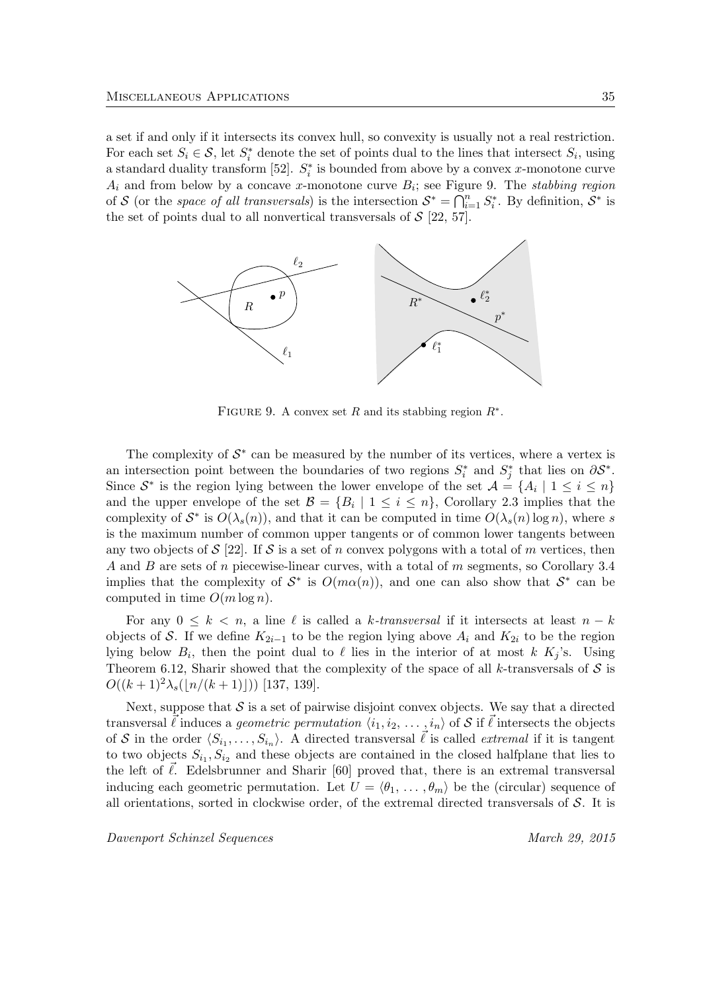a set if and only if it intersects its convex hull, so convexity is usually not a real restriction. For each set  $S_i \in \mathcal{S}$ , let  $S_i^*$  denote the set of points dual to the lines that intersect  $S_i$ , using a standard duality transform [52].  $S_i^*$  is bounded from above by a convex x-monotone curve  $A_i$  and from below by a concave x-monotone curve  $B_i$ ; see Figure 9. The stabbing region of S (or the space of all transversals) is the intersection  $S^* = \bigcap_{i=1}^n S_i^*$ . By definition,  $S^*$  is the set of points dual to all nonvertical transversals of  $S$  [22, 57].



FIGURE 9. A convex set R and its stabbing region  $R^*$ .

The complexity of  $S^*$  can be measured by the number of its vertices, where a vertex is an intersection point between the boundaries of two regions  $S_i^*$  and  $S_j^*$  that lies on  $\partial S^*$ . Since  $S^*$  is the region lying between the lower envelope of the set  $\mathcal{A} = \{A_i \mid 1 \leq i \leq n\}$ and the upper envelope of the set  $\mathcal{B} = \{B_i \mid 1 \leq i \leq n\}$ , Corollary 2.3 implies that the complexity of  $S^*$  is  $O(\lambda_s(n))$ , and that it can be computed in time  $O(\lambda_s(n) \log n)$ , where s is the maximum number of common upper tangents or of common lower tangents between any two objects of  $S$  [22]. If  $S$  is a set of n convex polygons with a total of m vertices, then A and B are sets of n piecewise-linear curves, with a total of m segments, so Corollary 3.4 implies that the complexity of  $S^*$  is  $O(m\alpha(n))$ , and one can also show that  $S^*$  can be computed in time  $O(m \log n)$ .

For any  $0 \leq k \leq n$ , a line  $\ell$  is called a k-transversal if it intersects at least  $n - k$ objects of S. If we define  $K_{2i-1}$  to be the region lying above  $A_i$  and  $K_{2i}$  to be the region lying below  $B_i$ , then the point dual to  $\ell$  lies in the interior of at most k  $K_j$ 's. Using Theorem 6.12, Sharir showed that the complexity of the space of all k-transversals of  $S$  is  $O((k+1)^2\lambda_s(|n/(k+1)|))$  [137, 139].

Next, suppose that  $S$  is a set of pairwise disjoint convex objects. We say that a directed transversal  $\vec{\ell}$  induces a geometric permutation  $\langle i_1, i_2, \ldots, i_n \rangle$  of S if  $\vec{\ell}$  intersects the objects of S in the order  $\langle S_{i_1}, \ldots, S_{i_n} \rangle$ . A directed transversal  $\vec{\ell}$  is called *extremal* if it is tangent to two objects  $S_{i_1}, S_{i_2}$  and these objects are contained in the closed halfplane that lies to the left of  $\vec{\ell}$ . Edelsbrunner and Sharir [60] proved that, there is an extremal transversal inducing each geometric permutation. Let  $U = \langle \theta_1, \ldots, \theta_m \rangle$  be the (circular) sequence of all orientations, sorted in clockwise order, of the extremal directed transversals of  $S$ . It is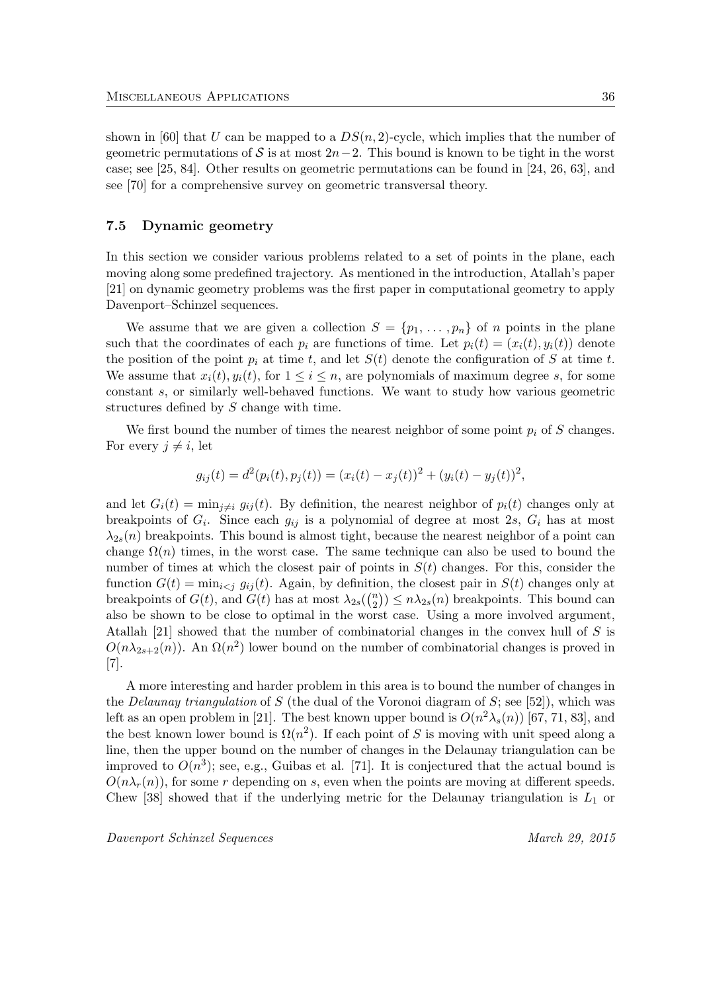shown in [60] that U can be mapped to a  $DS(n, 2)$ -cycle, which implies that the number of geometric permutations of S is at most  $2n-2$ . This bound is known to be tight in the worst case; see [25, 84]. Other results on geometric permutations can be found in [24, 26, 63], and see [70] for a comprehensive survey on geometric transversal theory.

### 7.5 Dynamic geometry

In this section we consider various problems related to a set of points in the plane, each moving along some predefined trajectory. As mentioned in the introduction, Atallah's paper [21] on dynamic geometry problems was the first paper in computational geometry to apply Davenport–Schinzel sequences.

We assume that we are given a collection  $S = \{p_1, \ldots, p_n\}$  of n points in the plane such that the coordinates of each  $p_i$  are functions of time. Let  $p_i(t) = (x_i(t), y_i(t))$  denote the position of the point  $p_i$  at time t, and let  $S(t)$  denote the configuration of S at time t. We assume that  $x_i(t), y_i(t)$ , for  $1 \leq i \leq n$ , are polynomials of maximum degree s, for some constant s, or similarly well-behaved functions. We want to study how various geometric structures defined by S change with time.

We first bound the number of times the nearest neighbor of some point  $p_i$  of S changes. For every  $j \neq i$ , let

$$
g_{ij}(t) = d^{2}(p_{i}(t), p_{j}(t)) = (x_{i}(t) - x_{j}(t))^{2} + (y_{i}(t) - y_{j}(t))^{2},
$$

and let  $G_i(t) = \min_{j \neq i} g_{ij}(t)$ . By definition, the nearest neighbor of  $p_i(t)$  changes only at breakpoints of  $G_i$ . Since each  $g_{ij}$  is a polynomial of degree at most 2s,  $G_i$  has at most  $\lambda_{2s}(n)$  breakpoints. This bound is almost tight, because the nearest neighbor of a point can change  $\Omega(n)$  times, in the worst case. The same technique can also be used to bound the number of times at which the closest pair of points in  $S(t)$  changes. For this, consider the function  $G(t) = \min_{i \leq j} g_{ij}(t)$ . Again, by definition, the closest pair in  $S(t)$  changes only at breakpoints of  $G(t)$ , and  $G(t)$  has at most  $\lambda_{2s}$  $\binom{n}{2}$  $\binom{n}{2}$   $\leq n\lambda_{2s}(n)$  breakpoints. This bound can also be shown to be close to optimal in the worst case. Using a more involved argument, Atallah [21] showed that the number of combinatorial changes in the convex hull of S is  $O(n\lambda_{2s+2}(n))$ . An  $\Omega(n^2)$  lower bound on the number of combinatorial changes is proved in [7].

A more interesting and harder problem in this area is to bound the number of changes in the *Delaunay triangulation* of S (the dual of the Voronoi diagram of S; see [52]), which was left as an open problem in [21]. The best known upper bound is  $O(n^2\lambda_s(n))$  [67, 71, 83], and the best known lower bound is  $\Omega(n^2)$ . If each point of S is moving with unit speed along a line, then the upper bound on the number of changes in the Delaunay triangulation can be improved to  $O(n^3)$ ; see, e.g., Guibas et al. [71]. It is conjectured that the actual bound is  $O(n\lambda_r(n))$ , for some r depending on s, even when the points are moving at different speeds. Chew [38] showed that if the underlying metric for the Delaunay triangulation is  $L_1$  or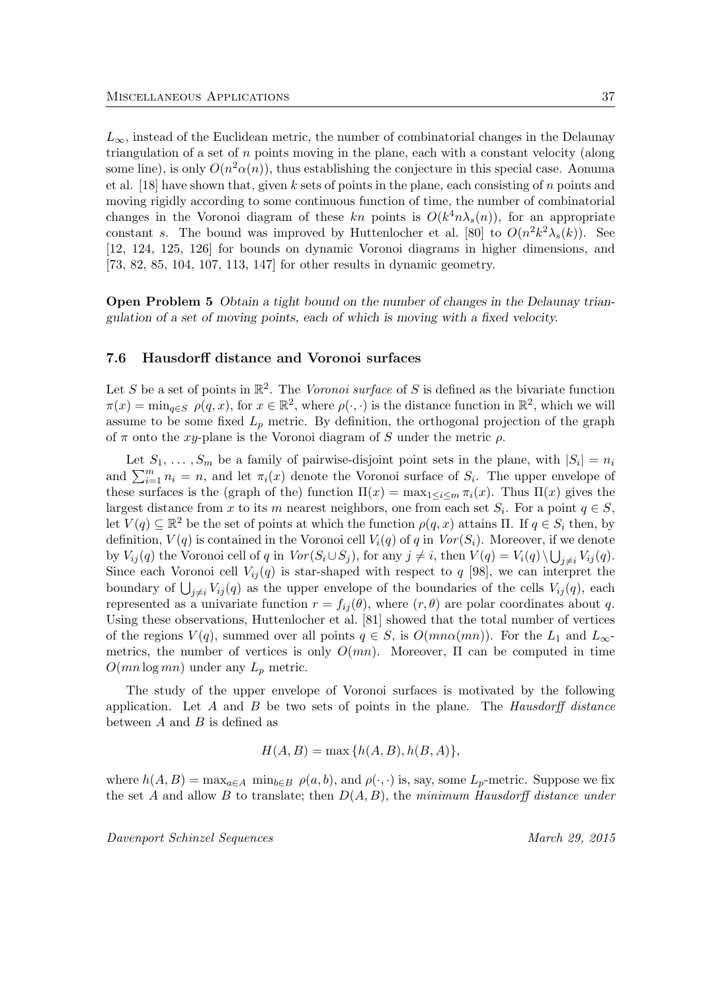$L_{\infty}$ , instead of the Euclidean metric, the number of combinatorial changes in the Delaunay triangulation of a set of  $n$  points moving in the plane, each with a constant velocity (along some line), is only  $O(n^2\alpha(n))$ , thus establishing the conjecture in this special case. Aonuma et al. [18] have shown that, given k sets of points in the plane, each consisting of n points and moving rigidly according to some continuous function of time, the number of combinatorial changes in the Voronoi diagram of these kn points is  $O(k^4 n \lambda_s(n))$ , for an appropriate constant s. The bound was improved by Huttenlocher et al. [80] to  $O(n^2k^2\lambda_s(k))$ . See [12, 124, 125, 126] for bounds on dynamic Voronoi diagrams in higher dimensions, and [73, 82, 85, 104, 107, 113, 147] for other results in dynamic geometry.

Open Problem 5 Obtain a tight bound on the number of changes in the Delaunay triangulation of a set of moving points, each of which is moving with a fixed velocity.

### 7.6 Hausdorff distance and Voronoi surfaces

Let S be a set of points in  $\mathbb{R}^2$ . The Voronoi surface of S is defined as the bivariate function  $\pi(x) = \min_{q \in S} \rho(q, x)$ , for  $x \in \mathbb{R}^2$ , where  $\rho(\cdot, \cdot)$  is the distance function in  $\mathbb{R}^2$ , which we will assume to be some fixed  $L_p$  metric. By definition, the orthogonal projection of the graph of  $\pi$  onto the xy-plane is the Voronoi diagram of S under the metric  $\rho$ .

Let  $S_1, \ldots, S_m$  be a family of pairwise-disjoint point sets in the plane, with  $|S_i| = n_i$ and  $\sum_{i=1}^{m} n_i = n$ , and let  $\pi_i(x)$  denote the Voronoi surface of  $S_i$ . The upper envelope of these surfaces is the (graph of the) function  $\Pi(x) = \max_{1 \leq i \leq m} \pi_i(x)$ . Thus  $\Pi(x)$  gives the largest distance from x to its m nearest neighbors, one from each set  $S_i$ . For a point  $q \in S$ , let  $V(q) \subseteq \mathbb{R}^2$  be the set of points at which the function  $\rho(q, x)$  attains  $\Pi$ . If  $q \in S_i$  then, by definition,  $V(q)$  is contained in the Voronoi cell  $V_i(q)$  of q in  $Vor(S_i)$ . Moreover, if we denote by  $V_{ij}(q)$  the Voronoi cell of q in  $Vor(S_i \cup S_j)$ , for any  $j \neq i$ , then  $V(q) = V_i(q) \setminus \bigcup_{j \neq i} V_{ij}(q)$ . Since each Voronoi cell  $V_{ij}(q)$  is star-shaped with respect to q [98], we can interpret the boundary of  $\bigcup_{j\neq i} V_{ij}(q)$  as the upper envelope of the boundaries of the cells  $V_{ij}(q)$ , each represented as a univariate function  $r = f_{ii}(\theta)$ , where  $(r, \theta)$  are polar coordinates about q. Using these observations, Huttenlocher et al. [81] showed that the total number of vertices of the regions  $V(q)$ , summed over all points  $q \in S$ , is  $O(mn\alpha(mn))$ . For the  $L_1$  and  $L_{\infty}$ metrics, the number of vertices is only  $O(mn)$ . Moreover,  $\Pi$  can be computed in time  $O(mn \log mn)$  under any  $L_p$  metric.

The study of the upper envelope of Voronoi surfaces is motivated by the following application. Let  $A$  and  $B$  be two sets of points in the plane. The Hausdorff distance between  $A$  and  $B$  is defined as

$$
H(A, B) = \max\{h(A, B), h(B, A)\},\
$$

where  $h(A, B) = \max_{a \in A} \min_{b \in B} \rho(a, b)$ , and  $\rho(\cdot, \cdot)$  is, say, some  $L_p$ -metric. Suppose we fix the set A and allow B to translate; then  $D(A, B)$ , the minimum Hausdorff distance under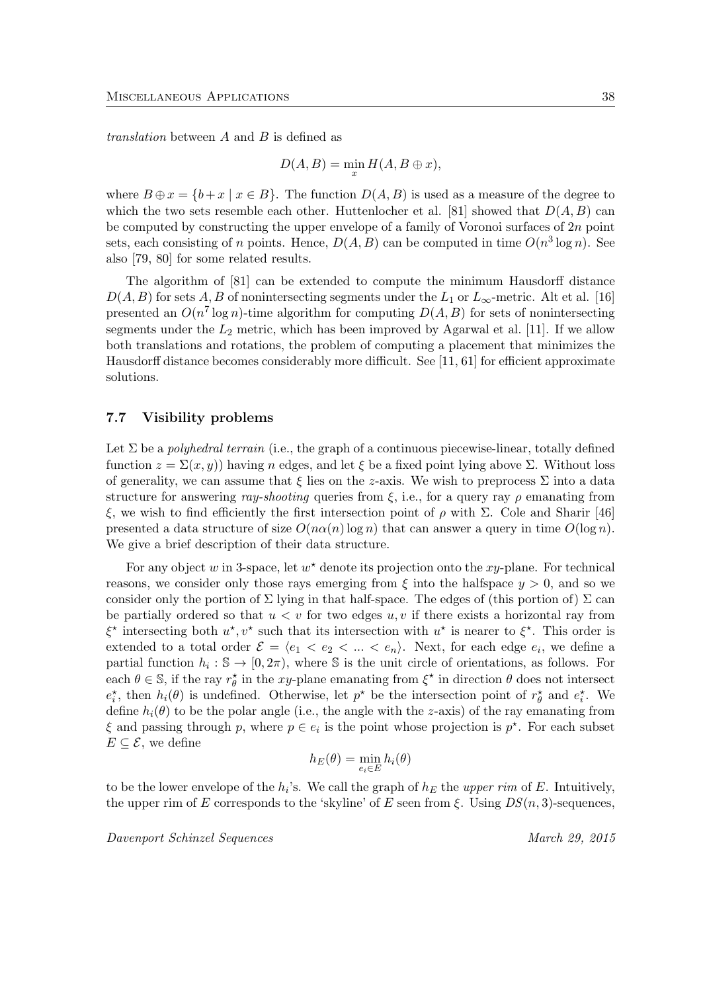translation between A and B is defined as

$$
D(A, B) = \min_x H(A, B \oplus x),
$$

where  $B \oplus x = \{b + x \mid x \in B\}$ . The function  $D(A, B)$  is used as a measure of the degree to which the two sets resemble each other. Huttenlocher et al. [81] showed that  $D(A, B)$  can be computed by constructing the upper envelope of a family of Voronoi surfaces of 2n point sets, each consisting of n points. Hence,  $D(A, B)$  can be computed in time  $O(n^3 \log n)$ . See also [79, 80] for some related results.

The algorithm of [81] can be extended to compute the minimum Hausdorff distance  $D(A, B)$  for sets A, B of nonintersecting segments under the  $L_1$  or  $L_{\infty}$ -metric. Alt et al. [16] presented an  $O(n^7 \log n)$ -time algorithm for computing  $D(A, B)$  for sets of nonintersecting segments under the  $L_2$  metric, which has been improved by Agarwal et al. [11]. If we allow both translations and rotations, the problem of computing a placement that minimizes the Hausdorff distance becomes considerably more difficult. See [11, 61] for efficient approximate solutions.

### 7.7 Visibility problems

Let  $\Sigma$  be a *polyhedral terrain* (i.e., the graph of a continuous piecewise-linear, totally defined function  $z = \Sigma(x, y)$  having n edges, and let  $\xi$  be a fixed point lying above  $\Sigma$ . Without loss of generality, we can assume that  $\xi$  lies on the z-axis. We wish to preprocess  $\Sigma$  into a data structure for answering ray-shooting queries from  $\xi$ , i.e., for a query ray  $\rho$  emanating from ξ, we wish to find efficiently the first intersection point of  $ρ$  with Σ. Cole and Sharir [46] presented a data structure of size  $O(n\alpha(n) \log n)$  that can answer a query in time  $O(\log n)$ . We give a brief description of their data structure.

For any object w in 3-space, let  $w^*$  denote its projection onto the xy-plane. For technical reasons, we consider only those rays emerging from  $\xi$  into the halfspace  $y > 0$ , and so we consider only the portion of  $\Sigma$  lying in that half-space. The edges of (this portion of)  $\Sigma$  can be partially ordered so that  $u < v$  for two edges  $u, v$  if there exists a horizontal ray from  $\xi^*$  intersecting both  $u^*, v^*$  such that its intersection with  $u^*$  is nearer to  $\xi^*$ . This order is extended to a total order  $\mathcal{E} = \langle e_1 \langle e_2 \rangle \langle \dots \langle e_n \rangle \rangle$ . Next, for each edge  $e_i$ , we define a partial function  $h_i : \mathbb{S} \to [0, 2\pi)$ , where  $\mathbb S$  is the unit circle of orientations, as follows. For each  $\theta \in \mathbb{S}$ , if the ray  $r_{\theta}^*$  in the xy-plane emanating from  $\xi^*$  in direction  $\theta$  does not intersect  $e_i^*$ , then  $h_i(\theta)$  is undefined. Otherwise, let  $p^*$  be the intersection point of  $r_\theta^*$  and  $e_i^*$ . We define  $h_i(\theta)$  to be the polar angle (i.e., the angle with the z-axis) of the ray emanating from  $\xi$  and passing through p, where  $p \in e_i$  is the point whose projection is  $p^*$ . For each subset  $E \subseteq \mathcal{E}$ , we define

$$
h_E(\theta) = \min_{e_i \in E} h_i(\theta)
$$

to be the lower envelope of the  $h_i$ 's. We call the graph of  $h_E$  the upper rim of E. Intuitively, the upper rim of E corresponds to the 'skyline' of E seen from  $\xi$ . Using  $DS(n, 3)$ -sequences,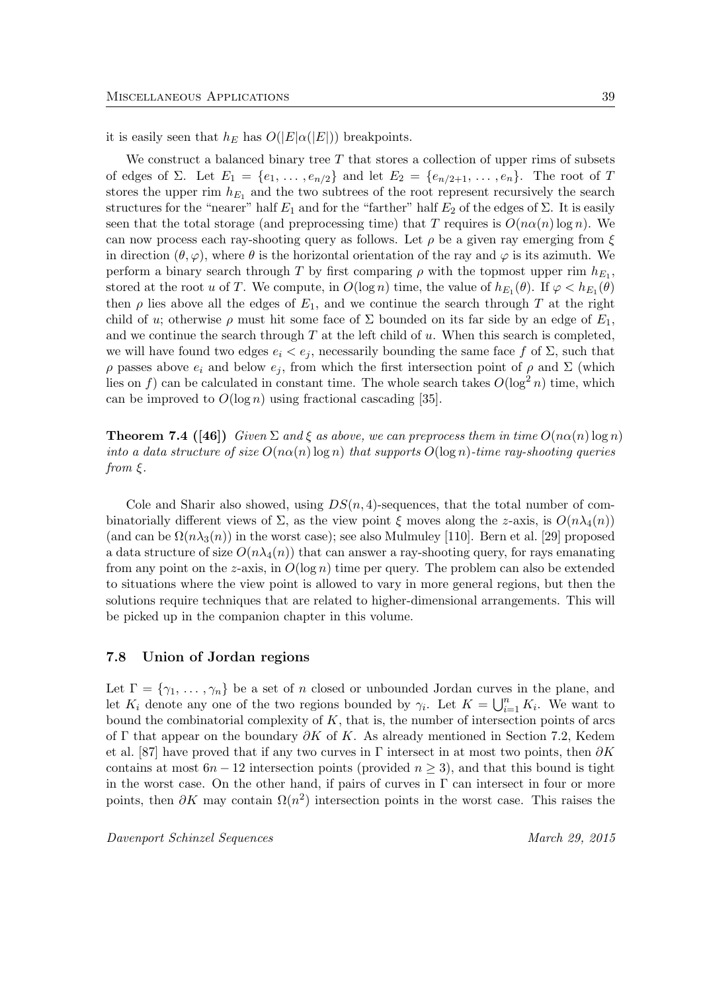it is easily seen that  $h_E$  has  $O(|E|\alpha(|E|))$  breakpoints.

We construct a balanced binary tree  $T$  that stores a collection of upper rims of subsets of edges of Σ. Let  $E_1 = \{e_1, \ldots, e_{n/2}\}\$  and let  $E_2 = \{e_{n/2+1}, \ldots, e_n\}$ . The root of T stores the upper rim  $h_{E_1}$  and the two subtrees of the root represent recursively the search structures for the "nearer" half  $E_1$  and for the "farther" half  $E_2$  of the edges of  $\Sigma$ . It is easily seen that the total storage (and preprocessing time) that T requires is  $O(n\alpha(n)\log n)$ . We can now process each ray-shooting query as follows. Let  $\rho$  be a given ray emerging from  $\xi$ in direction  $(\theta, \varphi)$ , where  $\theta$  is the horizontal orientation of the ray and  $\varphi$  is its azimuth. We perform a binary search through T by first comparing  $\rho$  with the topmost upper rim  $h_{E_1}$ , stored at the root u of T. We compute, in  $O(\log n)$  time, the value of  $h_{E_1}(\theta)$ . If  $\varphi < h_{E_1}(\theta)$ then  $\rho$  lies above all the edges of  $E_1$ , and we continue the search through T at the right child of u; otherwise  $\rho$  must hit some face of  $\Sigma$  bounded on its far side by an edge of  $E_1$ , and we continue the search through  $T$  at the left child of  $u$ . When this search is completed, we will have found two edges  $e_i < e_j$ , necessarily bounding the same face f of  $\Sigma$ , such that  $ρ$  passes above  $e_i$  and below  $e_j$ , from which the first intersection point of  $ρ$  and  $Σ$  (which lies on f) can be calculated in constant time. The whole search takes  $O(\log^2 n)$  time, which can be improved to  $O(\log n)$  using fractional cascading [35].

**Theorem 7.4** ([46]) Given  $\Sigma$  and  $\xi$  as above, we can preprocess them in time  $O(n\alpha(n)\log n)$ into a data structure of size  $O(n\alpha(n) \log n)$  that supports  $O(\log n)$ -time ray-shooting queries from  $\xi$ .

Cole and Sharir also showed, using  $DS(n, 4)$ -sequences, that the total number of combinatorially different views of  $\Sigma$ , as the view point  $\xi$  moves along the z-axis, is  $O(n\lambda_4(n))$ (and can be  $\Omega(n\lambda_3(n))$ ) in the worst case); see also Mulmuley [110]. Bern et al. [29] proposed a data structure of size  $O(n\lambda_4(n))$  that can answer a ray-shooting query, for rays emanating from any point on the z-axis, in  $O(\log n)$  time per query. The problem can also be extended to situations where the view point is allowed to vary in more general regions, but then the solutions require techniques that are related to higher-dimensional arrangements. This will be picked up in the companion chapter in this volume.

#### 7.8 Union of Jordan regions

Let  $\Gamma = \{\gamma_1, \ldots, \gamma_n\}$  be a set of n closed or unbounded Jordan curves in the plane, and let  $K_i$  denote any one of the two regions bounded by  $\gamma_i$ . Let  $K = \bigcup_{i=1}^n K_i$ . We want to bound the combinatorial complexity of  $K$ , that is, the number of intersection points of arcs of Γ that appear on the boundary  $\partial K$  of K. As already mentioned in Section 7.2, Kedem et al. [87] have proved that if any two curves in Γ intersect in at most two points, then  $\partial K$ contains at most  $6n - 12$  intersection points (provided  $n \ge 3$ ), and that this bound is tight in the worst case. On the other hand, if pairs of curves in Γ can intersect in four or more points, then  $\partial K$  may contain  $\Omega(n^2)$  intersection points in the worst case. This raises the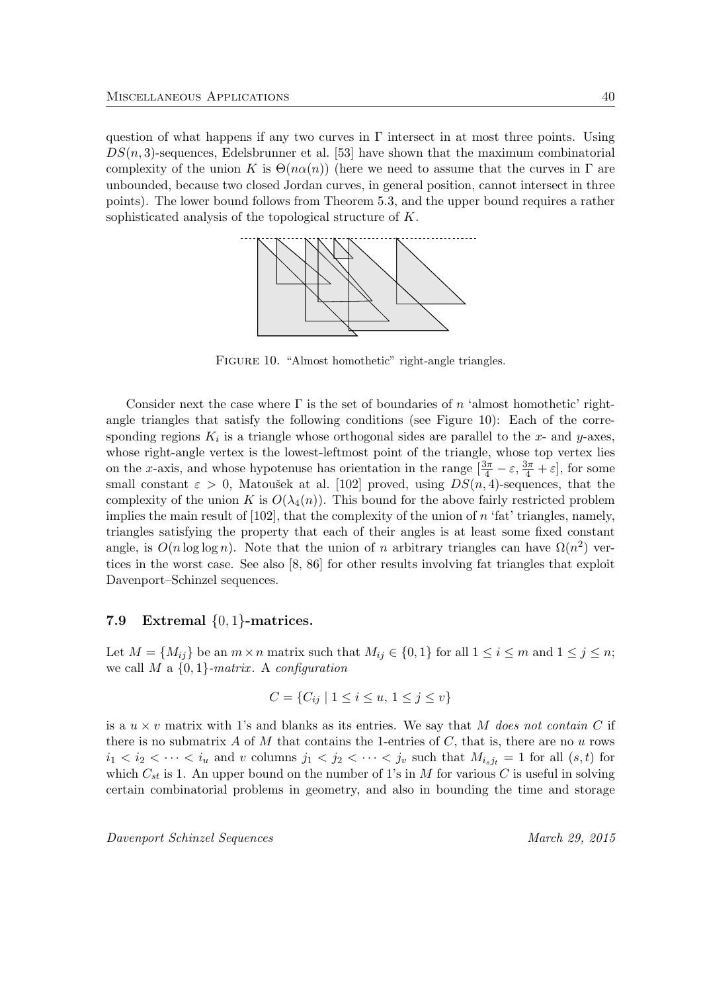question of what happens if any two curves in  $\Gamma$  intersect in at most three points. Using  $DS(n, 3)$ -sequences, Edelsbrunner et al. [53] have shown that the maximum combinatorial complexity of the union K is  $\Theta(n\alpha(n))$  (here we need to assume that the curves in  $\Gamma$  are unbounded, because two closed Jordan curves, in general position, cannot intersect in three points). The lower bound follows from Theorem 5.3, and the upper bound requires a rather sophisticated analysis of the topological structure of K.



FIGURE 10. "Almost homothetic" right-angle triangles.

Consider next the case where  $\Gamma$  is the set of boundaries of n 'almost homothetic' rightangle triangles that satisfy the following conditions (see Figure 10): Each of the corresponding regions  $K_i$  is a triangle whose orthogonal sides are parallel to the x- and y-axes, whose right-angle vertex is the lowest-leftmost point of the triangle, whose top vertex lies on the x-axis, and whose hypotenuse has orientation in the range  $\left[\frac{3\pi}{4} - \varepsilon, \frac{3\pi}{4} + \varepsilon\right]$ , for some small constant  $\varepsilon > 0$ , Matoušek at al. [102] proved, using  $DS(n, 4)$ -sequences, that the complexity of the union K is  $O(\lambda_4(n))$ . This bound for the above fairly restricted problem implies the main result of  $[102]$ , that the complexity of the union of n 'fat' triangles, namely, triangles satisfying the property that each of their angles is at least some fixed constant angle, is  $O(n \log \log n)$ . Note that the union of n arbitrary triangles can have  $\Omega(n^2)$  vertices in the worst case. See also [8, 86] for other results involving fat triangles that exploit Davenport–Schinzel sequences.

#### 7.9 Extremal  $\{0,1\}$ -matrices.

Let  $M = \{M_{ij}\}\$ be an  $m \times n$  matrix such that  $M_{ij} \in \{0, 1\}$  for all  $1 \le i \le m$  and  $1 \le j \le n$ ; we call  $M$  a  $\{0,1\}$ -matrix. A configuration

$$
C = \{C_{ij} \mid 1 \le i \le u, \ 1 \le j \le v\}
$$

is a  $u \times v$  matrix with 1's and blanks as its entries. We say that M does not contain C if there is no submatrix A of M that contains the 1-entries of  $C$ , that is, there are no u rows  $i_1 < i_2 < \cdots < i_u$  and v columns  $j_1 < j_2 < \cdots < j_v$  such that  $M_{i_sj_t} = 1$  for all  $(s, t)$  for which  $C_{st}$  is 1. An upper bound on the number of 1's in M for various C is useful in solving certain combinatorial problems in geometry, and also in bounding the time and storage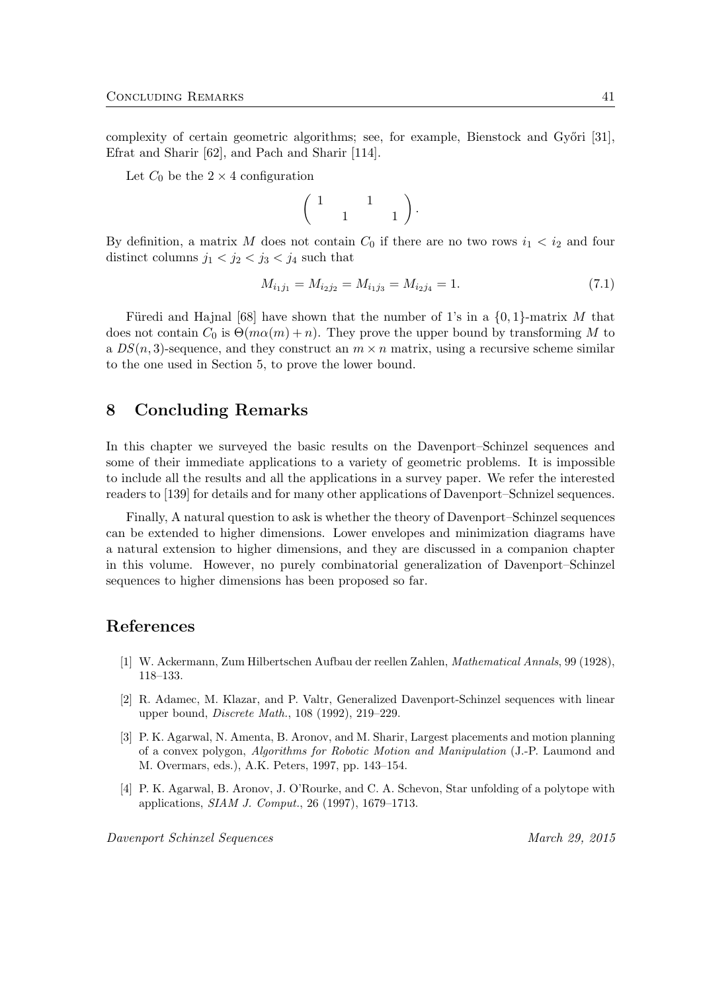complexity of certain geometric algorithms; see, for example, Bienstock and Győri [31], Efrat and Sharir [62], and Pach and Sharir [114].

Let  $C_0$  be the  $2 \times 4$  configuration

$$
\left(\begin{array}{cc} 1 & 1 \\ 1 & 1 \end{array}\right).
$$

By definition, a matrix M does not contain  $C_0$  if there are no two rows  $i_1 < i_2$  and four distinct columns  $j_1 < j_2 < j_3 < j_4$  such that

$$
M_{i_1j_1} = M_{i_2j_2} = M_{i_1j_3} = M_{i_2j_4} = 1.
$$
\n(7.1)

Füredi and Hajnal [68] have shown that the number of 1's in a  $\{0,1\}$ -matrix M that does not contain  $C_0$  is  $\Theta(m\alpha(m)+n)$ . They prove the upper bound by transforming M to a  $DS(n, 3)$ -sequence, and they construct an  $m \times n$  matrix, using a recursive scheme similar to the one used in Section 5, to prove the lower bound.

# 8 Concluding Remarks

In this chapter we surveyed the basic results on the Davenport–Schinzel sequences and some of their immediate applications to a variety of geometric problems. It is impossible to include all the results and all the applications in a survey paper. We refer the interested readers to [139] for details and for many other applications of Davenport–Schnizel sequences.

Finally, A natural question to ask is whether the theory of Davenport–Schinzel sequences can be extended to higher dimensions. Lower envelopes and minimization diagrams have a natural extension to higher dimensions, and they are discussed in a companion chapter in this volume. However, no purely combinatorial generalization of Davenport–Schinzel sequences to higher dimensions has been proposed so far.

## References

- [1] W. Ackermann, Zum Hilbertschen Aufbau der reellen Zahlen, Mathematical Annals, 99 (1928), 118–133.
- [2] R. Adamec, M. Klazar, and P. Valtr, Generalized Davenport-Schinzel sequences with linear upper bound, Discrete Math., 108 (1992), 219–229.
- [3] P. K. Agarwal, N. Amenta, B. Aronov, and M. Sharir, Largest placements and motion planning of a convex polygon, Algorithms for Robotic Motion and Manipulation (J.-P. Laumond and M. Overmars, eds.), A.K. Peters, 1997, pp. 143–154.
- [4] P. K. Agarwal, B. Aronov, J. O'Rourke, and C. A. Schevon, Star unfolding of a polytope with applications, SIAM J. Comput., 26 (1997), 1679–1713.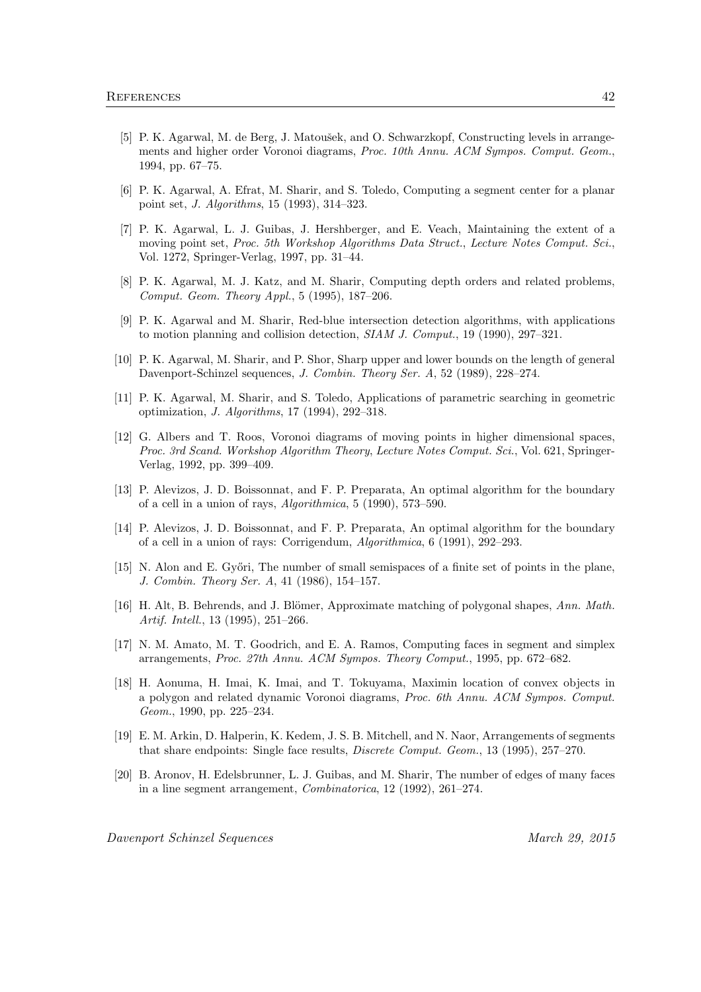- [5] P. K. Agarwal, M. de Berg, J. Matoušek, and O. Schwarzkopf, Constructing levels in arrangements and higher order Voronoi diagrams, Proc. 10th Annu. ACM Sympos. Comput. Geom., 1994, pp. 67–75.
- [6] P. K. Agarwal, A. Efrat, M. Sharir, and S. Toledo, Computing a segment center for a planar point set, J. Algorithms, 15 (1993), 314–323.
- [7] P. K. Agarwal, L. J. Guibas, J. Hershberger, and E. Veach, Maintaining the extent of a moving point set, Proc. 5th Workshop Algorithms Data Struct., Lecture Notes Comput. Sci., Vol. 1272, Springer-Verlag, 1997, pp. 31–44.
- [8] P. K. Agarwal, M. J. Katz, and M. Sharir, Computing depth orders and related problems, Comput. Geom. Theory Appl., 5 (1995), 187–206.
- [9] P. K. Agarwal and M. Sharir, Red-blue intersection detection algorithms, with applications to motion planning and collision detection, SIAM J. Comput., 19 (1990), 297–321.
- [10] P. K. Agarwal, M. Sharir, and P. Shor, Sharp upper and lower bounds on the length of general Davenport-Schinzel sequences, J. Combin. Theory Ser. A, 52 (1989), 228–274.
- [11] P. K. Agarwal, M. Sharir, and S. Toledo, Applications of parametric searching in geometric optimization, J. Algorithms, 17 (1994), 292–318.
- [12] G. Albers and T. Roos, Voronoi diagrams of moving points in higher dimensional spaces, Proc. 3rd Scand. Workshop Algorithm Theory, Lecture Notes Comput. Sci., Vol. 621, Springer-Verlag, 1992, pp. 399–409.
- [13] P. Alevizos, J. D. Boissonnat, and F. P. Preparata, An optimal algorithm for the boundary of a cell in a union of rays, Algorithmica, 5 (1990), 573–590.
- [14] P. Alevizos, J. D. Boissonnat, and F. P. Preparata, An optimal algorithm for the boundary of a cell in a union of rays: Corrigendum, Algorithmica, 6 (1991), 292–293.
- [15] N. Alon and E. Győri, The number of small semispaces of a finite set of points in the plane, J. Combin. Theory Ser. A, 41 (1986), 154–157.
- [16] H. Alt, B. Behrends, and J. Blömer, Approximate matching of polygonal shapes, Ann. Math. Artif. Intell., 13 (1995), 251–266.
- [17] N. M. Amato, M. T. Goodrich, and E. A. Ramos, Computing faces in segment and simplex arrangements, Proc. 27th Annu. ACM Sympos. Theory Comput., 1995, pp. 672–682.
- [18] H. Aonuma, H. Imai, K. Imai, and T. Tokuyama, Maximin location of convex objects in a polygon and related dynamic Voronoi diagrams, Proc. 6th Annu. ACM Sympos. Comput. Geom., 1990, pp. 225–234.
- [19] E. M. Arkin, D. Halperin, K. Kedem, J. S. B. Mitchell, and N. Naor, Arrangements of segments that share endpoints: Single face results, Discrete Comput. Geom., 13 (1995), 257–270.
- [20] B. Aronov, H. Edelsbrunner, L. J. Guibas, and M. Sharir, The number of edges of many faces in a line segment arrangement, Combinatorica, 12 (1992), 261–274.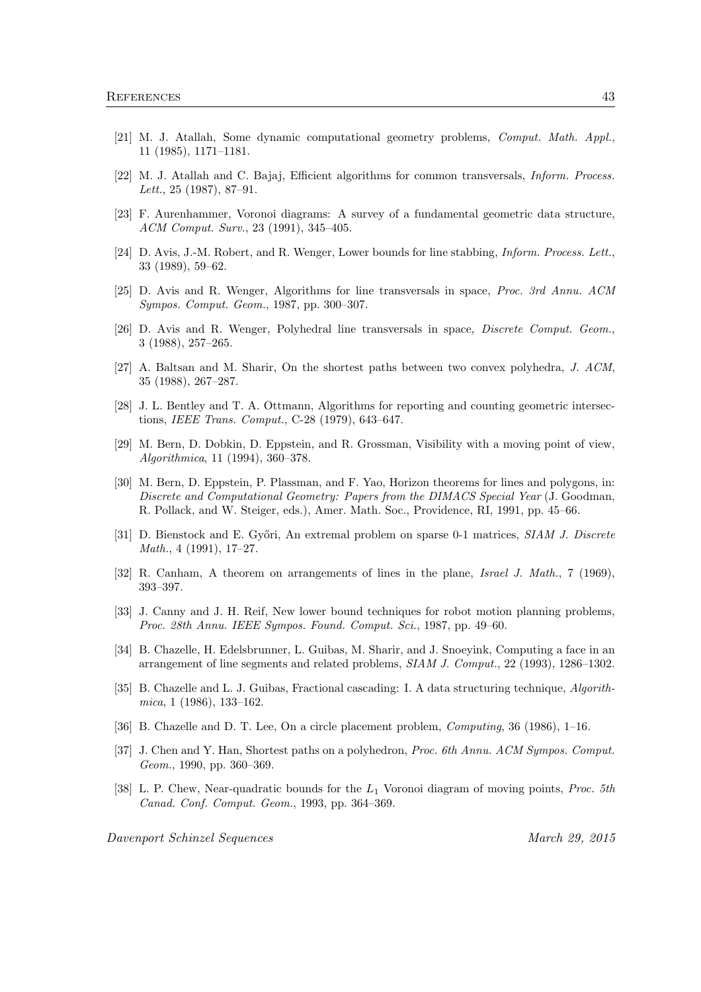- [21] M. J. Atallah, Some dynamic computational geometry problems, Comput. Math. Appl., 11 (1985), 1171–1181.
- [22] M. J. Atallah and C. Bajaj, Efficient algorithms for common transversals, Inform. Process. Lett., 25 (1987), 87–91.
- [23] F. Aurenhammer, Voronoi diagrams: A survey of a fundamental geometric data structure, ACM Comput. Surv., 23 (1991), 345–405.
- [24] D. Avis, J.-M. Robert, and R. Wenger, Lower bounds for line stabbing, *Inform. Process. Lett.*, 33 (1989), 59–62.
- [25] D. Avis and R. Wenger, Algorithms for line transversals in space, Proc. 3rd Annu. ACM Sympos. Comput. Geom., 1987, pp. 300–307.
- [26] D. Avis and R. Wenger, Polyhedral line transversals in space, Discrete Comput. Geom., 3 (1988), 257–265.
- [27] A. Baltsan and M. Sharir, On the shortest paths between two convex polyhedra, J. ACM, 35 (1988), 267–287.
- [28] J. L. Bentley and T. A. Ottmann, Algorithms for reporting and counting geometric intersections, IEEE Trans. Comput., C-28 (1979), 643–647.
- [29] M. Bern, D. Dobkin, D. Eppstein, and R. Grossman, Visibility with a moving point of view, Algorithmica, 11 (1994), 360–378.
- [30] M. Bern, D. Eppstein, P. Plassman, and F. Yao, Horizon theorems for lines and polygons, in: Discrete and Computational Geometry: Papers from the DIMACS Special Year (J. Goodman, R. Pollack, and W. Steiger, eds.), Amer. Math. Soc., Providence, RI, 1991, pp. 45–66.
- [31] D. Bienstock and E. Győri, An extremal problem on sparse 0-1 matrices, SIAM J. Discrete Math., 4 (1991), 17–27.
- [32] R. Canham, A theorem on arrangements of lines in the plane, Israel J. Math., 7 (1969), 393–397.
- [33] J. Canny and J. H. Reif, New lower bound techniques for robot motion planning problems, Proc. 28th Annu. IEEE Sympos. Found. Comput. Sci., 1987, pp. 49–60.
- [34] B. Chazelle, H. Edelsbrunner, L. Guibas, M. Sharir, and J. Snoeyink, Computing a face in an arrangement of line segments and related problems, SIAM J. Comput., 22 (1993), 1286–1302.
- [35] B. Chazelle and L. J. Guibas, Fractional cascading: I. A data structuring technique, Algorithmica, 1 (1986), 133–162.
- [36] B. Chazelle and D. T. Lee, On a circle placement problem, *Computing*, 36 (1986), 1–16.
- [37] J. Chen and Y. Han, Shortest paths on a polyhedron, *Proc. 6th Annu. ACM Sympos. Comput.* Geom., 1990, pp. 360–369.
- [38] L. P. Chew, Near-quadratic bounds for the  $L_1$  Voronoi diagram of moving points, *Proc. 5th* Canad. Conf. Comput. Geom., 1993, pp. 364–369.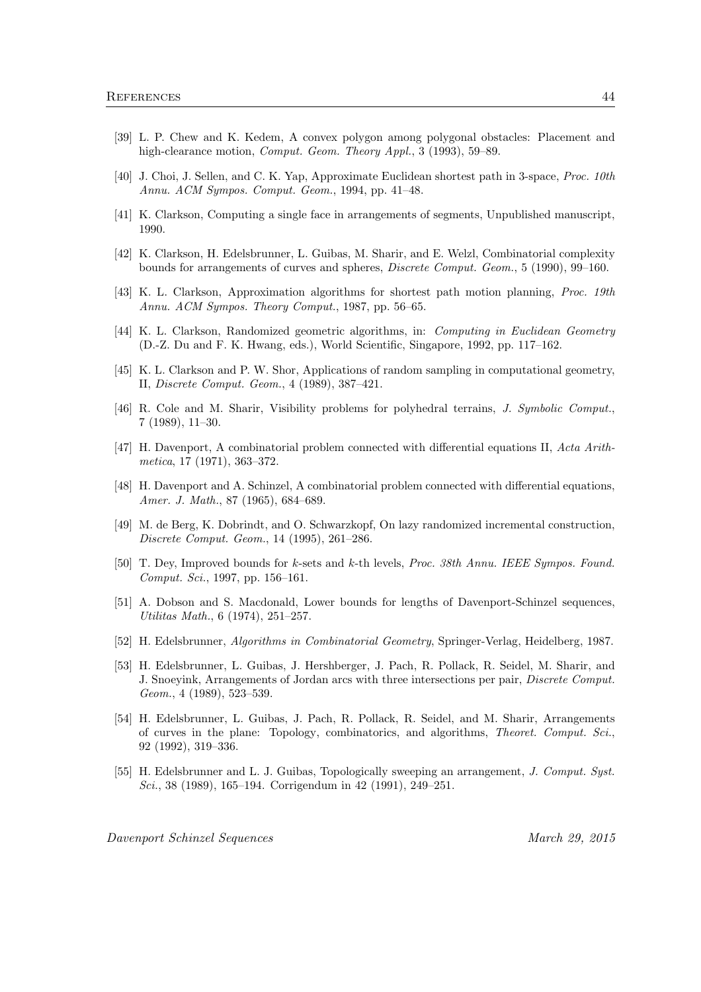- [39] L. P. Chew and K. Kedem, A convex polygon among polygonal obstacles: Placement and high-clearance motion, *Comput. Geom. Theory Appl.*, 3 (1993), 59–89.
- [40] J. Choi, J. Sellen, and C. K. Yap, Approximate Euclidean shortest path in 3-space, Proc. 10th Annu. ACM Sympos. Comput. Geom., 1994, pp. 41–48.
- [41] K. Clarkson, Computing a single face in arrangements of segments, Unpublished manuscript, 1990.
- [42] K. Clarkson, H. Edelsbrunner, L. Guibas, M. Sharir, and E. Welzl, Combinatorial complexity bounds for arrangements of curves and spheres, Discrete Comput. Geom., 5 (1990), 99–160.
- [43] K. L. Clarkson, Approximation algorithms for shortest path motion planning, *Proc. 19th* Annu. ACM Sympos. Theory Comput., 1987, pp. 56–65.
- [44] K. L. Clarkson, Randomized geometric algorithms, in: Computing in Euclidean Geometry (D.-Z. Du and F. K. Hwang, eds.), World Scientific, Singapore, 1992, pp. 117–162.
- [45] K. L. Clarkson and P. W. Shor, Applications of random sampling in computational geometry, II, Discrete Comput. Geom., 4 (1989), 387–421.
- [46] R. Cole and M. Sharir, Visibility problems for polyhedral terrains, J. Symbolic Comput., 7 (1989), 11–30.
- [47] H. Davenport, A combinatorial problem connected with differential equations II, Acta Arithmetica, 17 (1971), 363–372.
- [48] H. Davenport and A. Schinzel, A combinatorial problem connected with differential equations, Amer. J. Math., 87 (1965), 684–689.
- [49] M. de Berg, K. Dobrindt, and O. Schwarzkopf, On lazy randomized incremental construction, Discrete Comput. Geom., 14 (1995), 261–286.
- [50] T. Dey, Improved bounds for k-sets and k-th levels, Proc. 38th Annu. IEEE Sympos. Found. Comput. Sci., 1997, pp. 156–161.
- [51] A. Dobson and S. Macdonald, Lower bounds for lengths of Davenport-Schinzel sequences, Utilitas Math., 6 (1974), 251–257.
- [52] H. Edelsbrunner, Algorithms in Combinatorial Geometry, Springer-Verlag, Heidelberg, 1987.
- [53] H. Edelsbrunner, L. Guibas, J. Hershberger, J. Pach, R. Pollack, R. Seidel, M. Sharir, and J. Snoeyink, Arrangements of Jordan arcs with three intersections per pair, Discrete Comput. Geom., 4 (1989), 523–539.
- [54] H. Edelsbrunner, L. Guibas, J. Pach, R. Pollack, R. Seidel, and M. Sharir, Arrangements of curves in the plane: Topology, combinatorics, and algorithms, Theoret. Comput. Sci., 92 (1992), 319–336.
- [55] H. Edelsbrunner and L. J. Guibas, Topologically sweeping an arrangement, J. Comput. Syst. Sci., 38 (1989), 165–194. Corrigendum in 42 (1991), 249–251.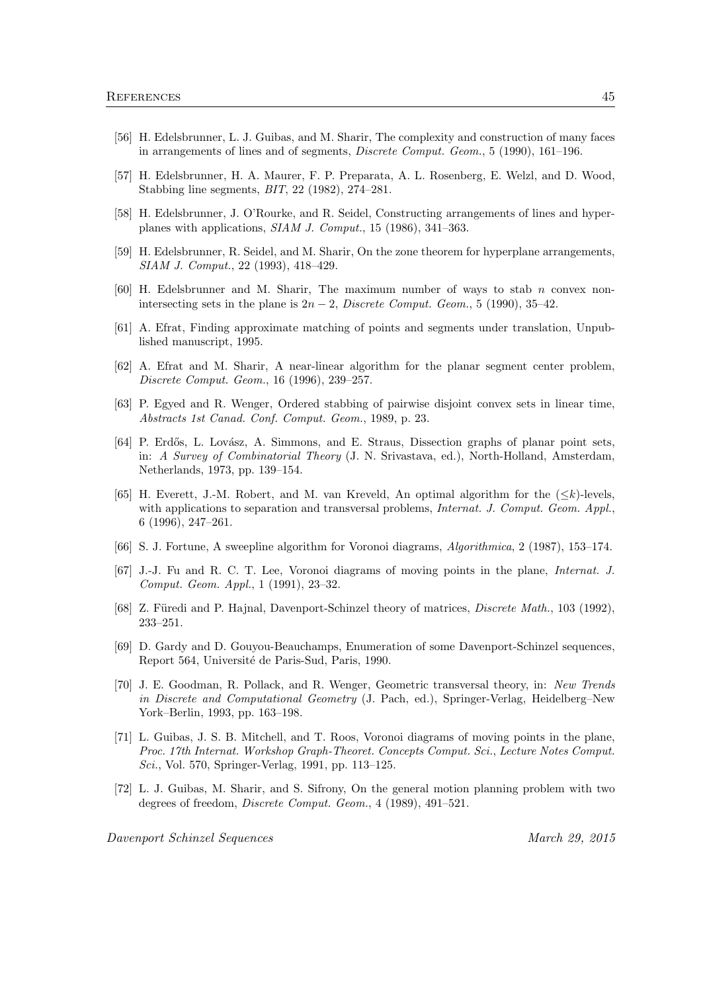- [56] H. Edelsbrunner, L. J. Guibas, and M. Sharir, The complexity and construction of many faces in arrangements of lines and of segments, Discrete Comput. Geom., 5 (1990), 161–196.
- [57] H. Edelsbrunner, H. A. Maurer, F. P. Preparata, A. L. Rosenberg, E. Welzl, and D. Wood, Stabbing line segments, BIT, 22 (1982), 274–281.
- [58] H. Edelsbrunner, J. O'Rourke, and R. Seidel, Constructing arrangements of lines and hyperplanes with applications, SIAM J. Comput., 15 (1986), 341–363.
- [59] H. Edelsbrunner, R. Seidel, and M. Sharir, On the zone theorem for hyperplane arrangements, SIAM J. Comput., 22 (1993), 418–429.
- $[60]$  H. Edelsbrunner and M. Sharir, The maximum number of ways to stab n convex nonintersecting sets in the plane is  $2n-2$ , *Discrete Comput. Geom.*, 5 (1990), 35–42.
- [61] A. Efrat, Finding approximate matching of points and segments under translation, Unpublished manuscript, 1995.
- [62] A. Efrat and M. Sharir, A near-linear algorithm for the planar segment center problem, Discrete Comput. Geom., 16 (1996), 239–257.
- [63] P. Egyed and R. Wenger, Ordered stabbing of pairwise disjoint convex sets in linear time, Abstracts 1st Canad. Conf. Comput. Geom., 1989, p. 23.
- [64] P. Erdős, L. Lovász, A. Simmons, and E. Straus, Dissection graphs of planar point sets, in: A Survey of Combinatorial Theory (J. N. Srivastava, ed.), North-Holland, Amsterdam, Netherlands, 1973, pp. 139–154.
- [65] H. Everett, J.-M. Robert, and M. van Kreveld, An optimal algorithm for the  $(\leq k)$ -levels, with applications to separation and transversal problems, *Internat. J. Comput. Geom. Appl.*, 6 (1996), 247–261.
- [66] S. J. Fortune, A sweepline algorithm for Voronoi diagrams, Algorithmica, 2 (1987), 153–174.
- [67] J.-J. Fu and R. C. T. Lee, Voronoi diagrams of moving points in the plane, Internat. J. Comput. Geom. Appl., 1 (1991), 23–32.
- [68] Z. Füredi and P. Hajnal, Davenport-Schinzel theory of matrices, *Discrete Math.*, 103 (1992), 233–251.
- [69] D. Gardy and D. Gouyou-Beauchamps, Enumeration of some Davenport-Schinzel sequences, Report 564, Université de Paris-Sud, Paris, 1990.
- [70] J. E. Goodman, R. Pollack, and R. Wenger, Geometric transversal theory, in: New Trends in Discrete and Computational Geometry (J. Pach, ed.), Springer-Verlag, Heidelberg–New York–Berlin, 1993, pp. 163–198.
- [71] L. Guibas, J. S. B. Mitchell, and T. Roos, Voronoi diagrams of moving points in the plane, Proc. 17th Internat. Workshop Graph-Theoret. Concepts Comput. Sci., Lecture Notes Comput. Sci., Vol. 570, Springer-Verlag, 1991, pp. 113–125.
- [72] L. J. Guibas, M. Sharir, and S. Sifrony, On the general motion planning problem with two degrees of freedom, Discrete Comput. Geom., 4 (1989), 491–521.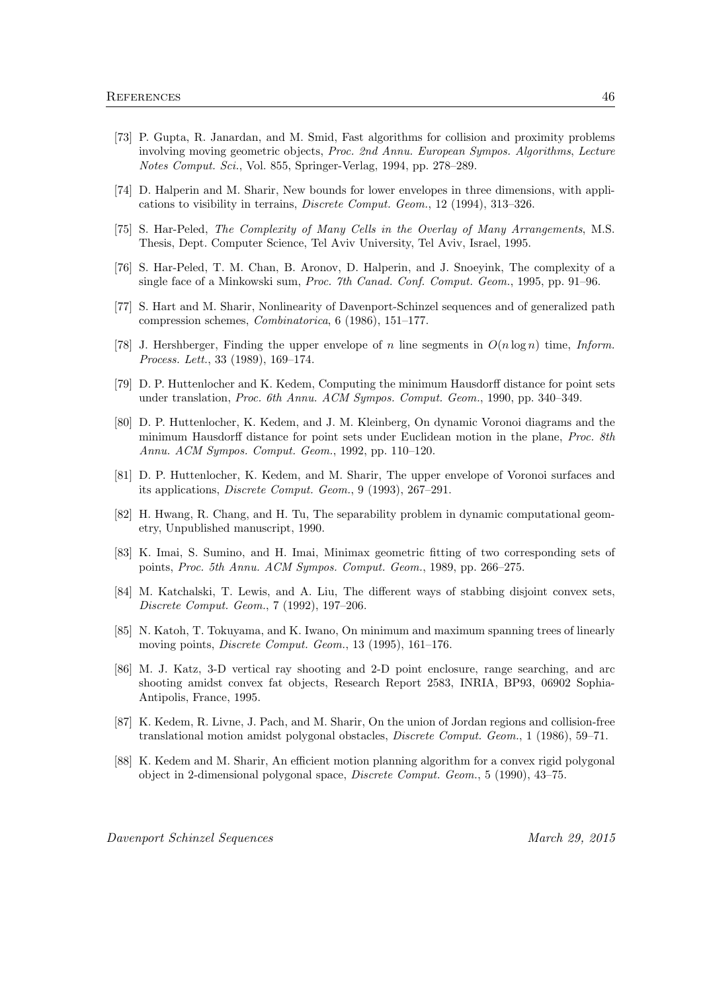- [73] P. Gupta, R. Janardan, and M. Smid, Fast algorithms for collision and proximity problems involving moving geometric objects, Proc. 2nd Annu. European Sympos. Algorithms, Lecture Notes Comput. Sci., Vol. 855, Springer-Verlag, 1994, pp. 278–289.
- [74] D. Halperin and M. Sharir, New bounds for lower envelopes in three dimensions, with applications to visibility in terrains, Discrete Comput. Geom., 12 (1994), 313–326.
- [75] S. Har-Peled, The Complexity of Many Cells in the Overlay of Many Arrangements, M.S. Thesis, Dept. Computer Science, Tel Aviv University, Tel Aviv, Israel, 1995.
- [76] S. Har-Peled, T. M. Chan, B. Aronov, D. Halperin, and J. Snoeyink, The complexity of a single face of a Minkowski sum, Proc. 7th Canad. Conf. Comput. Geom., 1995, pp. 91–96.
- [77] S. Hart and M. Sharir, Nonlinearity of Davenport-Schinzel sequences and of generalized path compression schemes, Combinatorica, 6 (1986), 151–177.
- [78] J. Hershberger, Finding the upper envelope of n line segments in  $O(n \log n)$  time, Inform. Process. Lett., 33 (1989), 169–174.
- [79] D. P. Huttenlocher and K. Kedem, Computing the minimum Hausdorff distance for point sets under translation, Proc. 6th Annu. ACM Sympos. Comput. Geom., 1990, pp. 340–349.
- [80] D. P. Huttenlocher, K. Kedem, and J. M. Kleinberg, On dynamic Voronoi diagrams and the minimum Hausdorff distance for point sets under Euclidean motion in the plane, Proc. 8th Annu. ACM Sympos. Comput. Geom., 1992, pp. 110–120.
- [81] D. P. Huttenlocher, K. Kedem, and M. Sharir, The upper envelope of Voronoi surfaces and its applications, Discrete Comput. Geom., 9 (1993), 267–291.
- [82] H. Hwang, R. Chang, and H. Tu, The separability problem in dynamic computational geometry, Unpublished manuscript, 1990.
- [83] K. Imai, S. Sumino, and H. Imai, Minimax geometric fitting of two corresponding sets of points, Proc. 5th Annu. ACM Sympos. Comput. Geom., 1989, pp. 266–275.
- [84] M. Katchalski, T. Lewis, and A. Liu, The different ways of stabbing disjoint convex sets, Discrete Comput. Geom., 7 (1992), 197–206.
- [85] N. Katoh, T. Tokuyama, and K. Iwano, On minimum and maximum spanning trees of linearly moving points, Discrete Comput. Geom., 13 (1995), 161–176.
- [86] M. J. Katz, 3-D vertical ray shooting and 2-D point enclosure, range searching, and arc shooting amidst convex fat objects, Research Report 2583, INRIA, BP93, 06902 Sophia-Antipolis, France, 1995.
- [87] K. Kedem, R. Livne, J. Pach, and M. Sharir, On the union of Jordan regions and collision-free translational motion amidst polygonal obstacles, Discrete Comput. Geom., 1 (1986), 59–71.
- [88] K. Kedem and M. Sharir, An efficient motion planning algorithm for a convex rigid polygonal object in 2-dimensional polygonal space, Discrete Comput. Geom., 5 (1990), 43–75.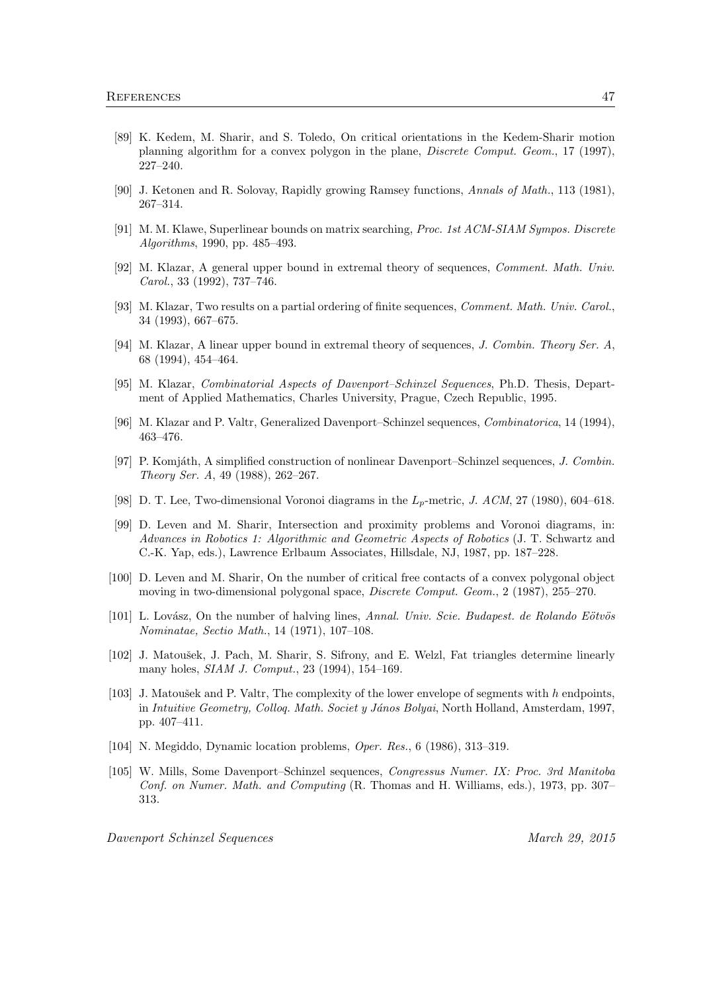- [89] K. Kedem, M. Sharir, and S. Toledo, On critical orientations in the Kedem-Sharir motion planning algorithm for a convex polygon in the plane, Discrete Comput. Geom., 17 (1997), 227–240.
- [90] J. Ketonen and R. Solovay, Rapidly growing Ramsey functions, Annals of Math., 113 (1981), 267–314.
- [91] M. M. Klawe, Superlinear bounds on matrix searching, Proc. 1st ACM-SIAM Sympos. Discrete Algorithms, 1990, pp. 485–493.
- [92] M. Klazar, A general upper bound in extremal theory of sequences, Comment. Math. Univ. Carol., 33 (1992), 737–746.
- [93] M. Klazar, Two results on a partial ordering of finite sequences, *Comment. Math. Univ. Carol.*, 34 (1993), 667–675.
- [94] M. Klazar, A linear upper bound in extremal theory of sequences, J. Combin. Theory Ser. A, 68 (1994), 454–464.
- [95] M. Klazar, Combinatorial Aspects of Davenport–Schinzel Sequences, Ph.D. Thesis, Department of Applied Mathematics, Charles University, Prague, Czech Republic, 1995.
- [96] M. Klazar and P. Valtr, Generalized Davenport–Schinzel sequences, Combinatorica, 14 (1994), 463–476.
- [97] P. Komjáth, A simplified construction of nonlinear Davenport–Schinzel sequences, J. Combin. Theory Ser. A, 49 (1988), 262–267.
- [98] D. T. Lee, Two-dimensional Voronoi diagrams in the  $L_p$ -metric, J. ACM, 27 (1980), 604–618.
- [99] D. Leven and M. Sharir, Intersection and proximity problems and Voronoi diagrams, in: Advances in Robotics 1: Algorithmic and Geometric Aspects of Robotics (J. T. Schwartz and C.-K. Yap, eds.), Lawrence Erlbaum Associates, Hillsdale, NJ, 1987, pp. 187–228.
- [100] D. Leven and M. Sharir, On the number of critical free contacts of a convex polygonal object moving in two-dimensional polygonal space, Discrete Comput. Geom., 2 (1987), 255–270.
- $[101]$  L. Lovász, On the number of halving lines, Annal. Univ. Scie. Budapest. de Rolando Eötvös Nominatae, Sectio Math., 14 (1971), 107–108.
- [102] J. Matoušek, J. Pach, M. Sharir, S. Sifrony, and E. Welzl, Fat triangles determine linearly many holes, SIAM J. Comput., 23 (1994), 154–169.
- [103] J. Matoušek and P. Valtr, The complexity of the lower envelope of segments with h endpoints, in Intuitive Geometry, Colloq. Math. Societ y János Bolyai, North Holland, Amsterdam, 1997, pp. 407–411.
- [104] N. Megiddo, Dynamic location problems, Oper. Res., 6 (1986), 313–319.
- [105] W. Mills, Some Davenport–Schinzel sequences, Congressus Numer. IX: Proc. 3rd Manitoba Conf. on Numer. Math. and Computing (R. Thomas and H. Williams, eds.), 1973, pp. 307– 313.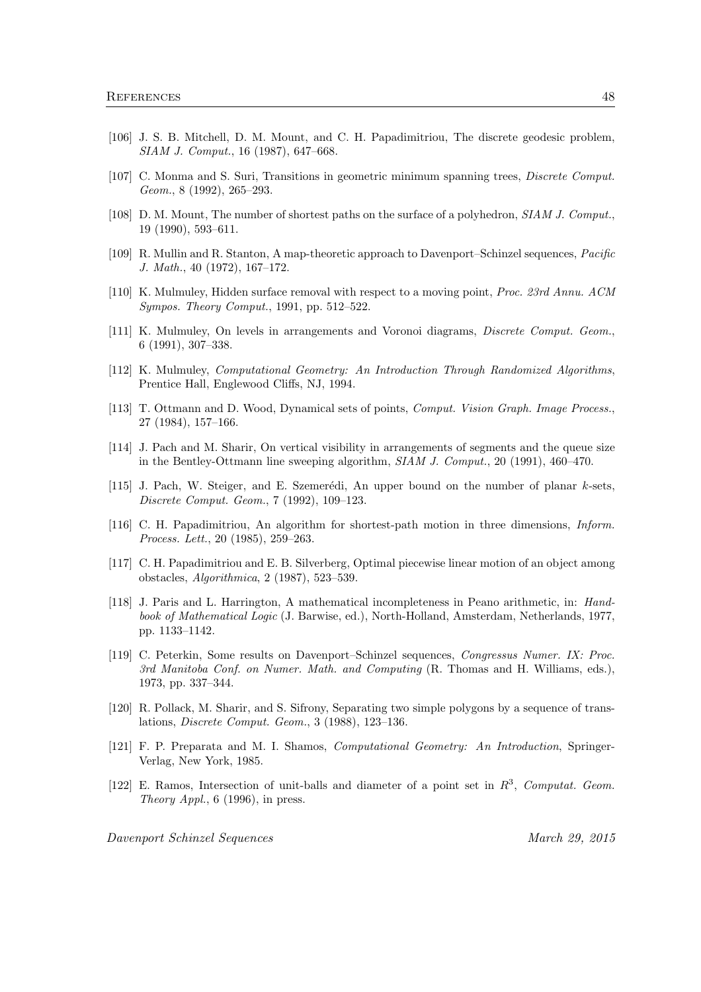- [106] J. S. B. Mitchell, D. M. Mount, and C. H. Papadimitriou, The discrete geodesic problem, SIAM J. Comput., 16 (1987), 647–668.
- [107] C. Monma and S. Suri, Transitions in geometric minimum spanning trees, Discrete Comput. Geom., 8 (1992), 265–293.
- [108] D. M. Mount, The number of shortest paths on the surface of a polyhedron, SIAM J. Comput., 19 (1990), 593–611.
- [109] R. Mullin and R. Stanton, A map-theoretic approach to Davenport–Schinzel sequences, Pacific J. Math., 40 (1972), 167–172.
- [110] K. Mulmuley, Hidden surface removal with respect to a moving point, Proc. 23rd Annu. ACM Sympos. Theory Comput., 1991, pp. 512–522.
- [111] K. Mulmuley, On levels in arrangements and Voronoi diagrams, Discrete Comput. Geom., 6 (1991), 307–338.
- [112] K. Mulmuley, Computational Geometry: An Introduction Through Randomized Algorithms, Prentice Hall, Englewood Cliffs, NJ, 1994.
- [113] T. Ottmann and D. Wood, Dynamical sets of points, Comput. Vision Graph. Image Process., 27 (1984), 157–166.
- [114] J. Pach and M. Sharir, On vertical visibility in arrangements of segments and the queue size in the Bentley-Ottmann line sweeping algorithm, SIAM J. Comput., 20 (1991), 460–470.
- [115] J. Pach, W. Steiger, and E. Szemerédi, An upper bound on the number of planar  $k$ -sets, Discrete Comput. Geom., 7 (1992), 109–123.
- [116] C. H. Papadimitriou, An algorithm for shortest-path motion in three dimensions, Inform. Process. Lett., 20 (1985), 259–263.
- [117] C. H. Papadimitriou and E. B. Silverberg, Optimal piecewise linear motion of an object among obstacles, Algorithmica, 2 (1987), 523–539.
- [118] J. Paris and L. Harrington, A mathematical incompleteness in Peano arithmetic, in: Handbook of Mathematical Logic (J. Barwise, ed.), North-Holland, Amsterdam, Netherlands, 1977, pp. 1133–1142.
- [119] C. Peterkin, Some results on Davenport–Schinzel sequences, Congressus Numer. IX: Proc. 3rd Manitoba Conf. on Numer. Math. and Computing (R. Thomas and H. Williams, eds.), 1973, pp. 337–344.
- [120] R. Pollack, M. Sharir, and S. Sifrony, Separating two simple polygons by a sequence of translations, Discrete Comput. Geom., 3 (1988), 123–136.
- [121] F. P. Preparata and M. I. Shamos, Computational Geometry: An Introduction, Springer-Verlag, New York, 1985.
- [122] E. Ramos, Intersection of unit-balls and diameter of a point set in  $R^3$ , Computat. Geom. Theory Appl.,  $6(1996)$ , in press.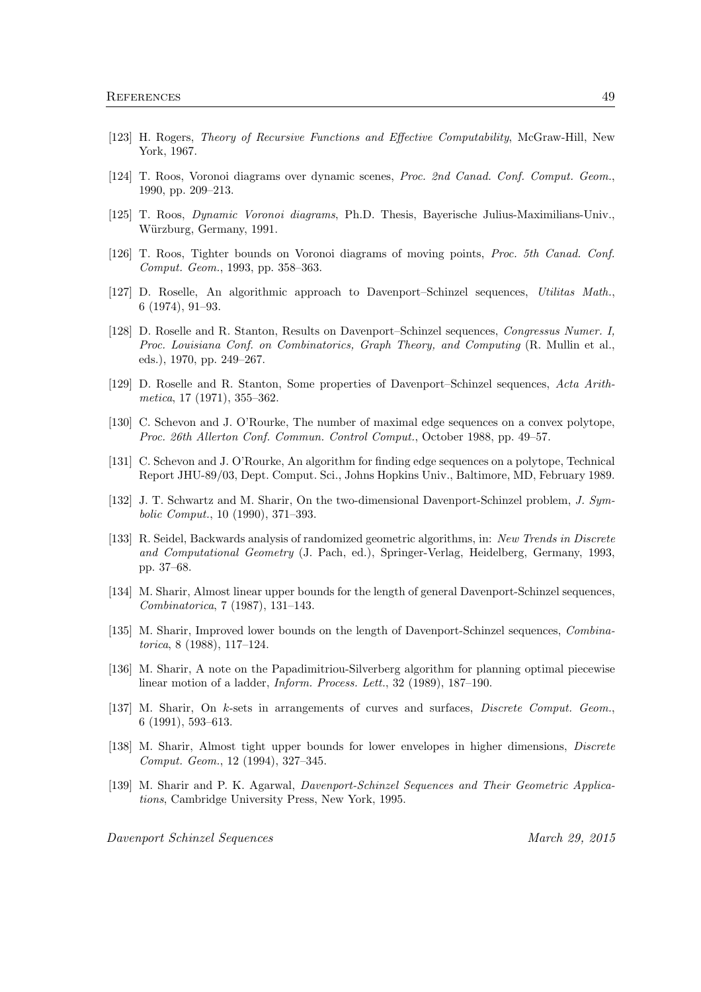- [123] H. Rogers, Theory of Recursive Functions and Effective Computability, McGraw-Hill, New York, 1967.
- [124] T. Roos, Voronoi diagrams over dynamic scenes, Proc. 2nd Canad. Conf. Comput. Geom., 1990, pp. 209–213.
- [125] T. Roos, Dynamic Voronoi diagrams, Ph.D. Thesis, Bayerische Julius-Maximilians-Univ., Würzburg, Germany, 1991.
- [126] T. Roos, Tighter bounds on Voronoi diagrams of moving points, Proc. 5th Canad. Conf. Comput. Geom., 1993, pp. 358–363.
- [127] D. Roselle, An algorithmic approach to Davenport–Schinzel sequences, Utilitas Math., 6 (1974), 91–93.
- [128] D. Roselle and R. Stanton, Results on Davenport–Schinzel sequences, Congressus Numer. I, Proc. Louisiana Conf. on Combinatorics, Graph Theory, and Computing (R. Mullin et al., eds.), 1970, pp. 249–267.
- [129] D. Roselle and R. Stanton, Some properties of Davenport–Schinzel sequences, Acta Arithmetica, 17 (1971), 355–362.
- [130] C. Schevon and J. O'Rourke, The number of maximal edge sequences on a convex polytope, Proc. 26th Allerton Conf. Commun. Control Comput., October 1988, pp. 49–57.
- [131] C. Schevon and J. O'Rourke, An algorithm for finding edge sequences on a polytope, Technical Report JHU-89/03, Dept. Comput. Sci., Johns Hopkins Univ., Baltimore, MD, February 1989.
- [132] J. T. Schwartz and M. Sharir, On the two-dimensional Davenport-Schinzel problem, J. Symbolic Comput., 10 (1990), 371–393.
- [133] R. Seidel, Backwards analysis of randomized geometric algorithms, in: New Trends in Discrete and Computational Geometry (J. Pach, ed.), Springer-Verlag, Heidelberg, Germany, 1993, pp. 37–68.
- [134] M. Sharir, Almost linear upper bounds for the length of general Davenport-Schinzel sequences, Combinatorica, 7 (1987), 131–143.
- [135] M. Sharir, Improved lower bounds on the length of Davenport-Schinzel sequences, Combinatorica, 8 (1988), 117–124.
- [136] M. Sharir, A note on the Papadimitriou-Silverberg algorithm for planning optimal piecewise linear motion of a ladder, *Inform. Process. Lett.*, 32 (1989), 187–190.
- [137] M. Sharir, On k-sets in arrangements of curves and surfaces, Discrete Comput. Geom., 6 (1991), 593–613.
- [138] M. Sharir, Almost tight upper bounds for lower envelopes in higher dimensions, Discrete Comput. Geom., 12 (1994), 327–345.
- [139] M. Sharir and P. K. Agarwal, Davenport-Schinzel Sequences and Their Geometric Applications, Cambridge University Press, New York, 1995.